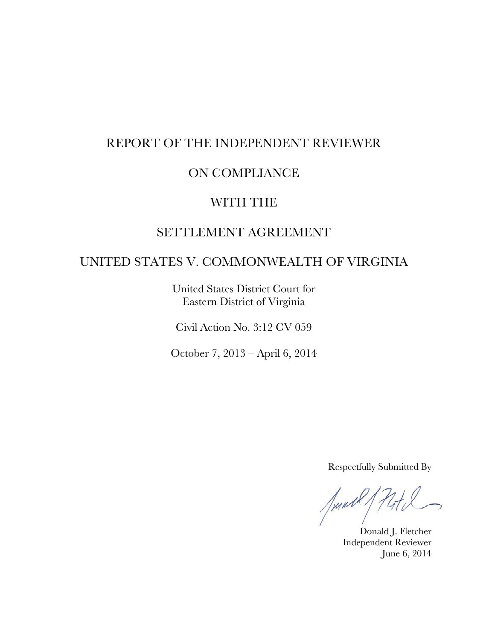# REPORT OF THE INDEPENDENT REVIEWER

# ON COMPLIANCE

# WITH THE

# SETTLEMENT AGREEMENT

## UNITED STATES V. COMMONWEALTH OF VIRGINIA

United States District Court for Eastern District of Virginia

Civil Action No. 3:12 CV 059

October 7, 2013 – April 6, 2014

Respectfully Submitted By

Junt  $741$ 

Donald J. Fletcher Independent Reviewer June 6, 2014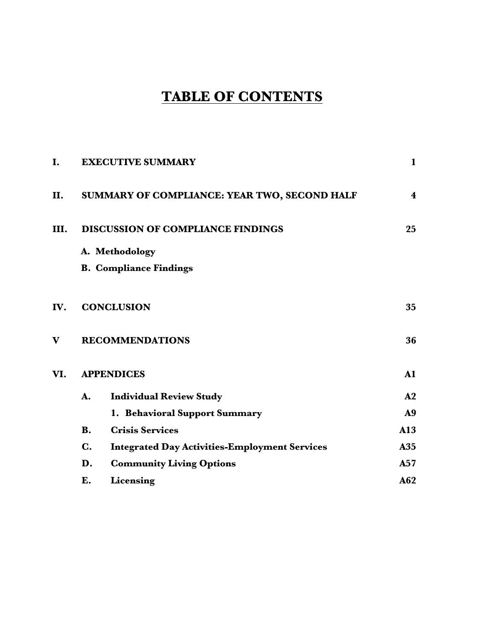# **TABLE OF CONTENTS**

| I.   |                | <b>EXECUTIVE SUMMARY</b>                             | $\mathbf{1}$            |
|------|----------------|------------------------------------------------------|-------------------------|
| II.  |                | SUMMARY OF COMPLIANCE: YEAR TWO, SECOND HALF         | $\overline{\mathbf{4}}$ |
| III. |                | <b>DISCUSSION OF COMPLIANCE FINDINGS</b>             | 25                      |
|      |                | A. Methodology                                       |                         |
|      |                | <b>B. Compliance Findings</b>                        |                         |
| IV.  |                | <b>CONCLUSION</b>                                    | 35                      |
| V    |                | <b>RECOMMENDATIONS</b>                               | 36                      |
| VI.  |                | <b>APPENDICES</b>                                    | $\mathbf{A1}$           |
|      | A.             | <b>Individual Review Study</b>                       | ${\bf A2}$              |
|      |                | 1. Behavioral Support Summary                        | A <sub>9</sub>          |
|      | <b>B.</b>      | <b>Crisis Services</b>                               | A13                     |
|      | $\mathbf{C}$ . | <b>Integrated Day Activities-Employment Services</b> | A35                     |
|      | D.             | <b>Community Living Options</b>                      | A57                     |
|      | E.             | Licensing                                            | A62                     |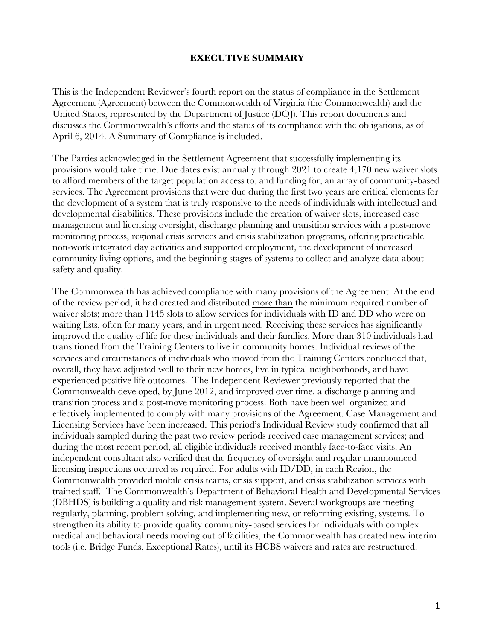#### **EXECUTIVE SUMMARY**

This is the Independent Reviewer's fourth report on the status of compliance in the Settlement Agreement (Agreement) between the Commonwealth of Virginia (the Commonwealth) and the United States, represented by the Department of Justice (DOJ). This report documents and discusses the Commonwealth's efforts and the status of its compliance with the obligations, as of April 6, 2014. A Summary of Compliance is included.

The Parties acknowledged in the Settlement Agreement that successfully implementing its provisions would take time. Due dates exist annually through 2021 to create 4,170 new waiver slots to afford members of the target population access to, and funding for, an array of community-based services. The Agreement provisions that were due during the first two years are critical elements for the development of a system that is truly responsive to the needs of individuals with intellectual and developmental disabilities. These provisions include the creation of waiver slots, increased case management and licensing oversight, discharge planning and transition services with a post-move monitoring process, regional crisis services and crisis stabilization programs, offering practicable non-work integrated day activities and supported employment, the development of increased community living options, and the beginning stages of systems to collect and analyze data about safety and quality.

The Commonwealth has achieved compliance with many provisions of the Agreement. At the end of the review period, it had created and distributed more than the minimum required number of waiver slots; more than 1445 slots to allow services for individuals with ID and DD who were on waiting lists, often for many years, and in urgent need. Receiving these services has significantly improved the quality of life for these individuals and their families. More than 310 individuals had transitioned from the Training Centers to live in community homes. Individual reviews of the services and circumstances of individuals who moved from the Training Centers concluded that, overall, they have adjusted well to their new homes, live in typical neighborhoods, and have experienced positive life outcomes. The Independent Reviewer previously reported that the Commonwealth developed, by June 2012, and improved over time, a discharge planning and transition process and a post-move monitoring process. Both have been well organized and effectively implemented to comply with many provisions of the Agreement. Case Management and Licensing Services have been increased. This period's Individual Review study confirmed that all individuals sampled during the past two review periods received case management services; and during the most recent period, all eligible individuals received monthly face-to-face visits. An independent consultant also verified that the frequency of oversight and regular unannounced licensing inspections occurred as required. For adults with ID/DD, in each Region, the Commonwealth provided mobile crisis teams, crisis support, and crisis stabilization services with trained staff. The Commonwealth's Department of Behavioral Health and Developmental Services (DBHDS) is building a quality and risk management system. Several workgroups are meeting regularly, planning, problem solving, and implementing new, or reforming existing, systems. To strengthen its ability to provide quality community-based services for individuals with complex medical and behavioral needs moving out of facilities, the Commonwealth has created new interim tools (i.e. Bridge Funds, Exceptional Rates), until its HCBS waivers and rates are restructured.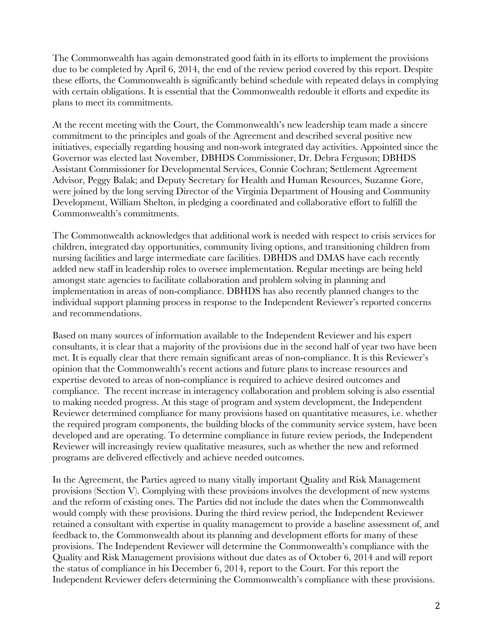The Commonwealth has again demonstrated good faith in its efforts to implement the provisions due to be completed by April 6, 2014, the end of the review period covered by this report. Despite these efforts, the Commonwealth is significantly behind schedule with repeated delays in complying with certain obligations. It is essential that the Commonwealth redouble it efforts and expedite its plans to meet its commitments.

At the recent meeting with the Court, the Commonwealth's new leadership team made a sincere commitment to the principles and goals of the Agreement and described several positive new initiatives, especially regarding housing and non-work integrated day activities. Appointed since the Governor was elected last November, DBHDS Commissioner, Dr. Debra Ferguson; DBHDS Assistant Commissioner for Developmental Services, Connie Cochran; Settlement Agreement Advisor, Peggy Balak; and Deputy Secretary for Health and Human Resources, Suzanne Gore, were joined by the long serving Director of the Virginia Department of Housing and Community Development, William Shelton, in pledging a coordinated and collaborative effort to fulfill the Commonwealth's commitments.

The Commonwealth acknowledges that additional work is needed with respect to crisis services for children, integrated day opportunities, community living options, and transitioning children from nursing facilities and large intermediate care facilities. DBHDS and DMAS have each recently added new staff in leadership roles to oversee implementation. Regular meetings are being held amongst state agencies to facilitate collaboration and problem solving in planning and implementation in areas of non-compliance. DBHDS has also recently planned changes to the individual support planning process in response to the Independent Reviewer's reported concerns and recommendations.

Based on many sources of information available to the Independent Reviewer and his expert consultants, it is clear that a majority of the provisions due in the second half of year two have been met. It is equally clear that there remain significant areas of non-compliance. It is this Reviewer's opinion that the Commonwealth's recent actions and future plans to increase resources and expertise devoted to areas of non-compliance is required to achieve desired outcomes and compliance. The recent increase in interagency collaboration and problem solving is also essential to making needed progress. At this stage of program and system development, the Independent Reviewer determined compliance for many provisions based on quantitative measures, i.e. whether the required program components, the building blocks of the community service system, have been developed and are operating. To determine compliance in future review periods, the Independent Reviewer will increasingly review qualitative measures, such as whether the new and reformed programs are delivered effectively and achieve needed outcomes.

In the Agreement, the Parties agreed to many vitally important Quality and Risk Management provisions (Section V). Complying with these provisions involves the development of new systems and the reform of existing ones. The Parties did not include the dates when the Commonwealth would comply with these provisions. During the third review period, the Independent Reviewer retained a consultant with expertise in quality management to provide a baseline assessment of, and feedback to, the Commonwealth about its planning and development efforts for many of these provisions. The Independent Reviewer will determine the Commonwealth's compliance with the Quality and Risk Management provisions without due dates as of October 6, 2014 and will report the status of compliance in his December 6, 2014, report to the Court. For this report the Independent Reviewer defers determining the Commonwealth's compliance with these provisions.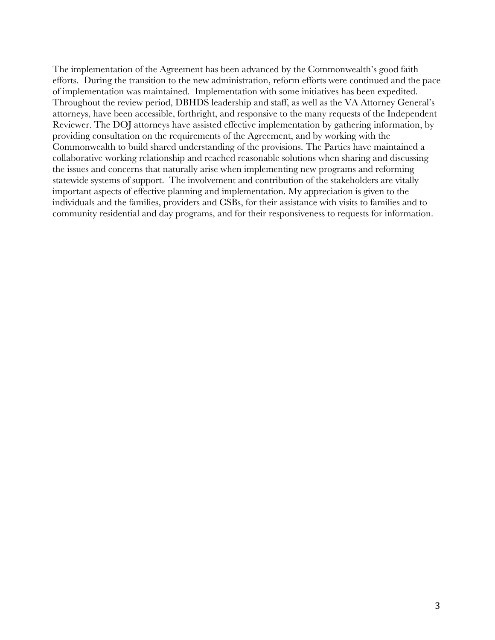The implementation of the Agreement has been advanced by the Commonwealth's good faith efforts. During the transition to the new administration, reform efforts were continued and the pace of implementation was maintained. Implementation with some initiatives has been expedited. Throughout the review period, DBHDS leadership and staff, as well as the VA Attorney General's attorneys, have been accessible, forthright, and responsive to the many requests of the Independent Reviewer. The DOJ attorneys have assisted effective implementation by gathering information, by providing consultation on the requirements of the Agreement, and by working with the Commonwealth to build shared understanding of the provisions. The Parties have maintained a collaborative working relationship and reached reasonable solutions when sharing and discussing the issues and concerns that naturally arise when implementing new programs and reforming statewide systems of support. The involvement and contribution of the stakeholders are vitally important aspects of effective planning and implementation. My appreciation is given to the individuals and the families, providers and CSBs, for their assistance with visits to families and to community residential and day programs, and for their responsiveness to requests for information.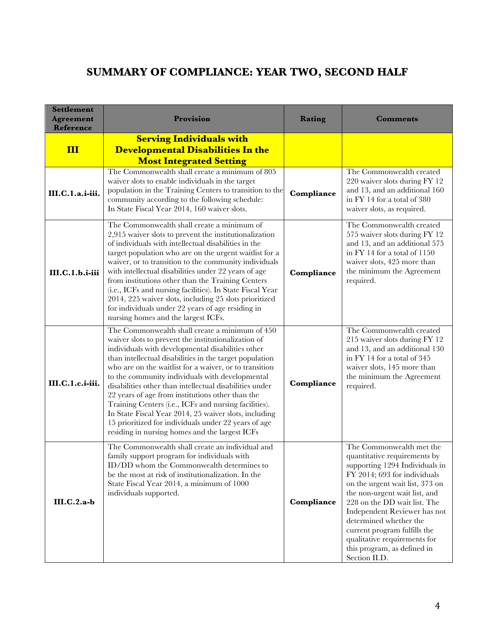# **SUMMARY OF COMPLIANCE: YEAR TWO, SECOND HALF**

| <b>Settlement</b><br><b>Agreement</b><br>Reference | Provision                                                                                                                                                                                                                                                                                                                                                                                                                                                                                                                                                                                                                                                                     | Rating     | <b>Comments</b>                                                                                                                                                                                                                                                                                                                                                                                          |
|----------------------------------------------------|-------------------------------------------------------------------------------------------------------------------------------------------------------------------------------------------------------------------------------------------------------------------------------------------------------------------------------------------------------------------------------------------------------------------------------------------------------------------------------------------------------------------------------------------------------------------------------------------------------------------------------------------------------------------------------|------------|----------------------------------------------------------------------------------------------------------------------------------------------------------------------------------------------------------------------------------------------------------------------------------------------------------------------------------------------------------------------------------------------------------|
| III                                                | <b>Serving Individuals with</b><br><b>Developmental Disabilities In the</b><br><b>Most Integrated Setting</b>                                                                                                                                                                                                                                                                                                                                                                                                                                                                                                                                                                 |            |                                                                                                                                                                                                                                                                                                                                                                                                          |
| III.C.1.a.i-iii.                                   | The Commonwealth shall create a minimum of 805<br>waiver slots to enable individuals in the target<br>population in the Training Centers to transition to the<br>community according to the following schedule:<br>In State Fiscal Year 2014, 160 waiver slots.                                                                                                                                                                                                                                                                                                                                                                                                               | Compliance | The Commonwealth created<br>220 waiver slots during FY 12<br>and 13, and an additional 160<br>in FY 14 for a total of 380<br>waiver slots, as required.                                                                                                                                                                                                                                                  |
| III.C.1.b.i-iii                                    | The Commonwealth shall create a minimum of<br>2,915 waiver slots to prevent the institutionalization<br>of individuals with intellectual disabilities in the<br>target population who are on the urgent waitlist for a<br>waiver, or to transition to the community individuals<br>with intellectual disabilities under 22 years of age<br>from institutions other than the Training Centers<br>(i.e., ICFs and nursing facilities). In State Fiscal Year<br>2014, 225 waiver slots, including 25 slots prioritized<br>for individuals under 22 years of age residing in<br>nursing homes and the largest ICFs.                                                               | Compliance | The Commonwealth created<br>575 waiver slots during FY 12<br>and 13, and an additional 575<br>in FY 14 for a total of 1150<br>waiver slots, 425 more than<br>the minimum the Agreement<br>required.                                                                                                                                                                                                      |
| III.C.1.c.i-iii.                                   | The Commonwealth shall create a minimum of 450<br>waiver slots to prevent the institutionalization of<br>individuals with developmental disabilities other<br>than intellectual disabilities in the target population<br>who are on the waitlist for a waiver, or to transition<br>to the community individuals with developmental<br>disabilities other than intellectual disabilities under<br>22 years of age from institutions other than the<br>Training Centers (i.e., ICFs and nursing facilities).<br>In State Fiscal Year 2014, 25 waiver slots, including<br>15 prioritized for individuals under 22 years of age<br>residing in nursing homes and the largest ICFs | Compliance | The Commonwealth created<br>215 waiver slots during FY 12<br>and 13, and an additional 130<br>in FY 14 for a total of 345<br>waiver slots, 145 more than<br>the minimum the Agreement<br>required.                                                                                                                                                                                                       |
| $III.C.2.a-b$                                      | The Commonwealth shall create an individual and<br>family support program for individuals with<br>ID/DD whom the Commonwealth determines to<br>be the most at risk of institutionalization. In the<br>State Fiscal Year 2014, a minimum of 1000<br>individuals supported.                                                                                                                                                                                                                                                                                                                                                                                                     | Compliance | The Commonwealth met the<br>quantitative requirements by<br>supporting 1294 Individuals in<br>FY 2014; 693 for individuals<br>on the urgent wait list, 373 on<br>the non-urgent wait list, and<br>228 on the DD wait list. The<br>Independent Reviewer has not<br>determined whether the<br>current program fulfills the<br>qualitative requirements for<br>this program, as defined in<br>Section II.D. |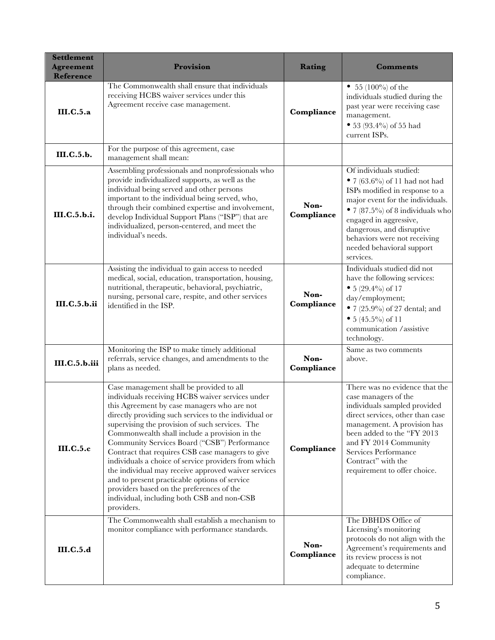| <b>Settlement</b><br><b>Agreement</b><br><b>Reference</b> | Provision                                                                                                                                                                                                                                                                                                                                                                                                                                                                                                                                                                                                                                                                             | Rating             | Comments                                                                                                                                                                                                                                                                                            |
|-----------------------------------------------------------|---------------------------------------------------------------------------------------------------------------------------------------------------------------------------------------------------------------------------------------------------------------------------------------------------------------------------------------------------------------------------------------------------------------------------------------------------------------------------------------------------------------------------------------------------------------------------------------------------------------------------------------------------------------------------------------|--------------------|-----------------------------------------------------------------------------------------------------------------------------------------------------------------------------------------------------------------------------------------------------------------------------------------------------|
| III.C.5.a                                                 | The Commonwealth shall ensure that individuals<br>receiving HCBS waiver services under this<br>Agreement receive case management.                                                                                                                                                                                                                                                                                                                                                                                                                                                                                                                                                     | Compliance         | • 55 (100%) of the<br>individuals studied during the<br>past year were receiving case<br>management.<br>• 53 (93.4%) of 55 had<br>current ISPs.                                                                                                                                                     |
| <b>III.C.5.b.</b>                                         | For the purpose of this agreement, case<br>management shall mean:                                                                                                                                                                                                                                                                                                                                                                                                                                                                                                                                                                                                                     |                    |                                                                                                                                                                                                                                                                                                     |
| III.C.5.b.i.                                              | Assembling professionals and nonprofessionals who<br>provide individualized supports, as well as the<br>individual being served and other persons<br>important to the individual being served, who,<br>through their combined expertise and involvement,<br>develop Individual Support Plans ("ISP") that are<br>individualized, person-centered, and meet the<br>individual's needs.                                                                                                                                                                                                                                                                                                 | Non-<br>Compliance | Of individuals studied:<br>• 7 (63.6%) of 11 had not had<br>ISPs modified in response to a<br>major event for the individuals.<br>• 7 (87.5%) of 8 individuals who<br>engaged in aggressive,<br>dangerous, and disruptive<br>behaviors were not receiving<br>needed behavioral support<br>services. |
| <b>III.C.5.b.ii</b>                                       | Assisting the individual to gain access to needed<br>medical, social, education, transportation, housing,<br>nutritional, therapeutic, behavioral, psychiatric,<br>nursing, personal care, respite, and other services<br>identified in the ISP.                                                                                                                                                                                                                                                                                                                                                                                                                                      | Non-<br>Compliance | Individuals studied did not<br>have the following services:<br>• $5(29.4\%)$ of 17<br>day/employment;<br>• $7(25.9\%)$ of 27 dental; and<br>• $5(45.5\%)$ of 11<br>communication /assistive<br>technology.                                                                                          |
| <b>III.C.5.b.iii</b>                                      | Monitoring the ISP to make timely additional<br>referrals, service changes, and amendments to the<br>plans as needed.                                                                                                                                                                                                                                                                                                                                                                                                                                                                                                                                                                 | Non-<br>Compliance | Same as two comments<br>above.                                                                                                                                                                                                                                                                      |
| III.C.5.c                                                 | Case management shall be provided to all<br>individuals receiving HCBS waiver services under<br>this Agreement by case managers who are not<br>directly providing such services to the individual or<br>supervising the provision of such services. The<br>Commonwealth shall include a provision in the<br>Community Services Board ("CSB") Performance<br>Contract that requires CSB case managers to give<br>individuals a choice of service providers from which<br>the individual may receive approved waiver services<br>and to present practicable options of service<br>providers based on the preferences of the<br>individual, including both CSB and non-CSB<br>providers. | Compliance         | There was no evidence that the<br>case managers of the<br>individuals sampled provided<br>direct services, other than case<br>management. A provision has<br>been added to the "FY 2013<br>and FY 2014 Community<br>Services Performance<br>Contract" with the<br>requirement to offer choice.      |
| <b>III.C.5.d</b>                                          | The Commonwealth shall establish a mechanism to<br>monitor compliance with performance standards.                                                                                                                                                                                                                                                                                                                                                                                                                                                                                                                                                                                     | Non-<br>Compliance | The DBHDS Office of<br>Licensing's monitoring<br>protocols do not align with the<br>Agreement's requirements and<br>its review process is not<br>adequate to determine<br>compliance.                                                                                                               |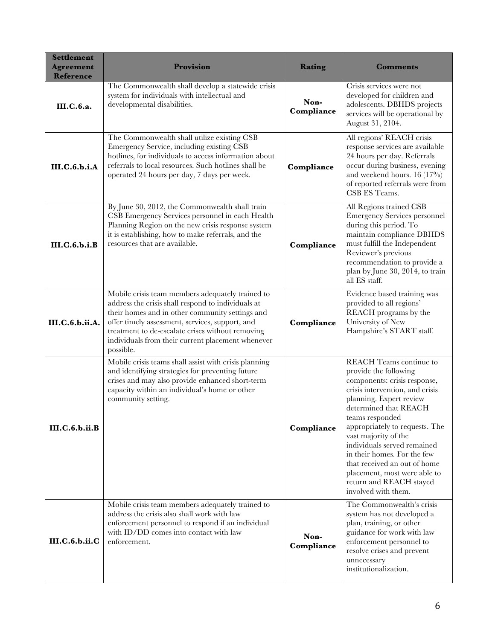| <b>Settlement</b><br><b>Agreement</b><br><b>Reference</b> | Provision                                                                                                                                                                                                                                                                                                                          | Rating             | <b>Comments</b>                                                                                                                                                                                                                                                                                                                                                                                                                             |
|-----------------------------------------------------------|------------------------------------------------------------------------------------------------------------------------------------------------------------------------------------------------------------------------------------------------------------------------------------------------------------------------------------|--------------------|---------------------------------------------------------------------------------------------------------------------------------------------------------------------------------------------------------------------------------------------------------------------------------------------------------------------------------------------------------------------------------------------------------------------------------------------|
| III.C.6.a.                                                | The Commonwealth shall develop a statewide crisis<br>system for individuals with intellectual and<br>developmental disabilities.                                                                                                                                                                                                   | Non-<br>Compliance | Crisis services were not<br>developed for children and<br>adolescents. DBHDS projects<br>services will be operational by<br>August 31, 2104.                                                                                                                                                                                                                                                                                                |
| <b>III.C.6.b.i.A</b>                                      | The Commonwealth shall utilize existing CSB<br>Emergency Service, including existing CSB<br>hotlines, for individuals to access information about<br>referrals to local resources. Such hotlines shall be<br>operated 24 hours per day, 7 days per week.                                                                           | Compliance         | All regions' REACH crisis<br>response services are available<br>24 hours per day. Referrals<br>occur during business, evening<br>and weekend hours. $16(17\%)$<br>of reported referrals were from<br>CSB ES Teams.                                                                                                                                                                                                                          |
| III.C.6.b.i.B                                             | By June 30, 2012, the Commonwealth shall train<br>CSB Emergency Services personnel in each Health<br>Planning Region on the new crisis response system<br>it is establishing, how to make referrals, and the<br>resources that are available.                                                                                      | Compliance         | All Regions trained CSB<br><b>Emergency Services personnel</b><br>during this period. To<br>maintain compliance DBHDS<br>must fulfill the Independent<br>Reviewer's previous<br>recommendation to provide a<br>plan by June 30, 2014, to train<br>all ES staff.                                                                                                                                                                             |
| III.C.6.b.ii.A.                                           | Mobile crisis team members adequately trained to<br>address the crisis shall respond to individuals at<br>their homes and in other community settings and<br>offer timely assessment, services, support, and<br>treatment to de-escalate crises without removing<br>individuals from their current placement whenever<br>possible. | Compliance         | Evidence based training was<br>provided to all regions'<br>REACH programs by the<br>University of New<br>Hampshire's START staff.                                                                                                                                                                                                                                                                                                           |
| III.C.6.b.ii.B                                            | Mobile crisis teams shall assist with crisis planning<br>and identifying strategies for preventing future<br>crises and may also provide enhanced short-term<br>capacity within an individual's home or other<br>community setting.                                                                                                | Compliance         | <b>REACH</b> Teams continue to<br>provide the following<br>components: crisis response,<br>crisis intervention, and crisis<br>planning. Expert review<br>determined that REACH<br>teams responded<br>appropriately to requests. The<br>vast majority of the<br>individuals served remained<br>in their homes. For the few<br>that received an out of home<br>placement, most were able to<br>return and REACH stayed<br>involved with them. |
| III.C.6.b.ii.C                                            | Mobile crisis team members adequately trained to<br>address the crisis also shall work with law<br>enforcement personnel to respond if an individual<br>with ID/DD comes into contact with law<br>enforcement.                                                                                                                     | Non-<br>Compliance | The Commonwealth's crisis<br>system has not developed a<br>plan, training, or other<br>guidance for work with law<br>enforcement personnel to<br>resolve crises and prevent<br>unnecessary<br>institutionalization.                                                                                                                                                                                                                         |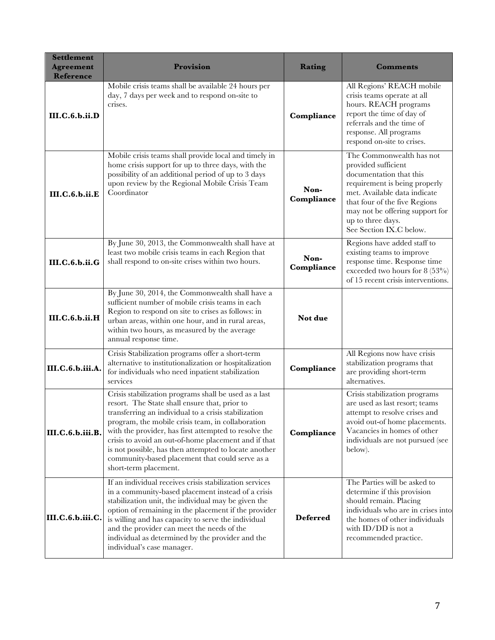| <b>Settlement</b><br><b>Agreement</b><br>Reference | Provision                                                                                                                                                                                                                                                                                                                                                                                                                                                                 | <b>Rating</b>      | <b>Comments</b>                                                                                                                                                                                                                                                 |
|----------------------------------------------------|---------------------------------------------------------------------------------------------------------------------------------------------------------------------------------------------------------------------------------------------------------------------------------------------------------------------------------------------------------------------------------------------------------------------------------------------------------------------------|--------------------|-----------------------------------------------------------------------------------------------------------------------------------------------------------------------------------------------------------------------------------------------------------------|
| <b>III.C.6.b.ii.D</b>                              | Mobile crisis teams shall be available 24 hours per<br>day, 7 days per week and to respond on-site to<br>crises.                                                                                                                                                                                                                                                                                                                                                          | Compliance         | All Regions' REACH mobile<br>crisis teams operate at all<br>hours. REACH programs<br>report the time of day of<br>referrals and the time of<br>response. All programs<br>respond on-site to crises.                                                             |
| III.C.6.b.ii.E                                     | Mobile crisis teams shall provide local and timely in<br>home crisis support for up to three days, with the<br>possibility of an additional period of up to 3 days<br>upon review by the Regional Mobile Crisis Team<br>Coordinator                                                                                                                                                                                                                                       | Non-<br>Compliance | The Commonwealth has not<br>provided sufficient<br>documentation that this<br>requirement is being properly<br>met. Available data indicate<br>that four of the five Regions<br>may not be offering support for<br>up to three days.<br>See Section IX.C below. |
| <b>III.C.6.b.ii.G</b>                              | By June 30, 2013, the Commonwealth shall have at<br>least two mobile crisis teams in each Region that<br>shall respond to on-site crises within two hours.                                                                                                                                                                                                                                                                                                                | Non-<br>Compliance | Regions have added staff to<br>existing teams to improve<br>response time. Response time<br>exceeded two hours for $8(53\%)$<br>of 15 recent crisis interventions.                                                                                              |
| <b>III.C.6.b.ii.H</b>                              | By June 30, 2014, the Commonwealth shall have a<br>sufficient number of mobile crisis teams in each<br>Region to respond on site to crises as follows: in<br>urban areas, within one hour, and in rural areas,<br>within two hours, as measured by the average<br>annual response time.                                                                                                                                                                                   | Not due            |                                                                                                                                                                                                                                                                 |
| III.C.6.b.iii.A.                                   | Crisis Stabilization programs offer a short-term<br>alternative to institutionalization or hospitalization<br>for individuals who need inpatient stabilization<br>services                                                                                                                                                                                                                                                                                                | Compliance         | All Regions now have crisis<br>stabilization programs that<br>are providing short-term<br>alternatives.                                                                                                                                                         |
| III.C.6.b.iii.B.                                   | Crisis stabilization programs shall be used as a last<br>resort. The State shall ensure that, prior to<br>transferring an individual to a crisis stabilization<br>program, the mobile crisis team, in collaboration<br>with the provider, has first attempted to resolve the<br>crisis to avoid an out-of-home placement and if that<br>is not possible, has then attempted to locate another<br>community-based placement that could serve as a<br>short-term placement. | Compliance         | Crisis stabilization programs<br>are used as last resort; teams<br>attempt to resolve crises and<br>avoid out-of home placements.<br>Vacancies in homes of other<br>individuals are not pursued (see<br>below).                                                 |
| III.C.6.b.iii.C.                                   | If an individual receives crisis stabilization services<br>in a community-based placement instead of a crisis<br>stabilization unit, the individual may be given the<br>option of remaining in the placement if the provider<br>is willing and has capacity to serve the individual<br>and the provider can meet the needs of the<br>individual as determined by the provider and the<br>individual's case manager.                                                       | <b>Deferred</b>    | The Parties will be asked to<br>determine if this provision<br>should remain. Placing<br>individuals who are in crises into<br>the homes of other individuals<br>with $ID/DD$ is not a<br>recommended practice.                                                 |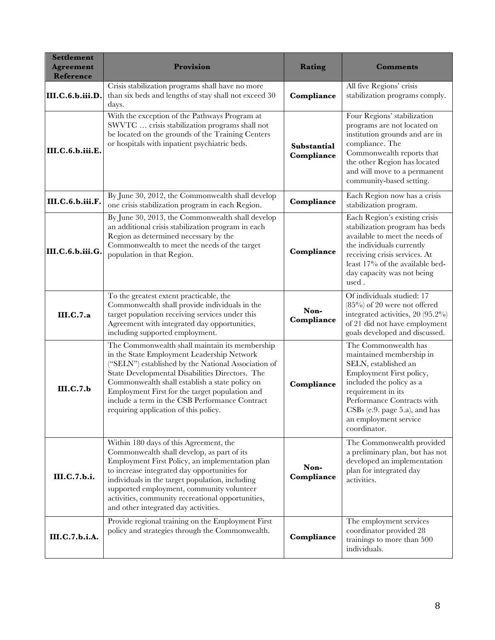| <b>Settlement</b><br><b>Agreement</b><br>Reference | Provision                                                                                                                                                                                                                                                                                                                                                                                             | Rating                    | <b>Comments</b>                                                                                                                                                                                                                                                  |
|----------------------------------------------------|-------------------------------------------------------------------------------------------------------------------------------------------------------------------------------------------------------------------------------------------------------------------------------------------------------------------------------------------------------------------------------------------------------|---------------------------|------------------------------------------------------------------------------------------------------------------------------------------------------------------------------------------------------------------------------------------------------------------|
| III.C.6.b.iii.D.                                   | Crisis stabilization programs shall have no more<br>than six beds and lengths of stay shall not exceed 30<br>days.                                                                                                                                                                                                                                                                                    | Compliance                | All five Regions' crisis<br>stabilization programs comply.                                                                                                                                                                                                       |
| III.C.6.b.iii.E.                                   | With the exception of the Pathways Program at<br>SWVTC  crisis stabilization programs shall not<br>be located on the grounds of the Training Centers<br>or hospitals with inpatient psychiatric beds.                                                                                                                                                                                                 | Substantial<br>Compliance | Four Regions' stabilization<br>programs are not located on<br>institution grounds and are in<br>compliance. The<br>Commonwealth reports that<br>the other Region has located<br>and will move to a permanent<br>community-based setting.                         |
| III.C.6.b.iii.F.                                   | By June 30, 2012, the Commonwealth shall develop<br>one crisis stabilization program in each Region.                                                                                                                                                                                                                                                                                                  | Compliance                | Each Region now has a crisis<br>stabilization program.                                                                                                                                                                                                           |
| III.C.6.b.iii.G.                                   | By June 30, 2013, the Commonwealth shall develop<br>an additional crisis stabilization program in each<br>Region as determined necessary by the<br>Commonwealth to meet the needs of the target<br>population in that Region.                                                                                                                                                                         | Compliance                | Each Region's existing crisis<br>stabilization program has beds<br>available to meet the needs of<br>the individuals currently<br>receiving crisis services. At<br>least 17% of the available bed-<br>day capacity was not being<br>used.                        |
| <b>III.C.7.a</b>                                   | To the greatest extent practicable, the<br>Commonwealth shall provide individuals in the<br>target population receiving services under this<br>Agreement with integrated day opportunities,<br>including supported employment.                                                                                                                                                                        | Non-<br>Compliance        | Of individuals studied: 17<br>$(85\%)$ of 20 were not offered<br>integrated activities, 20 (95.2%)<br>of 21 did not have employment<br>goals developed and discussed.                                                                                            |
| III.C.7.b                                          | The Commonwealth shall maintain its membership<br>in the State Employment Leadership Network<br>("SELN") established by the National Association of<br>State Developmental Disabilities Directors. The<br>Commonwealth shall establish a state policy on<br>Employment First for the target population and<br>include a term in the CSB Performance Contract<br>requiring application of this policy. | Compliance                | The Commonwealth has<br>maintained membership in<br>SELN, established an<br>Employment First policy,<br>included the policy as a<br>requirement in its<br>Performance Contracts with<br>$CSBs$ (e.9. page 5.a), and has<br>an employment service<br>coordinator. |
| III.C.7.b.i.                                       | Within 180 days of this Agreement, the<br>Commonwealth shall develop, as part of its<br>Employment First Policy, an implementation plan<br>to increase integrated day opportunities for<br>individuals in the target population, including<br>supported employment, community volunteer<br>activities, community recreational opportunities,<br>and other integrated day activities.                  | Non-<br>Compliance        | The Commonwealth provided<br>a preliminary plan, but has not<br>developed an implementation<br>plan for integrated day<br>activities.                                                                                                                            |
| III.C.7.b.i.A.                                     | Provide regional training on the Employment First<br>policy and strategies through the Commonwealth.                                                                                                                                                                                                                                                                                                  | Compliance                | The employment services<br>coordinator provided 28<br>trainings to more than 500<br>individuals.                                                                                                                                                                 |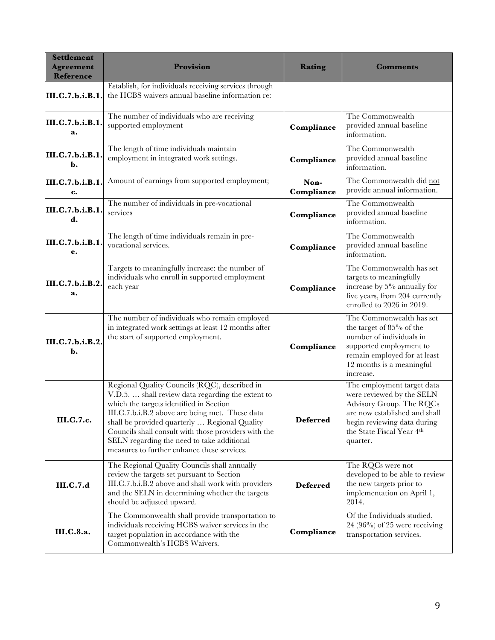| <b>Settlement</b><br><b>Agreement</b><br>Reference | Provision                                                                                                                                                                                                                                                                                                                                                                                              | Rating             | <b>Comments</b>                                                                                                                                                                              |
|----------------------------------------------------|--------------------------------------------------------------------------------------------------------------------------------------------------------------------------------------------------------------------------------------------------------------------------------------------------------------------------------------------------------------------------------------------------------|--------------------|----------------------------------------------------------------------------------------------------------------------------------------------------------------------------------------------|
| III.C.7.b.i.B.1.                                   | Establish, for individuals receiving services through<br>the HCBS waivers annual baseline information re:                                                                                                                                                                                                                                                                                              |                    |                                                                                                                                                                                              |
| III.C.7.b.i.B.1.<br>a.                             | The number of individuals who are receiving<br>supported employment                                                                                                                                                                                                                                                                                                                                    | Compliance         | The Commonwealth<br>provided annual baseline<br>information.                                                                                                                                 |
| III.C.7.b.i.B.1.<br>b.                             | The length of time individuals maintain<br>employment in integrated work settings.                                                                                                                                                                                                                                                                                                                     | Compliance         | The Commonwealth<br>provided annual baseline<br>information.                                                                                                                                 |
| III.C.7.b.i.B.1.<br>c.                             | Amount of earnings from supported employment;                                                                                                                                                                                                                                                                                                                                                          | Non-<br>Compliance | The Commonwealth did not<br>provide annual information.                                                                                                                                      |
| III.C.7.b.i.B.1.<br>d.                             | The number of individuals in pre-vocational<br>services                                                                                                                                                                                                                                                                                                                                                | Compliance         | The Commonwealth<br>provided annual baseline<br>information.                                                                                                                                 |
| III.C.7.b.i.B.1.<br>e.                             | The length of time individuals remain in pre-<br>vocational services.                                                                                                                                                                                                                                                                                                                                  | Compliance         | The Commonwealth<br>provided annual baseline<br>information.                                                                                                                                 |
| III.C.7.b.i.B.2.<br>a.                             | Targets to meaningfully increase: the number of<br>individuals who enroll in supported employment<br>each year                                                                                                                                                                                                                                                                                         | Compliance         | The Commonwealth has set<br>targets to meaningfully<br>increase by 5% annually for<br>five years, from 204 currently<br>enrolled to 2026 in 2019.                                            |
| III.C.7.b.i.B.2.<br>$\mathbf{b}$ .                 | The number of individuals who remain employed<br>in integrated work settings at least 12 months after<br>the start of supported employment.                                                                                                                                                                                                                                                            | Compliance         | The Commonwealth has set<br>the target of 85% of the<br>number of individuals in<br>supported employment to<br>remain employed for at least<br>12 months is a meaningful<br>increase.        |
| III.C.7.c.                                         | Regional Quality Councils (RQC), described in<br>V.D.5.  shall review data regarding the extent to<br>which the targets identified in Section<br>III.C.7.b.i.B.2 above are being met. These data<br>shall be provided quarterly  Regional Quality<br>Councils shall consult with those providers with the<br>SELN regarding the need to take additional<br>measures to further enhance these services. | <b>Deferred</b>    | The employment target data<br>were reviewed by the SELN<br>Advisory Group. The RQCs<br>are now established and shall<br>begin reviewing data during<br>the State Fiscal Year 4th<br>quarter. |
| <b>III.C.7.d</b>                                   | The Regional Quality Councils shall annually<br>review the targets set pursuant to Section<br>III.C.7.b.i.B.2 above and shall work with providers<br>and the SELN in determining whether the targets<br>should be adjusted upward.                                                                                                                                                                     | <b>Deferred</b>    | The RQCs were not<br>developed to be able to review<br>the new targets prior to<br>implementation on April 1,<br>2014.                                                                       |
| III.C.8.a.                                         | The Commonwealth shall provide transportation to<br>individuals receiving HCBS waiver services in the<br>target population in accordance with the<br>Commonwealth's HCBS Waivers.                                                                                                                                                                                                                      | Compliance         | Of the Individuals studied,<br>$24 (96\%)$ of 25 were receiving<br>transportation services.                                                                                                  |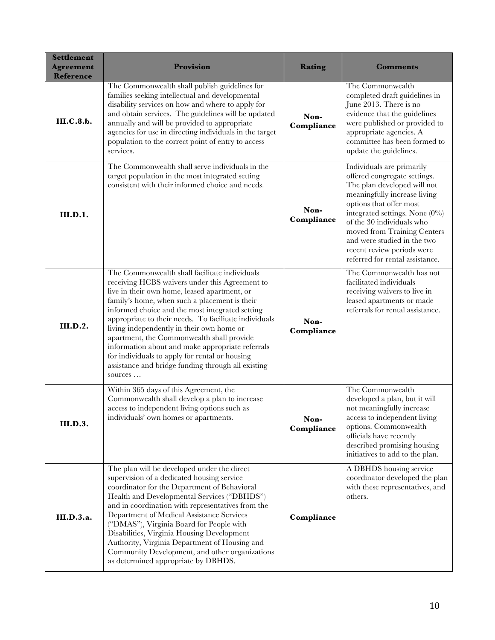| <b>Settlement</b><br><b>Agreement</b><br>Reference | Provision                                                                                                                                                                                                                                                                                                                                                                                                                                                                                                                                                                     | Rating             | <b>Comments</b>                                                                                                                                                                                                                                                                                                                                      |
|----------------------------------------------------|-------------------------------------------------------------------------------------------------------------------------------------------------------------------------------------------------------------------------------------------------------------------------------------------------------------------------------------------------------------------------------------------------------------------------------------------------------------------------------------------------------------------------------------------------------------------------------|--------------------|------------------------------------------------------------------------------------------------------------------------------------------------------------------------------------------------------------------------------------------------------------------------------------------------------------------------------------------------------|
| <b>III.C.8.b.</b>                                  | The Commonwealth shall publish guidelines for<br>families seeking intellectual and developmental<br>disability services on how and where to apply for<br>and obtain services. The guidelines will be updated<br>annually and will be provided to appropriate<br>agencies for use in directing individuals in the target<br>population to the correct point of entry to access<br>services.                                                                                                                                                                                    | Non-<br>Compliance | The Commonwealth<br>completed draft guidelines in<br>June 2013. There is no<br>evidence that the guidelines<br>were published or provided to<br>appropriate agencies. A<br>committee has been formed to<br>update the guidelines.                                                                                                                    |
| <b>III.D.1.</b>                                    | The Commonwealth shall serve individuals in the<br>target population in the most integrated setting<br>consistent with their informed choice and needs.                                                                                                                                                                                                                                                                                                                                                                                                                       | Non-<br>Compliance | Individuals are primarily<br>offered congregate settings.<br>The plan developed will not<br>meaningfully increase living<br>options that offer most<br>integrated settings. None $(0\%)$<br>of the 30 individuals who<br>moved from Training Centers<br>and were studied in the two<br>recent review periods were<br>referred for rental assistance. |
| <b>III.D.2.</b>                                    | The Commonwealth shall facilitate individuals<br>receiving HCBS waivers under this Agreement to<br>live in their own home, leased apartment, or<br>family's home, when such a placement is their<br>informed choice and the most integrated setting<br>appropriate to their needs. To facilitate individuals<br>living independently in their own home or<br>apartment, the Commonwealth shall provide<br>information about and make appropriate referrals<br>for individuals to apply for rental or housing<br>assistance and bridge funding through all existing<br>sources | Non-<br>Compliance | The Commonwealth has not<br>facilitated individuals<br>receiving waivers to live in<br>leased apartments or made<br>referrals for rental assistance.                                                                                                                                                                                                 |
| <b>III.D.3.</b>                                    | Within 365 days of this Agreement, the<br>Commonwealth shall develop a plan to increase<br>access to independent living options such as<br>individuals' own homes or apartments.                                                                                                                                                                                                                                                                                                                                                                                              | Non-<br>Compliance | The Commonwealth<br>developed a plan, but it will<br>not meaningfully increase<br>access to independent living<br>options. Commonwealth<br>officials have recently<br>described promising housing<br>initiatives to add to the plan.                                                                                                                 |
| III.D.3.a.                                         | The plan will be developed under the direct<br>supervision of a dedicated housing service<br>coordinator for the Department of Behavioral<br>Health and Developmental Services ("DBHDS")<br>and in coordination with representatives from the<br>Department of Medical Assistance Services<br>("DMAS"), Virginia Board for People with<br>Disabilities, Virginia Housing Development<br>Authority, Virginia Department of Housing and<br>Community Development, and other organizations<br>as determined appropriate by DBHDS.                                                | Compliance         | A DBHDS housing service<br>coordinator developed the plan<br>with these representatives, and<br>others.                                                                                                                                                                                                                                              |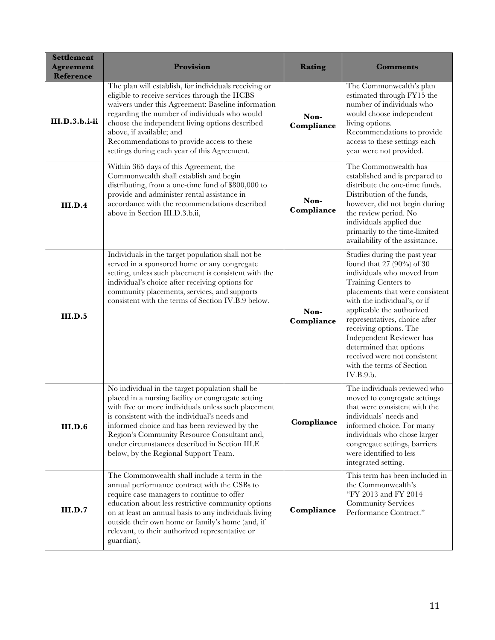| <b>Settlement</b><br><b>Agreement</b><br><b>Reference</b> | Provision                                                                                                                                                                                                                                                                                                                                                                                              | Rating             | <b>Comments</b>                                                                                                                                                                                                                                                                                                                                                                                               |
|-----------------------------------------------------------|--------------------------------------------------------------------------------------------------------------------------------------------------------------------------------------------------------------------------------------------------------------------------------------------------------------------------------------------------------------------------------------------------------|--------------------|---------------------------------------------------------------------------------------------------------------------------------------------------------------------------------------------------------------------------------------------------------------------------------------------------------------------------------------------------------------------------------------------------------------|
| III.D.3.b.i-ii                                            | The plan will establish, for individuals receiving or<br>eligible to receive services through the HCBS<br>waivers under this Agreement: Baseline information<br>regarding the number of individuals who would<br>choose the independent living options described<br>above, if available; and<br>Recommendations to provide access to these<br>settings during each year of this Agreement.             | Non-<br>Compliance | The Commonwealth's plan<br>estimated through FY15 the<br>number of individuals who<br>would choose independent<br>living options.<br>Recommendations to provide<br>access to these settings each<br>year were not provided.                                                                                                                                                                                   |
| III.D.4                                                   | Within 365 days of this Agreement, the<br>Commonwealth shall establish and begin<br>distributing, from a one-time fund of \$800,000 to<br>provide and administer rental assistance in<br>accordance with the recommendations described<br>above in Section III.D.3.b.ii,                                                                                                                               | Non-<br>Compliance | The Commonwealth has<br>established and is prepared to<br>distribute the one-time funds.<br>Distribution of the funds,<br>however, did not begin during<br>the review period. No<br>individuals applied due<br>primarily to the time-limited<br>availability of the assistance.                                                                                                                               |
| <b>III.D.5</b>                                            | Individuals in the target population shall not be<br>served in a sponsored home or any congregate<br>setting, unless such placement is consistent with the<br>individual's choice after receiving options for<br>community placements, services, and supports<br>consistent with the terms of Section IV.B.9 below.                                                                                    | Non-<br>Compliance | Studies during the past year<br>found that 27 $(90\%)$ of 30<br>individuals who moved from<br>Training Centers to<br>placements that were consistent<br>with the individual's, or if<br>applicable the authorized<br>representatives, choice after<br>receiving options. The<br>Independent Reviewer has<br>determined that options<br>received were not consistent<br>with the terms of Section<br>IV.B.9.b. |
| III.D.6                                                   | No individual in the target population shall be<br>placed in a nursing facility or congregate setting<br>with five or more individuals unless such placement<br>is consistent with the individual's needs and<br>informed choice and has been reviewed by the<br>Region's Community Resource Consultant and,<br>under circumstances described in Section III.E<br>below, by the Regional Support Team. | Compliance         | The individuals reviewed who<br>moved to congregate settings<br>that were consistent with the<br>individuals' needs and<br>informed choice. For many<br>individuals who chose larger<br>congregate settings, barriers<br>were identified to less<br>integrated setting.                                                                                                                                       |
| III.D.7                                                   | The Commonwealth shall include a term in the<br>annual performance contract with the CSBs to<br>require case managers to continue to offer<br>education about less restrictive community options<br>on at least an annual basis to any individuals living<br>outside their own home or family's home (and, if<br>relevant, to their authorized representative or<br>guardian).                         | Compliance         | This term has been included in<br>the Commonwealth's<br>"FY 2013 and FY 2014<br><b>Community Services</b><br>Performance Contract."                                                                                                                                                                                                                                                                           |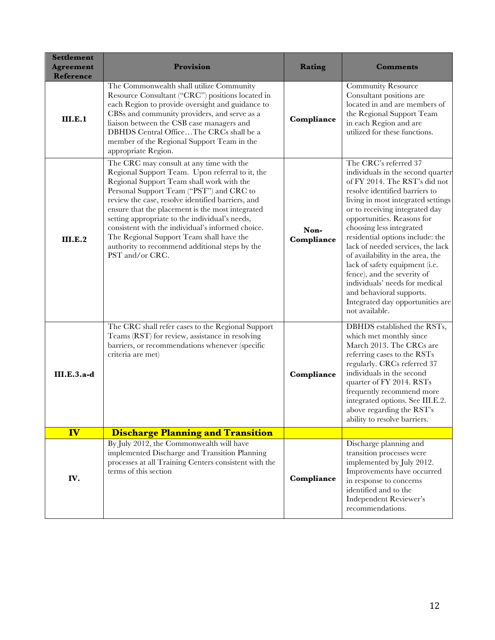| <b>Settlement</b><br><b>Agreement</b><br>Reference | Provision                                                                                                                                                                                                                                                                                                                                                                                                                                                                                                             | Rating             | <b>Comments</b>                                                                                                                                                                                                                                                                                                                                                                                                                                                                                                                                                   |
|----------------------------------------------------|-----------------------------------------------------------------------------------------------------------------------------------------------------------------------------------------------------------------------------------------------------------------------------------------------------------------------------------------------------------------------------------------------------------------------------------------------------------------------------------------------------------------------|--------------------|-------------------------------------------------------------------------------------------------------------------------------------------------------------------------------------------------------------------------------------------------------------------------------------------------------------------------------------------------------------------------------------------------------------------------------------------------------------------------------------------------------------------------------------------------------------------|
| III.E.1                                            | The Commonwealth shall utilize Community<br>Resource Consultant ("CRC") positions located in<br>each Region to provide oversight and guidance to<br>CBSs and community providers, and serve as a<br>liaison between the CSB case managers and<br>DBHDS Central OfficeThe CRCs shall be a<br>member of the Regional Support Team in the<br>appropriate Region.                                                                                                                                                         | Compliance         | <b>Community Resource</b><br>Consultant positions are<br>located in and are members of<br>the Regional Support Team<br>in each Region and are<br>utilized for these functions.                                                                                                                                                                                                                                                                                                                                                                                    |
| III.E.2                                            | The CRC may consult at any time with the<br>Regional Support Team. Upon referral to it, the<br>Regional Support Team shall work with the<br>Personal Support Team ("PST") and CRC to<br>review the case, resolve identified barriers, and<br>ensure that the placement is the most integrated<br>setting appropriate to the individual's needs,<br>consistent with the individual's informed choice.<br>The Regional Support Team shall have the<br>authority to recommend additional steps by the<br>PST and/or CRC. | Non-<br>Compliance | The CRC's referred 37<br>individuals in the second quarter<br>of FY 2014. The RST's did not<br>resolve identified barriers to<br>living in most integrated settings<br>or to receiving integrated day<br>opportunities. Reasons for<br>choosing less integrated<br>residential options include: the<br>lack of needed services, the lack<br>of availability in the area, the<br>lack of safety equipment (i.e.<br>fence), and the severity of<br>individuals' needs for medical<br>and behavioral supports.<br>Integrated day opportunities are<br>not available. |
| <b>III.E.3.a-d</b>                                 | The CRC shall refer cases to the Regional Support<br>Teams (RST) for review, assistance in resolving<br>barriers, or recommendations whenever (specific<br>criteria are met)                                                                                                                                                                                                                                                                                                                                          | Compliance         | DBHDS established the RSTs,<br>which met monthly since<br>March 2013. The CRCs are<br>referring cases to the RSTs<br>regularly. CRCs referred 37<br>individuals in the second<br>quarter of FY 2014. RSTs<br>frequently recommend more<br>integrated options. See III.E.2.<br>above regarding the RST's<br>ability to resolve barriers.                                                                                                                                                                                                                           |
| IV                                                 | <b>Discharge Planning and Transition</b>                                                                                                                                                                                                                                                                                                                                                                                                                                                                              |                    |                                                                                                                                                                                                                                                                                                                                                                                                                                                                                                                                                                   |
| IV.                                                | By July 2012, the Commonwealth will have<br>implemented Discharge and Transition Planning<br>processes at all Training Centers consistent with the<br>terms of this section                                                                                                                                                                                                                                                                                                                                           | Compliance         | Discharge planning and<br>transition processes were<br>implemented by July 2012.<br>Improvements have occurred<br>in response to concerns<br>identified and to the<br><b>Independent Reviewer's</b><br>recommendations.                                                                                                                                                                                                                                                                                                                                           |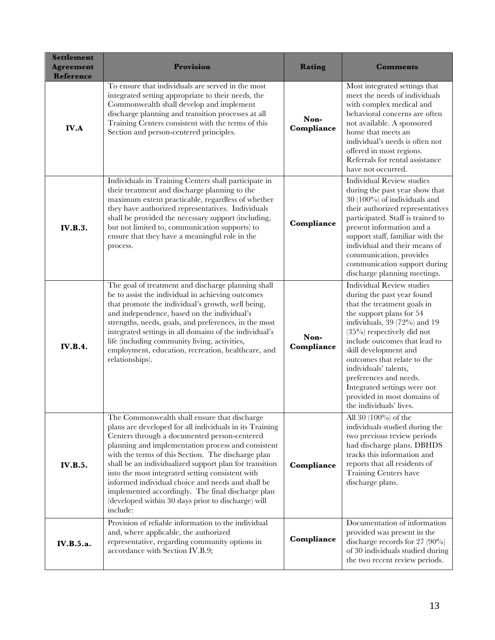| <b>Settlement</b><br><b>Agreement</b><br>Reference | Provision                                                                                                                                                                                                                                                                                                                                                                                                                                                                                                                                                     | Rating             | <b>Comments</b>                                                                                                                                                                                                                                                                                                                                                                                                                  |
|----------------------------------------------------|---------------------------------------------------------------------------------------------------------------------------------------------------------------------------------------------------------------------------------------------------------------------------------------------------------------------------------------------------------------------------------------------------------------------------------------------------------------------------------------------------------------------------------------------------------------|--------------------|----------------------------------------------------------------------------------------------------------------------------------------------------------------------------------------------------------------------------------------------------------------------------------------------------------------------------------------------------------------------------------------------------------------------------------|
| <b>IV.A</b>                                        | To ensure that individuals are served in the most<br>integrated setting appropriate to their needs, the<br>Commonwealth shall develop and implement<br>discharge planning and transition processes at all<br>Training Centers consistent with the terms of this<br>Section and person-centered principles.                                                                                                                                                                                                                                                    | Non-<br>Compliance | Most integrated settings that<br>meet the needs of individuals<br>with complex medical and<br>behavioral concerns are often<br>not available. A sponsored<br>home that meets an<br>individual's needs is often not<br>offered in most regions.<br>Referrals for rental assistance<br>have not occurred.                                                                                                                          |
| <b>IV.B.3.</b>                                     | Individuals in Training Centers shall participate in<br>their treatment and discharge planning to the<br>maximum extent practicable, regardless of whether<br>they have authorized representatives. Individuals<br>shall be provided the necessary support (including,<br>but not limited to, communication supports) to<br>ensure that they have a meaningful role in the<br>process.                                                                                                                                                                        | Compliance         | <b>Individual Review studies</b><br>during the past year show that<br>$30(100\%)$ of individuals and<br>their authorized representatives<br>participated. Staff is trained to<br>present information and a<br>support staff, familiar with the<br>individual and their means of<br>communication, provides<br>communication support during<br>discharge planning meetings.                                                       |
| <b>IV.B.4.</b>                                     | The goal of treatment and discharge planning shall<br>be to assist the individual in achieving outcomes<br>that promote the individual's growth, well being,<br>and independence, based on the individual's<br>strengths, needs, goals, and preferences, in the most<br>integrated settings in all domains of the individual's<br>life (including community living, activities,<br>employment, education, recreation, healthcare, and<br>relationships).                                                                                                      | Non-<br>Compliance | <b>Individual Review studies</b><br>during the past year found<br>that the treatment goals in<br>the support plans for 54<br>individuals, 39 (72%) and 19<br>$(35\%)$ respectively did not<br>include outcomes that lead to<br>skill development and<br>outcomes that relate to the<br>individuals' talents,<br>preferences and needs.<br>Integrated settings were not<br>provided in most domains of<br>the individuals' lives. |
| <b>IV.B.5.</b>                                     | The Commonwealth shall ensure that discharge<br>plans are developed for all individuals in its Training<br>Centers through a documented person-centered<br>planning and implementation process and consistent<br>with the terms of this Section. The discharge plan<br>shall be an individualized support plan for transition<br>into the most integrated setting consistent with<br>informed individual choice and needs and shall be<br>implemented accordingly. The final discharge plan<br>(developed within 30 days prior to discharge) will<br>include: | Compliance         | All 30 (100%) of the<br>individuals studied during the<br>two previous review periods<br>had discharge plans. DBHDS<br>tracks this information and<br>reports that all residents of<br>Training Centers have<br>discharge plans.                                                                                                                                                                                                 |
| <b>IV.B.5.a.</b>                                   | Provision of reliable information to the individual<br>and, where applicable, the authorized<br>representative, regarding community options in<br>accordance with Section IV.B.9;                                                                                                                                                                                                                                                                                                                                                                             | Compliance         | Documentation of information<br>provided was present in the<br>discharge records for 27 $(90\%)$<br>of 30 individuals studied during<br>the two recent review periods.                                                                                                                                                                                                                                                           |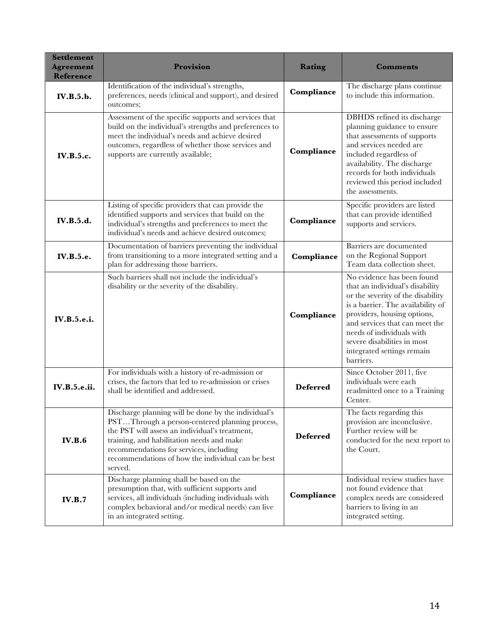| <b>Settlement</b><br><b>Agreement</b><br><b>Reference</b> | Provision                                                                                                                                                                                                                                                                                                       | Rating          | <b>Comments</b>                                                                                                                                                                                                                                                                                                 |
|-----------------------------------------------------------|-----------------------------------------------------------------------------------------------------------------------------------------------------------------------------------------------------------------------------------------------------------------------------------------------------------------|-----------------|-----------------------------------------------------------------------------------------------------------------------------------------------------------------------------------------------------------------------------------------------------------------------------------------------------------------|
| IV.B.5.b.                                                 | Identification of the individual's strengths,<br>preferences, needs (clinical and support), and desired<br>outcomes;                                                                                                                                                                                            | Compliance      | The discharge plans continue<br>to include this information.                                                                                                                                                                                                                                                    |
| <b>IV.B.5.c.</b>                                          | Assessment of the specific supports and services that<br>build on the individual's strengths and preferences to<br>meet the individual's needs and achieve desired<br>outcomes, regardless of whether those services and<br>supports are currently available;                                                   | Compliance      | DBHDS refined its discharge<br>planning guidance to ensure<br>that assessments of supports<br>and services needed are<br>included regardless of<br>availability. The discharge<br>records for both individuals<br>reviewed this period included<br>the assessments.                                             |
| <b>IV.B.5.d.</b>                                          | Listing of specific providers that can provide the<br>identified supports and services that build on the<br>individual's strengths and preferences to meet the<br>individual's needs and achieve desired outcomes;                                                                                              | Compliance      | Specific providers are listed<br>that can provide identified<br>supports and services.                                                                                                                                                                                                                          |
| IV.B.5.e.                                                 | Documentation of barriers preventing the individual<br>from transitioning to a more integrated setting and a<br>plan for addressing those barriers.                                                                                                                                                             | Compliance      | Barriers are documented<br>on the Regional Support<br>Team data collection sheet.                                                                                                                                                                                                                               |
| IV.B.5.e.i.                                               | Such barriers shall not include the individual's<br>disability or the severity of the disability.                                                                                                                                                                                                               | Compliance      | No evidence has been found<br>that an individual's disability<br>or the severity of the disability<br>is a barrier. The availability of<br>providers, housing options,<br>and services that can meet the<br>needs of individuals with<br>severe disabilities in most<br>integrated settings remain<br>barriers. |
| <b>IV.B.5.e.ii.</b>                                       | For individuals with a history of re-admission or<br>crises, the factors that led to re-admission or crises<br>shall be identified and addressed.                                                                                                                                                               | <b>Deferred</b> | Since October 2011, five<br>individuals were each<br>readmitted once to a Training<br>Center.                                                                                                                                                                                                                   |
| <b>IV.B.6</b>                                             | Discharge planning will be done by the individual's<br>PSTThrough a person-centered planning process,<br>the PST will assess an individual's treatment,<br>training, and habilitation needs and make<br>recommendations for services, including<br>recommendations of how the individual can be best<br>served. | <b>Deferred</b> | The facts regarding this<br>provision are inconclusive.<br>Further review will be<br>conducted for the next report to<br>the Court.                                                                                                                                                                             |
| <b>IV.B.7</b>                                             | Discharge planning shall be based on the<br>presumption that, with sufficient supports and<br>services, all individuals (including individuals with<br>complex behavioral and/or medical needs) can live<br>in an integrated setting.                                                                           | Compliance      | Individual review studies have<br>not found evidence that<br>complex needs are considered<br>barriers to living in an<br>integrated setting.                                                                                                                                                                    |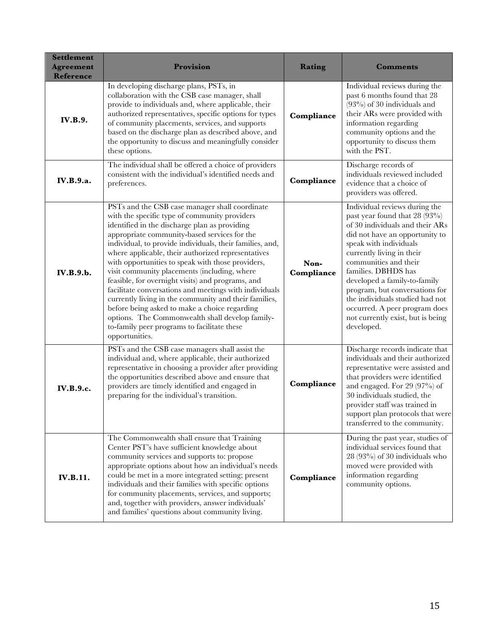| <b>Settlement</b><br><b>Agreement</b><br>Reference | Provision                                                                                                                                                                                                                                                                                                                                                                                                                                                                                                                                                                                                                                                                                                                                                            | <b>Rating</b>      | <b>Comments</b>                                                                                                                                                                                                                                                                                                                                                                                                                     |
|----------------------------------------------------|----------------------------------------------------------------------------------------------------------------------------------------------------------------------------------------------------------------------------------------------------------------------------------------------------------------------------------------------------------------------------------------------------------------------------------------------------------------------------------------------------------------------------------------------------------------------------------------------------------------------------------------------------------------------------------------------------------------------------------------------------------------------|--------------------|-------------------------------------------------------------------------------------------------------------------------------------------------------------------------------------------------------------------------------------------------------------------------------------------------------------------------------------------------------------------------------------------------------------------------------------|
| <b>IV.B.9.</b>                                     | In developing discharge plans, PSTs, in<br>collaboration with the CSB case manager, shall<br>provide to individuals and, where applicable, their<br>authorized representatives, specific options for types<br>of community placements, services, and supports<br>based on the discharge plan as described above, and<br>the opportunity to discuss and meaningfully consider<br>these options.                                                                                                                                                                                                                                                                                                                                                                       | Compliance         | Individual reviews during the<br>past 6 months found that 28<br>$(93\%)$ of 30 individuals and<br>their ARs were provided with<br>information regarding<br>community options and the<br>opportunity to discuss them<br>with the PST.                                                                                                                                                                                                |
| IV.B.9.a.                                          | The individual shall be offered a choice of providers<br>consistent with the individual's identified needs and<br>preferences.                                                                                                                                                                                                                                                                                                                                                                                                                                                                                                                                                                                                                                       | Compliance         | Discharge records of<br>individuals reviewed included<br>evidence that a choice of<br>providers was offered.                                                                                                                                                                                                                                                                                                                        |
| IV.B.9.b.                                          | PSTs and the CSB case manager shall coordinate<br>with the specific type of community providers<br>identified in the discharge plan as providing<br>appropriate community-based services for the<br>individual, to provide individuals, their families, and,<br>where applicable, their authorized representatives<br>with opportunities to speak with those providers,<br>visit community placements (including, where<br>feasible, for overnight visits) and programs, and<br>facilitate conversations and meetings with individuals<br>currently living in the community and their families,<br>before being asked to make a choice regarding<br>options. The Commonwealth shall develop family-<br>to-family peer programs to facilitate these<br>opportunities. | Non-<br>Compliance | Individual reviews during the<br>past year found that 28 (93%)<br>of 30 individuals and their ARs<br>did not have an opportunity to<br>speak with individuals<br>currently living in their<br>communities and their<br>families. DBHDS has<br>developed a family-to-family<br>program, but conversations for<br>the individuals studied had not<br>occurred. A peer program does<br>not currently exist, but is being<br>developed. |
| <b>IV.B.9.c.</b>                                   | PSTs and the CSB case managers shall assist the<br>individual and, where applicable, their authorized<br>representative in choosing a provider after providing<br>the opportunities described above and ensure that<br>providers are timely identified and engaged in<br>preparing for the individual's transition.                                                                                                                                                                                                                                                                                                                                                                                                                                                  | Compliance         | Discharge records indicate that<br>individuals and their authorized<br>representative were assisted and<br>that providers were identified<br>and engaged. For 29 (97%) of<br>30 individuals studied, the<br>provider staff was trained in<br>support plan protocols that were<br>transferred to the community.                                                                                                                      |
| <b>IV.B.11.</b>                                    | The Commonwealth shall ensure that Training<br>Center PST's have sufficient knowledge about<br>community services and supports to: propose<br>appropriate options about how an individual's needs<br>could be met in a more integrated setting; present<br>individuals and their families with specific options<br>for community placements, services, and supports;<br>and, together with providers, answer individuals'<br>and families' questions about community living.                                                                                                                                                                                                                                                                                         | Compliance         | During the past year, studies of<br>individual services found that<br>$28(93%)$ of 30 individuals who<br>moved were provided with<br>information regarding<br>community options.                                                                                                                                                                                                                                                    |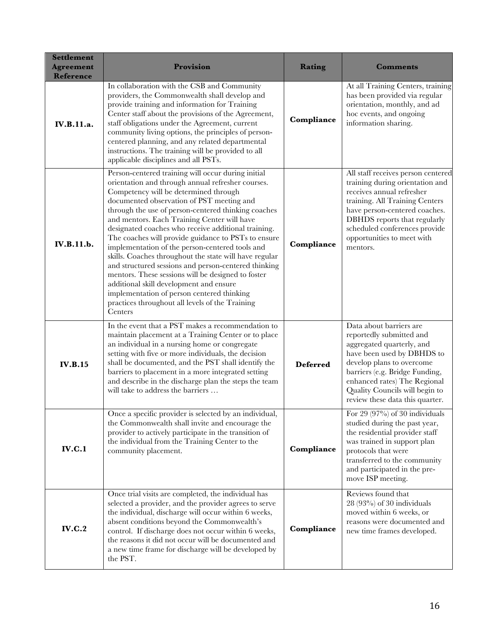| <b>Settlement</b><br><b>Agreement</b><br>Reference | Provision                                                                                                                                                                                                                                                                                                                                                                                                                                                                                                                                                                                                                                                                                                                                                                                           | <b>Rating</b>   | Comments                                                                                                                                                                                                                                                                           |
|----------------------------------------------------|-----------------------------------------------------------------------------------------------------------------------------------------------------------------------------------------------------------------------------------------------------------------------------------------------------------------------------------------------------------------------------------------------------------------------------------------------------------------------------------------------------------------------------------------------------------------------------------------------------------------------------------------------------------------------------------------------------------------------------------------------------------------------------------------------------|-----------------|------------------------------------------------------------------------------------------------------------------------------------------------------------------------------------------------------------------------------------------------------------------------------------|
| IV.B.11.a.                                         | In collaboration with the CSB and Community<br>providers, the Commonwealth shall develop and<br>provide training and information for Training<br>Center staff about the provisions of the Agreement,<br>staff obligations under the Agreement, current<br>community living options, the principles of person-<br>centered planning, and any related departmental<br>instructions. The training will be provided to all<br>applicable disciplines and all PSTs.                                                                                                                                                                                                                                                                                                                                      | Compliance      | At all Training Centers, training<br>has been provided via regular<br>orientation, monthly, and ad<br>hoc events, and ongoing<br>information sharing.                                                                                                                              |
| IV.B.11.b.                                         | Person-centered training will occur during initial<br>orientation and through annual refresher courses.<br>Competency will be determined through<br>documented observation of PST meeting and<br>through the use of person-centered thinking coaches<br>and mentors. Each Training Center will have<br>designated coaches who receive additional training.<br>The coaches will provide guidance to PSTs to ensure<br>implementation of the person-centered tools and<br>skills. Coaches throughout the state will have regular<br>and structured sessions and person-centered thinking<br>mentors. These sessions will be designed to foster<br>additional skill development and ensure<br>implementation of person centered thinking<br>practices throughout all levels of the Training<br>Centers | Compliance      | All staff receives person centered<br>training during orientation and<br>receives annual refresher<br>training. All Training Centers<br>have person-centered coaches.<br>DBHDS reports that regularly<br>scheduled conferences provide<br>opportunities to meet with<br>mentors.   |
| <b>IV.B.15</b>                                     | In the event that a PST makes a recommendation to<br>maintain placement at a Training Center or to place<br>an individual in a nursing home or congregate<br>setting with five or more individuals, the decision<br>shall be documented, and the PST shall identify the<br>barriers to placement in a more integrated setting<br>and describe in the discharge plan the steps the team<br>will take to address the barriers                                                                                                                                                                                                                                                                                                                                                                         | <b>Deferred</b> | Data about barriers are<br>reportedly submitted and<br>aggregated quarterly, and<br>have been used by DBHDS to<br>develop plans to overcome<br>barriers (e.g. Bridge Funding,<br>enhanced rates) The Regional<br>Quality Councils will begin to<br>review these data this quarter. |
| <b>IV.C.1</b>                                      | Once a specific provider is selected by an individual,<br>the Commonwealth shall invite and encourage the<br>provider to actively participate in the transition of<br>the individual from the Training Center to the<br>community placement.                                                                                                                                                                                                                                                                                                                                                                                                                                                                                                                                                        | Compliance      | For 29 (97%) of 30 individuals<br>studied during the past year,<br>the residential provider staff<br>was trained in support plan<br>protocols that were<br>transferred to the community<br>and participated in the pre-<br>move ISP meeting.                                       |
| <b>IV.C.2</b>                                      | Once trial visits are completed, the individual has<br>selected a provider, and the provider agrees to serve<br>the individual, discharge will occur within 6 weeks,<br>absent conditions beyond the Commonwealth's<br>control. If discharge does not occur within 6 weeks,<br>the reasons it did not occur will be documented and<br>a new time frame for discharge will be developed by<br>the PST.                                                                                                                                                                                                                                                                                                                                                                                               | Compliance      | Reviews found that<br>$28(93%)$ of 30 individuals<br>moved within 6 weeks, or<br>reasons were documented and<br>new time frames developed.                                                                                                                                         |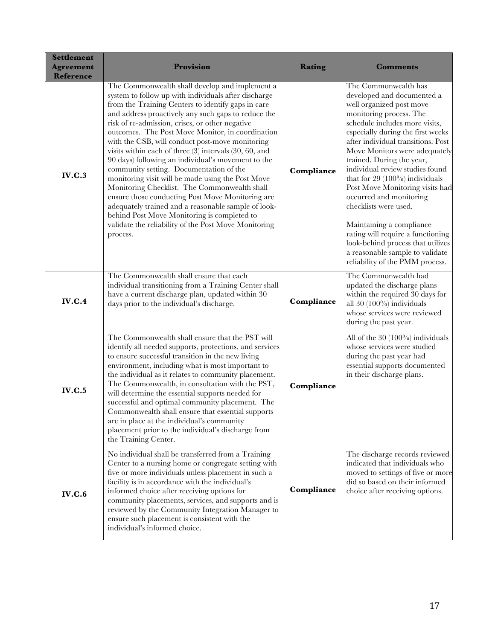| <b>Settlement</b><br><b>Agreement</b><br><b>Reference</b> | Provision                                                                                                                                                                                                                                                                                                                                                                                                                                                                                                                                                                                                                                                                                                                                                                                                                                                                   | Rating     | <b>Comments</b>                                                                                                                                                                                                                                                                                                                                                                                                                                                                                                                                                                                                                |
|-----------------------------------------------------------|-----------------------------------------------------------------------------------------------------------------------------------------------------------------------------------------------------------------------------------------------------------------------------------------------------------------------------------------------------------------------------------------------------------------------------------------------------------------------------------------------------------------------------------------------------------------------------------------------------------------------------------------------------------------------------------------------------------------------------------------------------------------------------------------------------------------------------------------------------------------------------|------------|--------------------------------------------------------------------------------------------------------------------------------------------------------------------------------------------------------------------------------------------------------------------------------------------------------------------------------------------------------------------------------------------------------------------------------------------------------------------------------------------------------------------------------------------------------------------------------------------------------------------------------|
| <b>IV.C.3</b>                                             | The Commonwealth shall develop and implement a<br>system to follow up with individuals after discharge<br>from the Training Centers to identify gaps in care<br>and address proactively any such gaps to reduce the<br>risk of re-admission, crises, or other negative<br>outcomes. The Post Move Monitor, in coordination<br>with the CSB, will conduct post-move monitoring<br>visits within each of three (3) intervals (30, 60, and<br>90 days) following an individual's movement to the<br>community setting. Documentation of the<br>monitoring visit will be made using the Post Move<br>Monitoring Checklist. The Commonwealth shall<br>ensure those conducting Post Move Monitoring are<br>adequately trained and a reasonable sample of look-<br>behind Post Move Monitoring is completed to<br>validate the reliability of the Post Move Monitoring<br>process. | Compliance | The Commonwealth has<br>developed and documented a<br>well organized post move<br>monitoring process. The<br>schedule includes more visits,<br>especially during the first weeks<br>after individual transitions. Post<br>Move Monitors were adequately<br>trained. During the year,<br>individual review studies found<br>that for $29(100\%)$ individuals<br>Post Move Monitoring visits had<br>occurred and monitoring<br>checklists were used.<br>Maintaining a compliance<br>rating will require a functioning<br>look-behind process that utilizes<br>a reasonable sample to validate<br>reliability of the PMM process. |
| <b>IV.C.4</b>                                             | The Commonwealth shall ensure that each<br>individual transitioning from a Training Center shall<br>have a current discharge plan, updated within 30<br>days prior to the individual's discharge.                                                                                                                                                                                                                                                                                                                                                                                                                                                                                                                                                                                                                                                                           | Compliance | The Commonwealth had<br>updated the discharge plans<br>within the required 30 days for<br>all 30 (100%) individuals<br>whose services were reviewed<br>during the past year.                                                                                                                                                                                                                                                                                                                                                                                                                                                   |
| <b>IV.C.5</b>                                             | The Commonwealth shall ensure that the PST will<br>identify all needed supports, protections, and services<br>to ensure successful transition in the new living<br>environment, including what is most important to<br>the individual as it relates to community placement.<br>The Commonwealth, in consultation with the PST,<br>will determine the essential supports needed for<br>successful and optimal community placement. The<br>Commonwealth shall ensure that essential supports<br>are in place at the individual's community<br>placement prior to the individual's discharge from<br>the Training Center.                                                                                                                                                                                                                                                      | Compliance | All of the $30(100\%)$ individuals<br>whose services were studied<br>during the past year had<br>essential supports documented<br>in their discharge plans.                                                                                                                                                                                                                                                                                                                                                                                                                                                                    |
| <b>IV.C.6</b>                                             | No individual shall be transferred from a Training<br>Center to a nursing home or congregate setting with<br>five or more individuals unless placement in such a<br>facility is in accordance with the individual's<br>informed choice after receiving options for<br>community placements, services, and supports and is<br>reviewed by the Community Integration Manager to<br>ensure such placement is consistent with the<br>individual's informed choice.                                                                                                                                                                                                                                                                                                                                                                                                              | Compliance | The discharge records reviewed<br>indicated that individuals who<br>moved to settings of five or more<br>did so based on their informed<br>choice after receiving options.                                                                                                                                                                                                                                                                                                                                                                                                                                                     |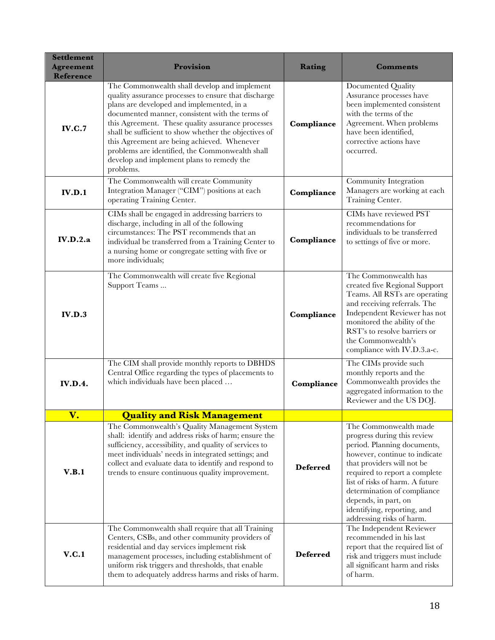| <b>Settlement</b><br><b>Agreement</b><br><b>Reference</b> | Provision                                                                                                                                                                                                                                                                                                                                                                                                                                                                      | <b>Rating</b>   | <b>Comments</b>                                                                                                                                                                                                                                                                                                                           |
|-----------------------------------------------------------|--------------------------------------------------------------------------------------------------------------------------------------------------------------------------------------------------------------------------------------------------------------------------------------------------------------------------------------------------------------------------------------------------------------------------------------------------------------------------------|-----------------|-------------------------------------------------------------------------------------------------------------------------------------------------------------------------------------------------------------------------------------------------------------------------------------------------------------------------------------------|
| IV.C.7                                                    | The Commonwealth shall develop and implement<br>quality assurance processes to ensure that discharge<br>plans are developed and implemented, in a<br>documented manner, consistent with the terms of<br>this Agreement. These quality assurance processes<br>shall be sufficient to show whether the objectives of<br>this Agreement are being achieved. Whenever<br>problems are identified, the Commonwealth shall<br>develop and implement plans to remedy the<br>problems. | Compliance      | Documented Quality<br>Assurance processes have<br>been implemented consistent<br>with the terms of the<br>Agreement. When problems<br>have been identified,<br>corrective actions have<br>occurred.                                                                                                                                       |
| IV.D.1                                                    | The Commonwealth will create Community<br>Integration Manager ("CIM") positions at each<br>operating Training Center.                                                                                                                                                                                                                                                                                                                                                          | Compliance      | Community Integration<br>Managers are working at each<br>Training Center.                                                                                                                                                                                                                                                                 |
| IV.D.2.a                                                  | CIMs shall be engaged in addressing barriers to<br>discharge, including in all of the following<br>circumstances: The PST recommends that an<br>individual be transferred from a Training Center to<br>a nursing home or congregate setting with five or<br>more individuals;                                                                                                                                                                                                  | Compliance      | CIMs have reviewed PST<br>recommendations for<br>individuals to be transferred<br>to settings of five or more.                                                                                                                                                                                                                            |
| <b>IV.D.3</b>                                             | The Commonwealth will create five Regional<br>Support Teams                                                                                                                                                                                                                                                                                                                                                                                                                    | Compliance      | The Commonwealth has<br>created five Regional Support<br>Teams. All RSTs are operating<br>and receiving referrals. The<br>Independent Reviewer has not<br>monitored the ability of the<br>RST's to resolve barriers or<br>the Commonwealth's<br>compliance with IV.D.3.a-c.                                                               |
| <b>IV.D.4.</b>                                            | The CIM shall provide monthly reports to DBHDS<br>Central Office regarding the types of placements to<br>which individuals have been placed                                                                                                                                                                                                                                                                                                                                    | Compliance      | The CIMs provide such<br>monthly reports and the<br>Commonwealth provides the<br>aggregated information to the<br>Reviewer and the US DOJ.                                                                                                                                                                                                |
| V.                                                        | <b>Quality and Risk Management</b>                                                                                                                                                                                                                                                                                                                                                                                                                                             |                 |                                                                                                                                                                                                                                                                                                                                           |
| V.B.1                                                     | The Commonwealth's Quality Management System<br>shall: identify and address risks of harm; ensure the<br>sufficiency, accessibility, and quality of services to<br>meet individuals' needs in integrated settings; and<br>collect and evaluate data to identify and respond to<br>trends to ensure continuous quality improvement.                                                                                                                                             | <b>Deferred</b> | The Commonwealth made<br>progress during this review<br>period. Planning documents,<br>however, continue to indicate<br>that providers will not be<br>required to report a complete<br>list of risks of harm. A future<br>determination of compliance<br>depends, in part, on<br>identifying, reporting, and<br>addressing risks of harm. |
| V.C.1                                                     | The Commonwealth shall require that all Training<br>Centers, CSBs, and other community providers of<br>residential and day services implement risk<br>management processes, including establishment of<br>uniform risk triggers and thresholds, that enable<br>them to adequately address harms and risks of harm.                                                                                                                                                             | <b>Deferred</b> | The Independent Reviewer<br>recommended in his last<br>report that the required list of<br>risk and triggers must include<br>all significant harm and risks<br>of harm.                                                                                                                                                                   |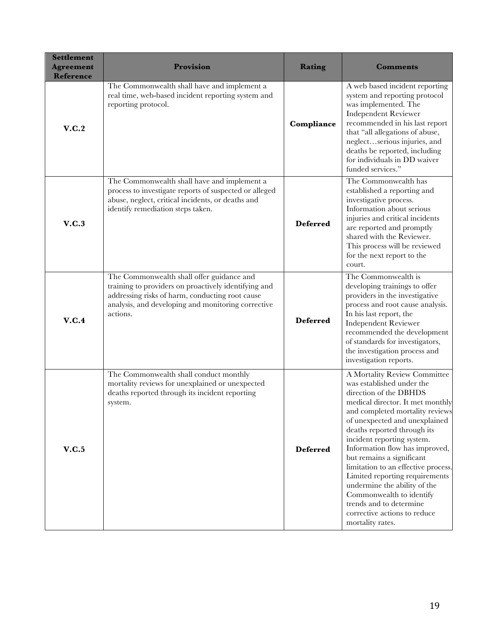| <b>Settlement</b><br><b>Agreement</b><br>Reference | Provision                                                                                                                                                                                                              | <b>Rating</b>   | <b>Comments</b>                                                                                                                                                                                                                                                                                                                                                                                                                                                                                                                             |
|----------------------------------------------------|------------------------------------------------------------------------------------------------------------------------------------------------------------------------------------------------------------------------|-----------------|---------------------------------------------------------------------------------------------------------------------------------------------------------------------------------------------------------------------------------------------------------------------------------------------------------------------------------------------------------------------------------------------------------------------------------------------------------------------------------------------------------------------------------------------|
| V.C.2                                              | The Commonwealth shall have and implement a<br>real time, web-based incident reporting system and<br>reporting protocol.                                                                                               | Compliance      | A web based incident reporting<br>system and reporting protocol<br>was implemented. The<br><b>Independent Reviewer</b><br>recommended in his last report<br>that "all allegations of abuse,<br>neglectserious injuries, and<br>deaths be reported, including<br>for individuals in DD waiver<br>funded services."                                                                                                                                                                                                                           |
| V.C.3                                              | The Commonwealth shall have and implement a<br>process to investigate reports of suspected or alleged<br>abuse, neglect, critical incidents, or deaths and<br>identify remediation steps taken.                        | <b>Deferred</b> | The Commonwealth has<br>established a reporting and<br>investigative process.<br>Information about serious<br>injuries and critical incidents<br>are reported and promptly<br>shared with the Reviewer.<br>This process will be reviewed<br>for the next report to the<br>court.                                                                                                                                                                                                                                                            |
| V.C.4                                              | The Commonwealth shall offer guidance and<br>training to providers on proactively identifying and<br>addressing risks of harm, conducting root cause<br>analysis, and developing and monitoring corrective<br>actions. | <b>Deferred</b> | The Commonwealth is<br>developing trainings to offer<br>providers in the investigative<br>process and root cause analysis.<br>In his last report, the<br><b>Independent Reviewer</b><br>recommended the development<br>of standards for investigators,<br>the investigation process and<br>investigation reports.                                                                                                                                                                                                                           |
| V.C.5                                              | The Commonwealth shall conduct monthly<br>mortality reviews for unexplained or unexpected<br>deaths reported through its incident reporting<br>system.                                                                 | <b>Deferred</b> | A Mortality Review Committee<br>was established under the<br>direction of the DBHDS<br>medical director. It met monthly<br>and completed mortality reviews<br>of unexpected and unexplained<br>deaths reported through its<br>incident reporting system.<br>Information flow has improved,<br>but remains a significant<br>limitation to an effective process.<br>Limited reporting requirements<br>undermine the ability of the<br>Commonwealth to identify<br>trends and to determine<br>corrective actions to reduce<br>mortality rates. |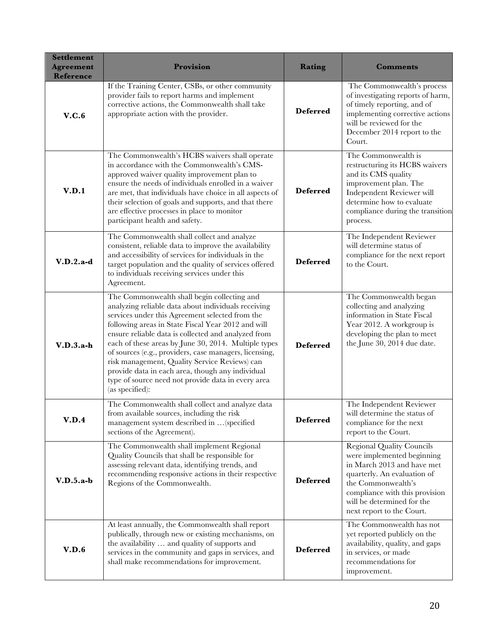| <b>Settlement</b><br><b>Agreement</b><br><b>Reference</b> | <b>Provision</b>                                                                                                                                                                                                                                                                                                                                                                                                                                                                                                                                                   | <b>Rating</b>   | <b>Comments</b>                                                                                                                                                                                                                                |
|-----------------------------------------------------------|--------------------------------------------------------------------------------------------------------------------------------------------------------------------------------------------------------------------------------------------------------------------------------------------------------------------------------------------------------------------------------------------------------------------------------------------------------------------------------------------------------------------------------------------------------------------|-----------------|------------------------------------------------------------------------------------------------------------------------------------------------------------------------------------------------------------------------------------------------|
| V.C.6                                                     | If the Training Center, CSBs, or other community<br>provider fails to report harms and implement<br>corrective actions, the Commonwealth shall take<br>appropriate action with the provider.                                                                                                                                                                                                                                                                                                                                                                       | <b>Deferred</b> | The Commonwealth's process<br>of investigating reports of harm,<br>of timely reporting, and of<br>implementing corrective actions<br>will be reviewed for the<br>December 2014 report to the<br>Court.                                         |
| V.D.1                                                     | The Commonwealth's HCBS waivers shall operate<br>in accordance with the Commonwealth's CMS-<br>approved waiver quality improvement plan to<br>ensure the needs of individuals enrolled in a waiver<br>are met, that individuals have choice in all aspects of<br>their selection of goals and supports, and that there<br>are effective processes in place to monitor<br>participant health and safety.                                                                                                                                                            | <b>Deferred</b> | The Commonwealth is<br>restructuring its HCBS waivers<br>and its CMS quality<br>improvement plan. The<br>Independent Reviewer will<br>determine how to evaluate<br>compliance during the transition<br>process.                                |
| $V.D.2.a-d$                                               | The Commonwealth shall collect and analyze<br>consistent, reliable data to improve the availability<br>and accessibility of services for individuals in the<br>target population and the quality of services offered<br>to individuals receiving services under this<br>Agreement.                                                                                                                                                                                                                                                                                 | <b>Deferred</b> | The Independent Reviewer<br>will determine status of<br>compliance for the next report<br>to the Court.                                                                                                                                        |
| $V.D.3.a-h$                                               | The Commonwealth shall begin collecting and<br>analyzing reliable data about individuals receiving<br>services under this Agreement selected from the<br>following areas in State Fiscal Year 2012 and will<br>ensure reliable data is collected and analyzed from<br>each of these areas by June 30, 2014. Multiple types<br>of sources (e.g., providers, case managers, licensing,<br>risk management, Quality Service Reviews) can<br>provide data in each area, though any individual<br>type of source need not provide data in every area<br>(as specified): | <b>Deferred</b> | The Commonwealth began<br>collecting and analyzing<br>information in State Fiscal<br>Year 2012. A workgroup is<br>developing the plan to meet<br>the June 30, 2014 due date.                                                                   |
| V.D.4                                                     | The Commonwealth shall collect and analyze data<br>from available sources, including the risk<br>management system described in  (specified<br>sections of the Agreement).                                                                                                                                                                                                                                                                                                                                                                                         | <b>Deferred</b> | The Independent Reviewer<br>will determine the status of<br>compliance for the next<br>report to the Court.                                                                                                                                    |
| $V.D.5.a-b$                                               | The Commonwealth shall implement Regional<br>Quality Councils that shall be responsible for<br>assessing relevant data, identifying trends, and<br>recommending responsive actions in their respective<br>Regions of the Commonwealth.                                                                                                                                                                                                                                                                                                                             | <b>Deferred</b> | <b>Regional Quality Councils</b><br>were implemented beginning<br>in March 2013 and have met<br>quarterly. An evaluation of<br>the Commonwealth's<br>compliance with this provision<br>will be determined for the<br>next report to the Court. |
| V.D.6                                                     | At least annually, the Commonwealth shall report<br>publically, through new or existing mechanisms, on<br>the availability  and quality of supports and<br>services in the community and gaps in services, and<br>shall make recommendations for improvement.                                                                                                                                                                                                                                                                                                      | <b>Deferred</b> | The Commonwealth has not<br>yet reported publicly on the<br>availability, quality, and gaps<br>in services, or made<br>recommendations for<br>improvement.                                                                                     |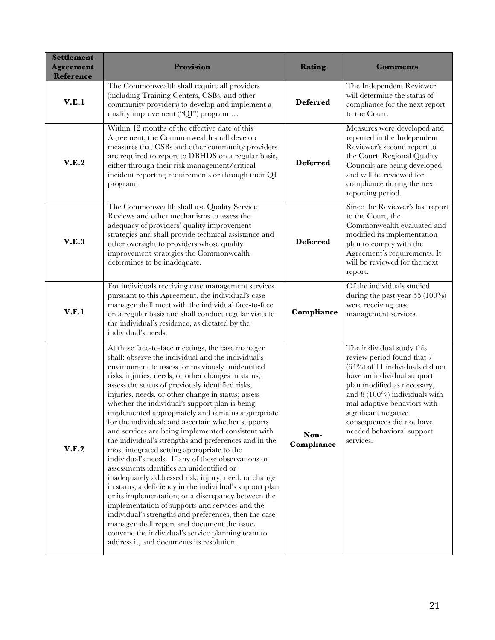| <b>Settlement</b><br><b>Agreement</b><br><b>Reference</b> | Provision                                                                                                                                                                                                                                                                                                                                                                                                                                                                                                                                                                                                                                                                                                                                                                                                                                                                                                                                                                                                                                                                                                                                                                                            | <b>Rating</b>      | <b>Comments</b>                                                                                                                                                                                                                                                                                                            |
|-----------------------------------------------------------|------------------------------------------------------------------------------------------------------------------------------------------------------------------------------------------------------------------------------------------------------------------------------------------------------------------------------------------------------------------------------------------------------------------------------------------------------------------------------------------------------------------------------------------------------------------------------------------------------------------------------------------------------------------------------------------------------------------------------------------------------------------------------------------------------------------------------------------------------------------------------------------------------------------------------------------------------------------------------------------------------------------------------------------------------------------------------------------------------------------------------------------------------------------------------------------------------|--------------------|----------------------------------------------------------------------------------------------------------------------------------------------------------------------------------------------------------------------------------------------------------------------------------------------------------------------------|
| V.E.1                                                     | The Commonwealth shall require all providers<br>(including Training Centers, CSBs, and other<br>community providers) to develop and implement a<br>quality improvement ("QI") program                                                                                                                                                                                                                                                                                                                                                                                                                                                                                                                                                                                                                                                                                                                                                                                                                                                                                                                                                                                                                | <b>Deferred</b>    | The Independent Reviewer<br>will determine the status of<br>compliance for the next report<br>to the Court.                                                                                                                                                                                                                |
| V.E.2                                                     | Within 12 months of the effective date of this<br>Agreement, the Commonwealth shall develop<br>measures that CSBs and other community providers<br>are required to report to DBHDS on a regular basis,<br>either through their risk management/critical<br>incident reporting requirements or through their QI<br>program.                                                                                                                                                                                                                                                                                                                                                                                                                                                                                                                                                                                                                                                                                                                                                                                                                                                                           | <b>Deferred</b>    | Measures were developed and<br>reported in the Independent<br>Reviewer's second report to<br>the Court. Regional Quality<br>Councils are being developed<br>and will be reviewed for<br>compliance during the next<br>reporting period.                                                                                    |
| V.E.3                                                     | The Commonwealth shall use Quality Service<br>Reviews and other mechanisms to assess the<br>adequacy of providers' quality improvement<br>strategies and shall provide technical assistance and<br>other oversight to providers whose quality<br>improvement strategies the Commonwealth<br>determines to be inadequate.                                                                                                                                                                                                                                                                                                                                                                                                                                                                                                                                                                                                                                                                                                                                                                                                                                                                             | <b>Deferred</b>    | Since the Reviewer's last report<br>to the Court, the<br>Commonwealth evaluated and<br>modified its implementation<br>plan to comply with the<br>Agreement's requirements. It<br>will be reviewed for the next<br>report.                                                                                                  |
| V.F.1                                                     | For individuals receiving case management services<br>pursuant to this Agreement, the individual's case<br>manager shall meet with the individual face-to-face<br>on a regular basis and shall conduct regular visits to<br>the individual's residence, as dictated by the<br>individual's needs.                                                                                                                                                                                                                                                                                                                                                                                                                                                                                                                                                                                                                                                                                                                                                                                                                                                                                                    | Compliance         | Of the individuals studied<br>during the past year $55(100\%)$<br>were receiving case<br>management services.                                                                                                                                                                                                              |
| V.F.2                                                     | At these face-to-face meetings, the case manager<br>shall: observe the individual and the individual's<br>environment to assess for previously unidentified<br>risks, injuries, needs, or other changes in status;<br>assess the status of previously identified risks,<br>injuries, needs, or other change in status; assess<br>whether the individual's support plan is being<br>implemented appropriately and remains appropriate<br>for the individual; and ascertain whether supports<br>and services are being implemented consistent with<br>the individual's strengths and preferences and in the<br>most integrated setting appropriate to the<br>individual's needs. If any of these observations or<br>assessments identifies an unidentified or<br>inadequately addressed risk, injury, need, or change<br>in status; a deficiency in the individual's support plan<br>or its implementation; or a discrepancy between the<br>implementation of supports and services and the<br>individual's strengths and preferences, then the case<br>manager shall report and document the issue,<br>convene the individual's service planning team to<br>address it, and documents its resolution. | Non-<br>Compliance | The individual study this<br>review period found that 7<br>$(64%)$ of 11 individuals did not<br>have an individual support<br>plan modified as necessary,<br>and $8(100\%)$ individuals with<br>mal adaptive behaviors with<br>significant negative<br>consequences did not have<br>needed behavioral support<br>services. |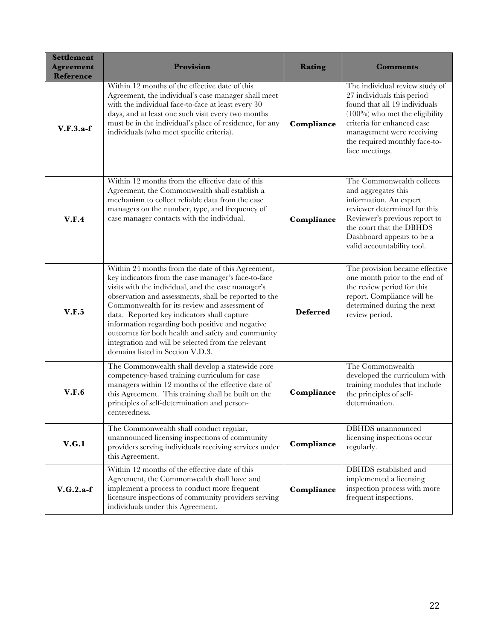| <b>Settlement</b><br><b>Agreement</b><br><b>Reference</b> | Provision                                                                                                                                                                                                                                                                                                                                                                                                                                                                                                                  | <b>Rating</b>   | <b>Comments</b>                                                                                                                                                                                                                                  |
|-----------------------------------------------------------|----------------------------------------------------------------------------------------------------------------------------------------------------------------------------------------------------------------------------------------------------------------------------------------------------------------------------------------------------------------------------------------------------------------------------------------------------------------------------------------------------------------------------|-----------------|--------------------------------------------------------------------------------------------------------------------------------------------------------------------------------------------------------------------------------------------------|
| $V.F.3.a-f$                                               | Within 12 months of the effective date of this<br>Agreement, the individual's case manager shall meet<br>with the individual face-to-face at least every 30<br>days, and at least one such visit every two months<br>must be in the individual's place of residence, for any<br>individuals (who meet specific criteria).                                                                                                                                                                                                  | Compliance      | The individual review study of<br>27 individuals this period<br>found that all 19 individuals<br>$(100\%)$ who met the eligibility<br>criteria for enhanced case<br>management were receiving<br>the required monthly face-to-<br>face meetings. |
| V.F.4                                                     | Within 12 months from the effective date of this<br>Agreement, the Commonwealth shall establish a<br>mechanism to collect reliable data from the case<br>managers on the number, type, and frequency of<br>case manager contacts with the individual.                                                                                                                                                                                                                                                                      | Compliance      | The Commonwealth collects<br>and aggregates this<br>information. An expert<br>reviewer determined for this<br>Reviewer's previous report to<br>the court that the DBHDS<br>Dashboard appears to be a<br>valid accountability tool.               |
| V.F.5                                                     | Within 24 months from the date of this Agreement,<br>key indicators from the case manager's face-to-face<br>visits with the individual, and the case manager's<br>observation and assessments, shall be reported to the<br>Commonwealth for its review and assessment of<br>data. Reported key indicators shall capture<br>information regarding both positive and negative<br>outcomes for both health and safety and community<br>integration and will be selected from the relevant<br>domains listed in Section V.D.3. | <b>Deferred</b> | The provision became effective<br>one month prior to the end of<br>the review period for this<br>report. Compliance will be<br>determined during the next<br>review period.                                                                      |
| V.F.6                                                     | The Commonwealth shall develop a statewide core<br>competency-based training curriculum for case<br>managers within 12 months of the effective date of<br>this Agreement. This training shall be built on the<br>principles of self-determination and person-<br>centeredness.                                                                                                                                                                                                                                             | Compliance      | The Commonwealth<br>developed the curriculum with<br>training modules that include<br>the principles of self-<br>determination.                                                                                                                  |
| V.G.1                                                     | The Commonwealth shall conduct regular,<br>unannounced licensing inspections of community<br>providers serving individuals receiving services under<br>this Agreement.                                                                                                                                                                                                                                                                                                                                                     | Compliance      | <b>DBHDS</b> unannounced<br>licensing inspections occur<br>regularly.                                                                                                                                                                            |
| $V.G.2.a-f$                                               | Within 12 months of the effective date of this<br>Agreement, the Commonwealth shall have and<br>implement a process to conduct more frequent<br>licensure inspections of community providers serving<br>individuals under this Agreement.                                                                                                                                                                                                                                                                                  | Compliance      | DBHDS established and<br>implemented a licensing<br>inspection process with more<br>frequent inspections.                                                                                                                                        |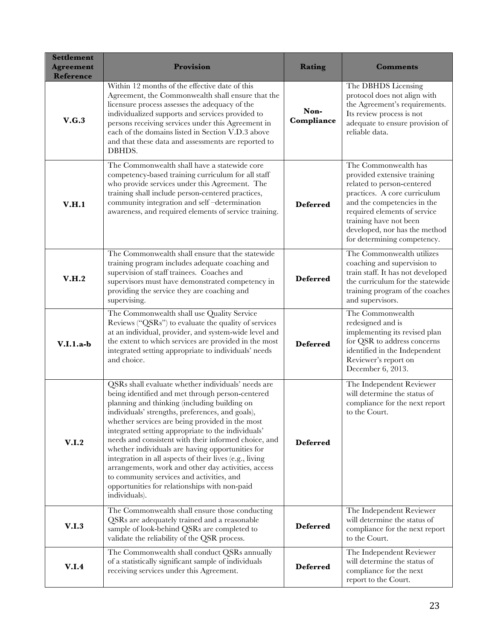| <b>Settlement</b><br><b>Agreement</b><br><b>Reference</b> | Provision                                                                                                                                                                                                                                                                                                                                                                                                                                                                                                                                                                                                                                                        | Rating             | Comments                                                                                                                                                                                                                                                                   |
|-----------------------------------------------------------|------------------------------------------------------------------------------------------------------------------------------------------------------------------------------------------------------------------------------------------------------------------------------------------------------------------------------------------------------------------------------------------------------------------------------------------------------------------------------------------------------------------------------------------------------------------------------------------------------------------------------------------------------------------|--------------------|----------------------------------------------------------------------------------------------------------------------------------------------------------------------------------------------------------------------------------------------------------------------------|
| V.G.3                                                     | Within 12 months of the effective date of this<br>Agreement, the Commonwealth shall ensure that the<br>licensure process assesses the adequacy of the<br>individualized supports and services provided to<br>persons receiving services under this Agreement in<br>each of the domains listed in Section V.D.3 above<br>and that these data and assessments are reported to<br>DBHDS.                                                                                                                                                                                                                                                                            | Non-<br>Compliance | The DBHDS Licensing<br>protocol does not align with<br>the Agreement's requirements.<br>Its review process is not<br>adequate to ensure provision of<br>reliable data.                                                                                                     |
| V.H.1                                                     | The Commonwealth shall have a statewide core<br>competency-based training curriculum for all staff<br>who provide services under this Agreement. The<br>training shall include person-centered practices,<br>community integration and self-determination<br>awareness, and required elements of service training.                                                                                                                                                                                                                                                                                                                                               | <b>Deferred</b>    | The Commonwealth has<br>provided extensive training<br>related to person-centered<br>practices. A core curriculum<br>and the competencies in the<br>required elements of service<br>training have not been<br>developed, nor has the method<br>for determining competency. |
| V.H.2                                                     | The Commonwealth shall ensure that the statewide<br>training program includes adequate coaching and<br>supervision of staff trainees. Coaches and<br>supervisors must have demonstrated competency in<br>providing the service they are coaching and<br>supervising.                                                                                                                                                                                                                                                                                                                                                                                             | <b>Deferred</b>    | The Commonwealth utilizes<br>coaching and supervision to<br>train staff. It has not developed<br>the curriculum for the statewide<br>training program of the coaches<br>and supervisors.                                                                                   |
| $V.I.1.a-b$                                               | The Commonwealth shall use Quality Service<br>Reviews ("QSRs") to evaluate the quality of services<br>at an individual, provider, and system-wide level and<br>the extent to which services are provided in the most<br>integrated setting appropriate to individuals' needs<br>and choice.                                                                                                                                                                                                                                                                                                                                                                      | <b>Deferred</b>    | The Commonwealth<br>redesigned and is<br>implementing its revised plan<br>for QSR to address concerns<br>identified in the Independent<br>Reviewer's report on<br>December 6, 2013.                                                                                        |
| V.I.2                                                     | QSRs shall evaluate whether individuals' needs are<br>being identified and met through person-centered<br>planning and thinking (including building on<br>individuals' strengths, preferences, and goals),<br>whether services are being provided in the most<br>integrated setting appropriate to the individuals'<br>needs and consistent with their informed choice, and<br>whether individuals are having opportunities for<br>integration in all aspects of their lives (e.g., living<br>arrangements, work and other day activities, access<br>to community services and activities, and<br>opportunities for relationships with non-paid<br>individuals). | <b>Deferred</b>    | The Independent Reviewer<br>will determine the status of<br>compliance for the next report<br>to the Court.                                                                                                                                                                |
| V.I.3                                                     | The Commonwealth shall ensure those conducting<br>QSRs are adequately trained and a reasonable<br>sample of look-behind QSRs are completed to<br>validate the reliability of the QSR process.                                                                                                                                                                                                                                                                                                                                                                                                                                                                    | <b>Deferred</b>    | The Independent Reviewer<br>will determine the status of<br>compliance for the next report<br>to the Court.                                                                                                                                                                |
| V.I.4                                                     | The Commonwealth shall conduct QSRs annually<br>of a statistically significant sample of individuals<br>receiving services under this Agreement.                                                                                                                                                                                                                                                                                                                                                                                                                                                                                                                 | <b>Deferred</b>    | The Independent Reviewer<br>will determine the status of<br>compliance for the next<br>report to the Court.                                                                                                                                                                |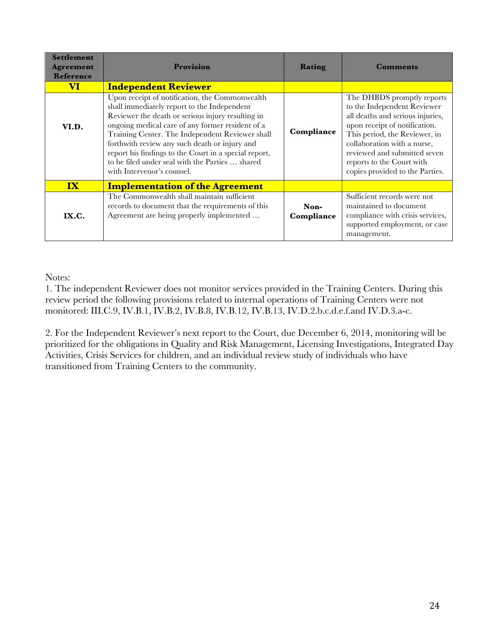| <b>Settlement</b><br><b>Agreement</b><br><b>Reference</b> | Provision                                                                                                                                                                                                                                                                                                                                                                                                                                            | Rating             | <b>Comments</b>                                                                                                                                                                                                                                                                                |
|-----------------------------------------------------------|------------------------------------------------------------------------------------------------------------------------------------------------------------------------------------------------------------------------------------------------------------------------------------------------------------------------------------------------------------------------------------------------------------------------------------------------------|--------------------|------------------------------------------------------------------------------------------------------------------------------------------------------------------------------------------------------------------------------------------------------------------------------------------------|
| $\overline{\mathbf{VI}}$                                  | <b>Independent Reviewer</b>                                                                                                                                                                                                                                                                                                                                                                                                                          |                    |                                                                                                                                                                                                                                                                                                |
| VI.D.                                                     | Upon receipt of notification, the Commonwealth<br>shall immediately report to the Independent<br>Reviewer the death or serious injury resulting in<br>ongoing medical care of any former resident of a<br>Training Center. The Independent Reviewer shall<br>forthwith review any such death or injury and<br>report his findings to the Court in a special report,<br>to be filed under seal with the Parties  shared<br>with Intervenor's counsel. | Compliance         | The DHBDS promptly reports<br>to the Independent Reviewer<br>all deaths and serious injuries,<br>upon receipt of notification.<br>This period, the Reviewer, in<br>collaboration with a nurse,<br>reviewed and submitted seven<br>reports to the Court with<br>copies provided to the Parties. |
| $\mathbf{IX}$                                             | <b>Implementation of the Agreement</b>                                                                                                                                                                                                                                                                                                                                                                                                               |                    |                                                                                                                                                                                                                                                                                                |
| IX.C.                                                     | The Commonwealth shall maintain sufficient<br>records to document that the requirements of this<br>Agreement are being properly implemented                                                                                                                                                                                                                                                                                                          | Non-<br>Compliance | Sufficient records were not<br>maintained to document<br>compliance with crisis services,<br>supported employment, or case<br>management.                                                                                                                                                      |

Notes:

1. The independent Reviewer does not monitor services provided in the Training Centers. During this review period the following provisions related to internal operations of Training Centers were not monitored: III.C.9, IV.B.1, IV.B.2, IV.B.8, IV.B.12, IV.B.13, IV.D.2.b.c.d.e.f.and IV.D.3.a-c.

2. For the Independent Reviewer's next report to the Court, due December 6, 2014, monitoring will be prioritized for the obligations in Quality and Risk Management, Licensing Investigations, Integrated Day Activities, Crisis Services for children, and an individual review study of individuals who have transitioned from Training Centers to the community.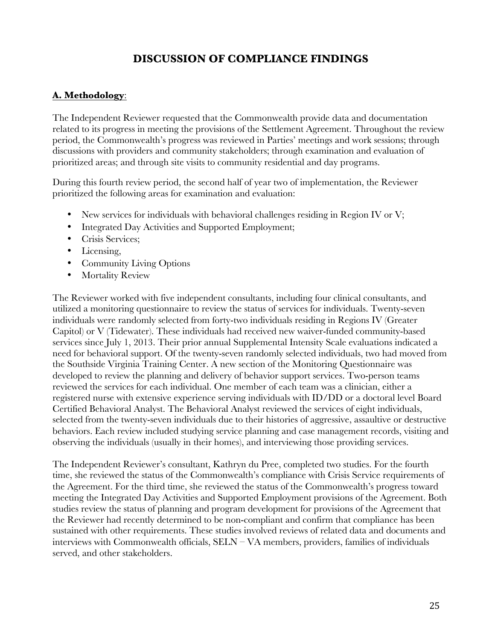## **DISCUSSION OF COMPLIANCE FINDINGS**

## **A. Methodology**:

The Independent Reviewer requested that the Commonwealth provide data and documentation related to its progress in meeting the provisions of the Settlement Agreement. Throughout the review period, the Commonwealth's progress was reviewed in Parties' meetings and work sessions; through discussions with providers and community stakeholders; through examination and evaluation of prioritized areas; and through site visits to community residential and day programs.

During this fourth review period, the second half of year two of implementation, the Reviewer prioritized the following areas for examination and evaluation:

- New services for individuals with behavioral challenges residing in Region IV or V;
- Integrated Day Activities and Supported Employment;
- Crisis Services;
- Licensing,
- Community Living Options
- Mortality Review

The Reviewer worked with five independent consultants, including four clinical consultants, and utilized a monitoring questionnaire to review the status of services for individuals. Twenty-seven individuals were randomly selected from forty-two individuals residing in Regions IV (Greater Capitol) or V (Tidewater). These individuals had received new waiver-funded community-based services since July 1, 2013. Their prior annual Supplemental Intensity Scale evaluations indicated a need for behavioral support. Of the twenty-seven randomly selected individuals, two had moved from the Southside Virginia Training Center. A new section of the Monitoring Questionnaire was developed to review the planning and delivery of behavior support services. Two-person teams reviewed the services for each individual. One member of each team was a clinician, either a registered nurse with extensive experience serving individuals with ID/DD or a doctoral level Board Certified Behavioral Analyst. The Behavioral Analyst reviewed the services of eight individuals, selected from the twenty-seven individuals due to their histories of aggressive, assaultive or destructive behaviors. Each review included studying service planning and case management records, visiting and observing the individuals (usually in their homes), and interviewing those providing services.

The Independent Reviewer's consultant, Kathryn du Pree, completed two studies. For the fourth time, she reviewed the status of the Commonwealth's compliance with Crisis Service requirements of the Agreement. For the third time, she reviewed the status of the Commonwealth's progress toward meeting the Integrated Day Activities and Supported Employment provisions of the Agreement. Both studies review the status of planning and program development for provisions of the Agreement that the Reviewer had recently determined to be non-compliant and confirm that compliance has been sustained with other requirements. These studies involved reviews of related data and documents and interviews with Commonwealth officials, SELN – VA members, providers, families of individuals served, and other stakeholders.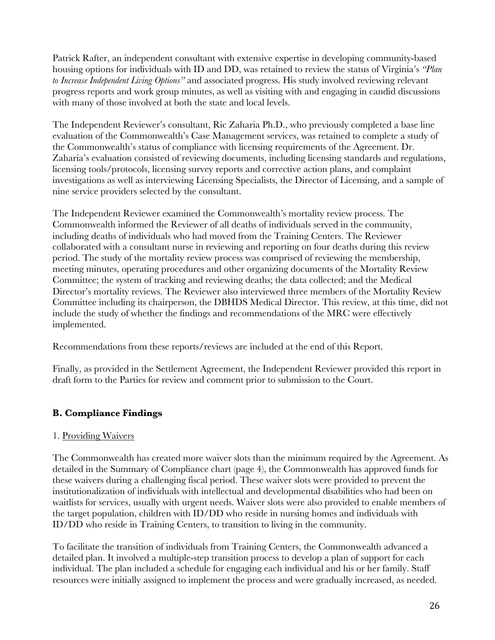Patrick Rafter, an independent consultant with extensive expertise in developing community-based housing options for individuals with ID and DD, was retained to review the status of Virginia's *"Plan to Increase Independent Living Options"* and associated progress. His study involved reviewing relevant progress reports and work group minutes, as well as visiting with and engaging in candid discussions with many of those involved at both the state and local levels.

The Independent Reviewer's consultant, Ric Zaharia Ph.D., who previously completed a base line evaluation of the Commonwealth's Case Management services, was retained to complete a study of the Commonwealth's status of compliance with licensing requirements of the Agreement. Dr. Zaharia's evaluation consisted of reviewing documents, including licensing standards and regulations, licensing tools/protocols, licensing survey reports and corrective action plans, and complaint investigations as well as interviewing Licensing Specialists, the Director of Licensing, and a sample of nine service providers selected by the consultant.

The Independent Reviewer examined the Commonwealth's mortality review process. The Commonwealth informed the Reviewer of all deaths of individuals served in the community, including deaths of individuals who had moved from the Training Centers. The Reviewer collaborated with a consultant nurse in reviewing and reporting on four deaths during this review period. The study of the mortality review process was comprised of reviewing the membership, meeting minutes, operating procedures and other organizing documents of the Mortality Review Committee; the system of tracking and reviewing deaths; the data collected; and the Medical Director's mortality reviews. The Reviewer also interviewed three members of the Mortality Review Committee including its chairperson, the DBHDS Medical Director. This review, at this time, did not include the study of whether the findings and recommendations of the MRC were effectively implemented.

Recommendations from these reports/reviews are included at the end of this Report.

Finally, as provided in the Settlement Agreement, the Independent Reviewer provided this report in draft form to the Parties for review and comment prior to submission to the Court.

## **B. Compliance Findings**

## 1. Providing Waivers

The Commonwealth has created more waiver slots than the minimum required by the Agreement. As detailed in the Summary of Compliance chart (page 4), the Commonwealth has approved funds for these waivers during a challenging fiscal period. These waiver slots were provided to prevent the institutionalization of individuals with intellectual and developmental disabilities who had been on waitlists for services, usually with urgent needs. Waiver slots were also provided to enable members of the target population, children with ID/DD who reside in nursing homes and individuals with ID/DD who reside in Training Centers, to transition to living in the community.

To facilitate the transition of individuals from Training Centers, the Commonwealth advanced a detailed plan. It involved a multiple-step transition process to develop a plan of support for each individual. The plan included a schedule for engaging each individual and his or her family. Staff resources were initially assigned to implement the process and were gradually increased, as needed.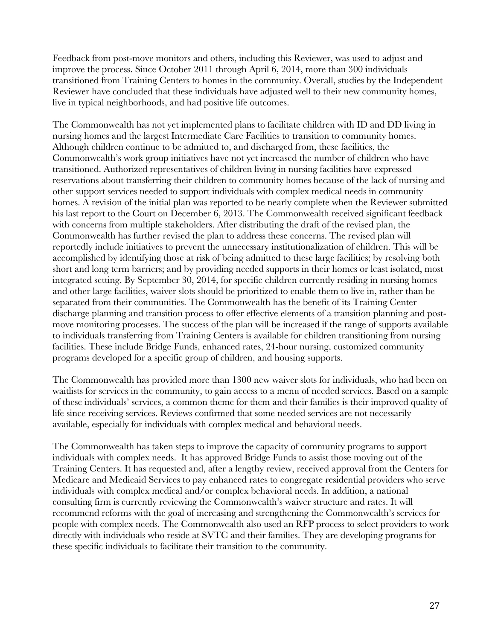Feedback from post-move monitors and others, including this Reviewer, was used to adjust and improve the process. Since October 2011 through April 6, 2014, more than 300 individuals transitioned from Training Centers to homes in the community. Overall, studies by the Independent Reviewer have concluded that these individuals have adjusted well to their new community homes, live in typical neighborhoods, and had positive life outcomes.

The Commonwealth has not yet implemented plans to facilitate children with ID and DD living in nursing homes and the largest Intermediate Care Facilities to transition to community homes. Although children continue to be admitted to, and discharged from, these facilities, the Commonwealth's work group initiatives have not yet increased the number of children who have transitioned. Authorized representatives of children living in nursing facilities have expressed reservations about transferring their children to community homes because of the lack of nursing and other support services needed to support individuals with complex medical needs in community homes. A revision of the initial plan was reported to be nearly complete when the Reviewer submitted his last report to the Court on December 6, 2013. The Commonwealth received significant feedback with concerns from multiple stakeholders. After distributing the draft of the revised plan, the Commonwealth has further revised the plan to address these concerns. The revised plan will reportedly include initiatives to prevent the unnecessary institutionalization of children. This will be accomplished by identifying those at risk of being admitted to these large facilities; by resolving both short and long term barriers; and by providing needed supports in their homes or least isolated, most integrated setting. By September 30, 2014, for specific children currently residing in nursing homes and other large facilities, waiver slots should be prioritized to enable them to live in, rather than be separated from their communities. The Commonwealth has the benefit of its Training Center discharge planning and transition process to offer effective elements of a transition planning and postmove monitoring processes. The success of the plan will be increased if the range of supports available to individuals transferring from Training Centers is available for children transitioning from nursing facilities. These include Bridge Funds, enhanced rates, 24-hour nursing, customized community programs developed for a specific group of children, and housing supports.

The Commonwealth has provided more than 1300 new waiver slots for individuals, who had been on waitlists for services in the community, to gain access to a menu of needed services. Based on a sample of these individuals' services, a common theme for them and their families is their improved quality of life since receiving services. Reviews confirmed that some needed services are not necessarily available, especially for individuals with complex medical and behavioral needs.

The Commonwealth has taken steps to improve the capacity of community programs to support individuals with complex needs. It has approved Bridge Funds to assist those moving out of the Training Centers. It has requested and, after a lengthy review, received approval from the Centers for Medicare and Medicaid Services to pay enhanced rates to congregate residential providers who serve individuals with complex medical and/or complex behavioral needs. In addition, a national consulting firm is currently reviewing the Commonwealth's waiver structure and rates. It will recommend reforms with the goal of increasing and strengthening the Commonwealth's services for people with complex needs. The Commonwealth also used an RFP process to select providers to work directly with individuals who reside at SVTC and their families. They are developing programs for these specific individuals to facilitate their transition to the community.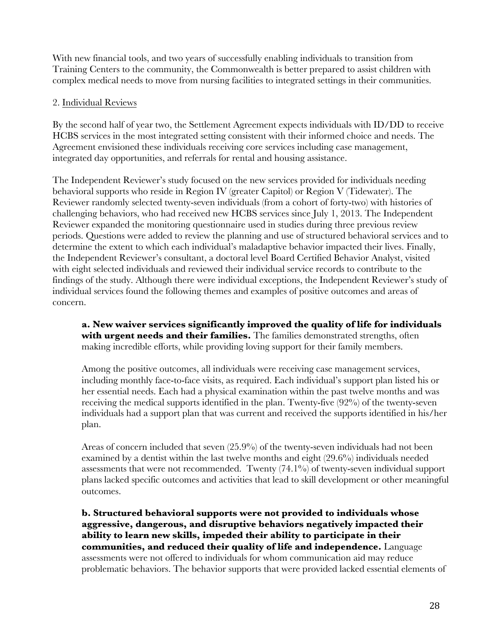With new financial tools, and two years of successfully enabling individuals to transition from Training Centers to the community, the Commonwealth is better prepared to assist children with complex medical needs to move from nursing facilities to integrated settings in their communities.

## 2. Individual Reviews

By the second half of year two, the Settlement Agreement expects individuals with ID/DD to receive HCBS services in the most integrated setting consistent with their informed choice and needs. The Agreement envisioned these individuals receiving core services including case management, integrated day opportunities, and referrals for rental and housing assistance.

The Independent Reviewer's study focused on the new services provided for individuals needing behavioral supports who reside in Region IV (greater Capitol) or Region V (Tidewater). The Reviewer randomly selected twenty-seven individuals (from a cohort of forty-two) with histories of challenging behaviors, who had received new HCBS services since July 1, 2013. The Independent Reviewer expanded the monitoring questionnaire used in studies during three previous review periods. Questions were added to review the planning and use of structured behavioral services and to determine the extent to which each individual's maladaptive behavior impacted their lives. Finally, the Independent Reviewer's consultant, a doctoral level Board Certified Behavior Analyst, visited with eight selected individuals and reviewed their individual service records to contribute to the findings of the study. Although there were individual exceptions, the Independent Reviewer's study of individual services found the following themes and examples of positive outcomes and areas of concern.

**a. New waiver services significantly improved the quality of life for individuals** with urgent needs and their families. The families demonstrated strengths, often making incredible efforts, while providing loving support for their family members.

Among the positive outcomes, all individuals were receiving case management services, including monthly face-to-face visits, as required. Each individual's support plan listed his or her essential needs. Each had a physical examination within the past twelve months and was receiving the medical supports identified in the plan. Twenty-five (92%) of the twenty-seven individuals had a support plan that was current and received the supports identified in his/her plan.

Areas of concern included that seven (25.9%) of the twenty-seven individuals had not been examined by a dentist within the last twelve months and eight (29.6%) individuals needed assessments that were not recommended. Twenty (74.1%) of twenty-seven individual support plans lacked specific outcomes and activities that lead to skill development or other meaningful outcomes.

**b. Structured behavioral supports were not provided to individuals whose aggressive, dangerous, and disruptive behaviors negatively impacted their ability to learn new skills, impeded their ability to participate in their communities, and reduced their quality of life and independence.** Language assessments were not offered to individuals for whom communication aid may reduce problematic behaviors. The behavior supports that were provided lacked essential elements of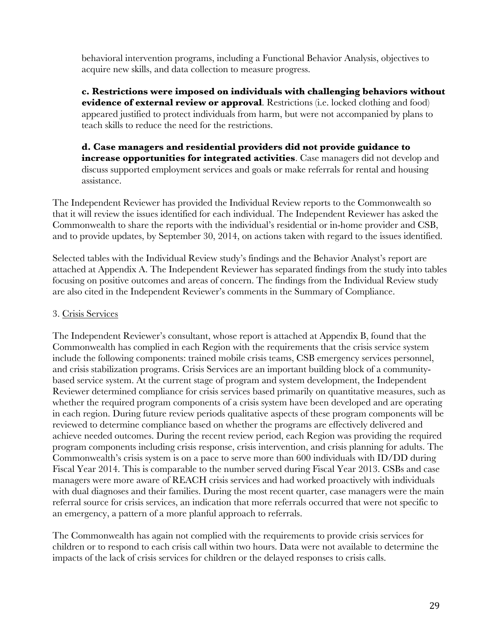behavioral intervention programs, including a Functional Behavior Analysis, objectives to acquire new skills, and data collection to measure progress.

**c. Restrictions were imposed on individuals with challenging behaviors without evidence of external review or approval**. Restrictions (i.e. locked clothing and food) appeared justified to protect individuals from harm, but were not accompanied by plans to teach skills to reduce the need for the restrictions.

**d. Case managers and residential providers did not provide guidance to increase opportunities for integrated activities**. Case managers did not develop and discuss supported employment services and goals or make referrals for rental and housing assistance.

The Independent Reviewer has provided the Individual Review reports to the Commonwealth so that it will review the issues identified for each individual. The Independent Reviewer has asked the Commonwealth to share the reports with the individual's residential or in-home provider and CSB, and to provide updates, by September 30, 2014, on actions taken with regard to the issues identified.

Selected tables with the Individual Review study's findings and the Behavior Analyst's report are attached at Appendix A. The Independent Reviewer has separated findings from the study into tables focusing on positive outcomes and areas of concern. The findings from the Individual Review study are also cited in the Independent Reviewer's comments in the Summary of Compliance.

## 3. Crisis Services

The Independent Reviewer's consultant, whose report is attached at Appendix B, found that the Commonwealth has complied in each Region with the requirements that the crisis service system include the following components: trained mobile crisis teams, CSB emergency services personnel, and crisis stabilization programs. Crisis Services are an important building block of a communitybased service system. At the current stage of program and system development, the Independent Reviewer determined compliance for crisis services based primarily on quantitative measures, such as whether the required program components of a crisis system have been developed and are operating in each region. During future review periods qualitative aspects of these program components will be reviewed to determine compliance based on whether the programs are effectively delivered and achieve needed outcomes. During the recent review period, each Region was providing the required program components including crisis response, crisis intervention, and crisis planning for adults. The Commonwealth's crisis system is on a pace to serve more than 600 individuals with ID/DD during Fiscal Year 2014. This is comparable to the number served during Fiscal Year 2013. CSBs and case managers were more aware of REACH crisis services and had worked proactively with individuals with dual diagnoses and their families. During the most recent quarter, case managers were the main referral source for crisis services, an indication that more referrals occurred that were not specific to an emergency, a pattern of a more planful approach to referrals.

The Commonwealth has again not complied with the requirements to provide crisis services for children or to respond to each crisis call within two hours. Data were not available to determine the impacts of the lack of crisis services for children or the delayed responses to crisis calls.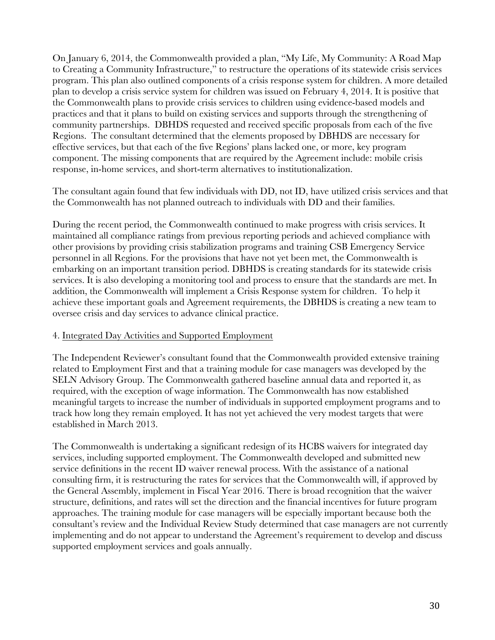On January 6, 2014, the Commonwealth provided a plan, "My Life, My Community: A Road Map to Creating a Community Infrastructure," to restructure the operations of its statewide crisis services program. This plan also outlined components of a crisis response system for children. A more detailed plan to develop a crisis service system for children was issued on February 4, 2014. It is positive that the Commonwealth plans to provide crisis services to children using evidence-based models and practices and that it plans to build on existing services and supports through the strengthening of community partnerships. DBHDS requested and received specific proposals from each of the five Regions. The consultant determined that the elements proposed by DBHDS are necessary for effective services, but that each of the five Regions' plans lacked one, or more, key program component. The missing components that are required by the Agreement include: mobile crisis response, in-home services, and short-term alternatives to institutionalization.

The consultant again found that few individuals with DD, not ID, have utilized crisis services and that the Commonwealth has not planned outreach to individuals with DD and their families.

During the recent period, the Commonwealth continued to make progress with crisis services. It maintained all compliance ratings from previous reporting periods and achieved compliance with other provisions by providing crisis stabilization programs and training CSB Emergency Service personnel in all Regions. For the provisions that have not yet been met, the Commonwealth is embarking on an important transition period. DBHDS is creating standards for its statewide crisis services. It is also developing a monitoring tool and process to ensure that the standards are met. In addition, the Commonwealth will implement a Crisis Response system for children. To help it achieve these important goals and Agreement requirements, the DBHDS is creating a new team to oversee crisis and day services to advance clinical practice.

## 4. Integrated Day Activities and Supported Employment

The Independent Reviewer's consultant found that the Commonwealth provided extensive training related to Employment First and that a training module for case managers was developed by the SELN Advisory Group. The Commonwealth gathered baseline annual data and reported it, as required, with the exception of wage information. The Commonwealth has now established meaningful targets to increase the number of individuals in supported employment programs and to track how long they remain employed. It has not yet achieved the very modest targets that were established in March 2013.

The Commonwealth is undertaking a significant redesign of its HCBS waivers for integrated day services, including supported employment. The Commonwealth developed and submitted new service definitions in the recent ID waiver renewal process. With the assistance of a national consulting firm, it is restructuring the rates for services that the Commonwealth will, if approved by the General Assembly, implement in Fiscal Year 2016. There is broad recognition that the waiver structure, definitions, and rates will set the direction and the financial incentives for future program approaches. The training module for case managers will be especially important because both the consultant's review and the Individual Review Study determined that case managers are not currently implementing and do not appear to understand the Agreement's requirement to develop and discuss supported employment services and goals annually.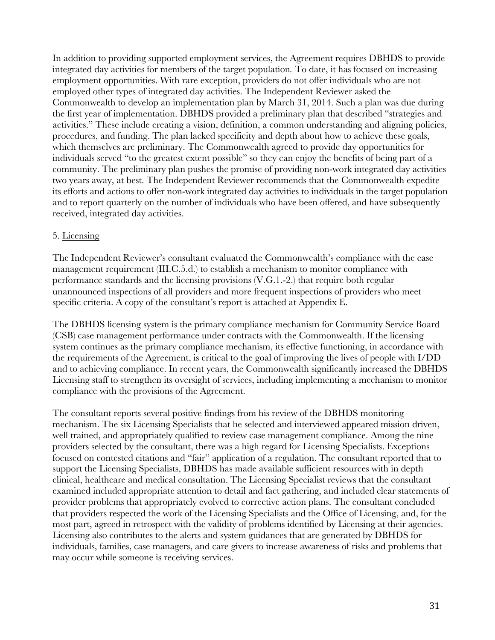In addition to providing supported employment services, the Agreement requires DBHDS to provide integrated day activities for members of the target population*.* To date, it has focused on increasing employment opportunities. With rare exception, providers do not offer individuals who are not employed other types of integrated day activities. The Independent Reviewer asked the Commonwealth to develop an implementation plan by March 31, 2014. Such a plan was due during the first year of implementation. DBHDS provided a preliminary plan that described "strategies and activities." These include creating a vision, definition, a common understanding and aligning policies, procedures, and funding. The plan lacked specificity and depth about how to achieve these goals, which themselves are preliminary. The Commonwealth agreed to provide day opportunities for individuals served "to the greatest extent possible" so they can enjoy the benefits of being part of a community. The preliminary plan pushes the promise of providing non-work integrated day activities two years away, at best. The Independent Reviewer recommends that the Commonwealth expedite its efforts and actions to offer non-work integrated day activities to individuals in the target population and to report quarterly on the number of individuals who have been offered, and have subsequently received, integrated day activities.

### 5. Licensing

The Independent Reviewer's consultant evaluated the Commonwealth's compliance with the case management requirement (III.C.5.d.) to establish a mechanism to monitor compliance with performance standards and the licensing provisions (V.G.1.-2.) that require both regular unannounced inspections of all providers and more frequent inspections of providers who meet specific criteria. A copy of the consultant's report is attached at Appendix E.

The DBHDS licensing system is the primary compliance mechanism for Community Service Board (CSB) case management performance under contracts with the Commonwealth. If the licensing system continues as the primary compliance mechanism, its effective functioning, in accordance with the requirements of the Agreement, is critical to the goal of improving the lives of people with I/DD and to achieving compliance. In recent years, the Commonwealth significantly increased the DBHDS Licensing staff to strengthen its oversight of services, including implementing a mechanism to monitor compliance with the provisions of the Agreement.

The consultant reports several positive findings from his review of the DBHDS monitoring mechanism. The six Licensing Specialists that he selected and interviewed appeared mission driven, well trained, and appropriately qualified to review case management compliance. Among the nine providers selected by the consultant, there was a high regard for Licensing Specialists. Exceptions focused on contested citations and "fair" application of a regulation. The consultant reported that to support the Licensing Specialists, DBHDS has made available sufficient resources with in depth clinical, healthcare and medical consultation. The Licensing Specialist reviews that the consultant examined included appropriate attention to detail and fact gathering, and included clear statements of provider problems that appropriately evolved to corrective action plans. The consultant concluded that providers respected the work of the Licensing Specialists and the Office of Licensing, and, for the most part, agreed in retrospect with the validity of problems identified by Licensing at their agencies. Licensing also contributes to the alerts and system guidances that are generated by DBHDS for individuals, families, case managers, and care givers to increase awareness of risks and problems that may occur while someone is receiving services.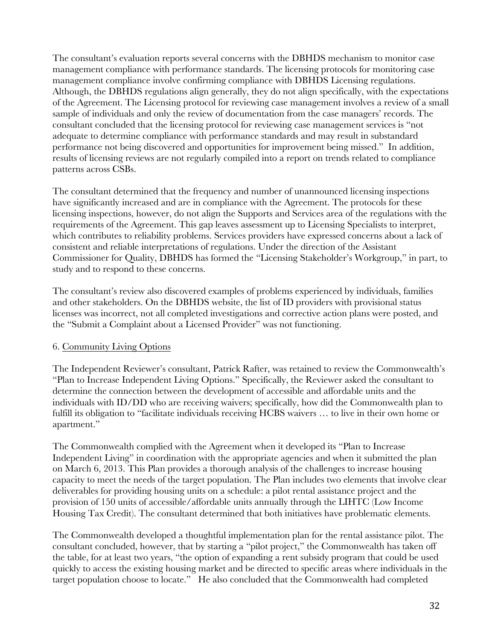The consultant's evaluation reports several concerns with the DBHDS mechanism to monitor case management compliance with performance standards. The licensing protocols for monitoring case management compliance involve confirming compliance with DBHDS Licensing regulations. Although, the DBHDS regulations align generally, they do not align specifically, with the expectations of the Agreement. The Licensing protocol for reviewing case management involves a review of a small sample of individuals and only the review of documentation from the case managers' records. The consultant concluded that the licensing protocol for reviewing case management services is "not adequate to determine compliance with performance standards and may result in substandard performance not being discovered and opportunities for improvement being missed." In addition, results of licensing reviews are not regularly compiled into a report on trends related to compliance patterns across CSBs.

The consultant determined that the frequency and number of unannounced licensing inspections have significantly increased and are in compliance with the Agreement. The protocols for these licensing inspections, however, do not align the Supports and Services area of the regulations with the requirements of the Agreement. This gap leaves assessment up to Licensing Specialists to interpret, which contributes to reliability problems. Services providers have expressed concerns about a lack of consistent and reliable interpretations of regulations. Under the direction of the Assistant Commissioner for Quality, DBHDS has formed the "Licensing Stakeholder's Workgroup," in part, to study and to respond to these concerns.

The consultant's review also discovered examples of problems experienced by individuals, families and other stakeholders. On the DBHDS website, the list of ID providers with provisional status licenses was incorrect, not all completed investigations and corrective action plans were posted, and the "Submit a Complaint about a Licensed Provider" was not functioning.

## 6. Community Living Options

The Independent Reviewer's consultant, Patrick Rafter, was retained to review the Commonwealth's "Plan to Increase Independent Living Options." Specifically, the Reviewer asked the consultant to determine the connection between the development of accessible and affordable units and the individuals with ID/DD who are receiving waivers; specifically, how did the Commonwealth plan to fulfill its obligation to "facilitate individuals receiving HCBS waivers … to live in their own home or apartment."

The Commonwealth complied with the Agreement when it developed its "Plan to Increase Independent Living" in coordination with the appropriate agencies and when it submitted the plan on March 6, 2013. This Plan provides a thorough analysis of the challenges to increase housing capacity to meet the needs of the target population. The Plan includes two elements that involve clear deliverables for providing housing units on a schedule: a pilot rental assistance project and the provision of 150 units of accessible/affordable units annually through the LIHTC (Low Income Housing Tax Credit). The consultant determined that both initiatives have problematic elements.

The Commonwealth developed a thoughtful implementation plan for the rental assistance pilot. The consultant concluded, however, that by starting a "pilot project," the Commonwealth has taken off the table, for at least two years, "the option of expanding a rent subsidy program that could be used quickly to access the existing housing market and be directed to specific areas where individuals in the target population choose to locate." He also concluded that the Commonwealth had completed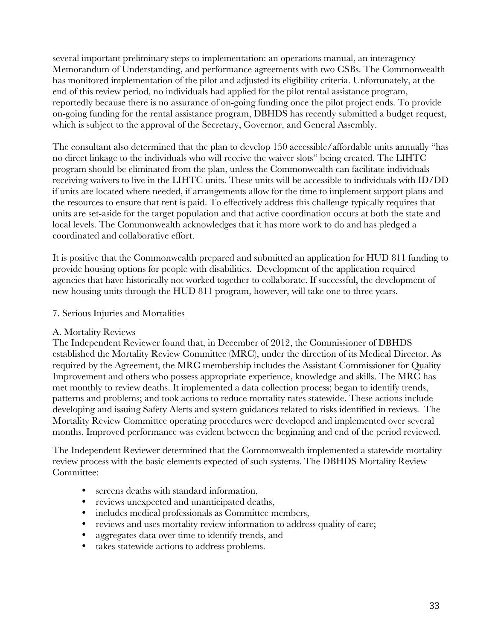several important preliminary steps to implementation: an operations manual, an interagency Memorandum of Understanding, and performance agreements with two CSBs. The Commonwealth has monitored implementation of the pilot and adjusted its eligibility criteria. Unfortunately, at the end of this review period, no individuals had applied for the pilot rental assistance program, reportedly because there is no assurance of on-going funding once the pilot project ends. To provide on-going funding for the rental assistance program, DBHDS has recently submitted a budget request, which is subject to the approval of the Secretary, Governor, and General Assembly.

The consultant also determined that the plan to develop 150 accessible/affordable units annually "has no direct linkage to the individuals who will receive the waiver slots" being created. The LIHTC program should be eliminated from the plan, unless the Commonwealth can facilitate individuals receiving waivers to live in the LIHTC units. These units will be accessible to individuals with ID/DD if units are located where needed, if arrangements allow for the time to implement support plans and the resources to ensure that rent is paid. To effectively address this challenge typically requires that units are set-aside for the target population and that active coordination occurs at both the state and local levels. The Commonwealth acknowledges that it has more work to do and has pledged a coordinated and collaborative effort.

It is positive that the Commonwealth prepared and submitted an application for HUD 811 funding to provide housing options for people with disabilities. Development of the application required agencies that have historically not worked together to collaborate. If successful, the development of new housing units through the HUD 811 program, however, will take one to three years.

### 7. Serious Injuries and Mortalities

## A. Mortality Reviews

The Independent Reviewer found that, in December of 2012, the Commissioner of DBHDS established the Mortality Review Committee (MRC), under the direction of its Medical Director. As required by the Agreement, the MRC membership includes the Assistant Commissioner for Quality Improvement and others who possess appropriate experience, knowledge and skills. The MRC has met monthly to review deaths. It implemented a data collection process; began to identify trends, patterns and problems; and took actions to reduce mortality rates statewide. These actions include developing and issuing Safety Alerts and system guidances related to risks identified in reviews. The Mortality Review Committee operating procedures were developed and implemented over several months. Improved performance was evident between the beginning and end of the period reviewed.

The Independent Reviewer determined that the Commonwealth implemented a statewide mortality review process with the basic elements expected of such systems. The DBHDS Mortality Review Committee:

- screens deaths with standard information,
- reviews unexpected and unanticipated deaths,
- includes medical professionals as Committee members,
- reviews and uses mortality review information to address quality of care;
- aggregates data over time to identify trends, and
- takes statewide actions to address problems.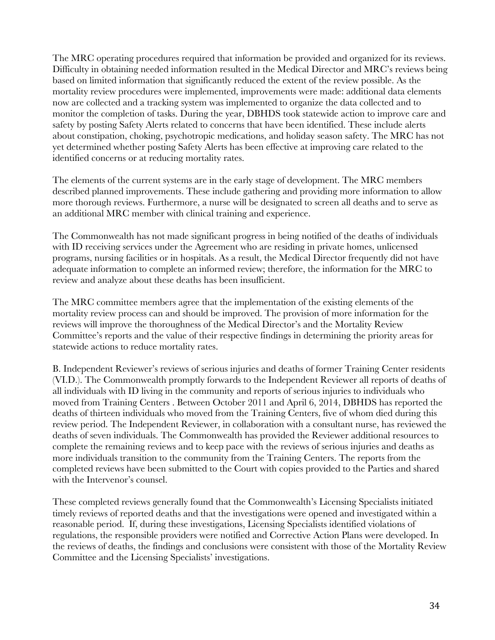The MRC operating procedures required that information be provided and organized for its reviews. Difficulty in obtaining needed information resulted in the Medical Director and MRC's reviews being based on limited information that significantly reduced the extent of the review possible. As the mortality review procedures were implemented, improvements were made: additional data elements now are collected and a tracking system was implemented to organize the data collected and to monitor the completion of tasks. During the year, DBHDS took statewide action to improve care and safety by posting Safety Alerts related to concerns that have been identified. These include alerts about constipation, choking, psychotropic medications, and holiday season safety. The MRC has not yet determined whether posting Safety Alerts has been effective at improving care related to the identified concerns or at reducing mortality rates.

The elements of the current systems are in the early stage of development. The MRC members described planned improvements. These include gathering and providing more information to allow more thorough reviews. Furthermore, a nurse will be designated to screen all deaths and to serve as an additional MRC member with clinical training and experience.

The Commonwealth has not made significant progress in being notified of the deaths of individuals with ID receiving services under the Agreement who are residing in private homes, unlicensed programs, nursing facilities or in hospitals. As a result, the Medical Director frequently did not have adequate information to complete an informed review; therefore, the information for the MRC to review and analyze about these deaths has been insufficient.

The MRC committee members agree that the implementation of the existing elements of the mortality review process can and should be improved. The provision of more information for the reviews will improve the thoroughness of the Medical Director's and the Mortality Review Committee's reports and the value of their respective findings in determining the priority areas for statewide actions to reduce mortality rates.

B. Independent Reviewer's reviews of serious injuries and deaths of former Training Center residents (VI.D.). The Commonwealth promptly forwards to the Independent Reviewer all reports of deaths of all individuals with ID living in the community and reports of serious injuries to individuals who moved from Training Centers . Between October 2011 and April 6, 2014, DBHDS has reported the deaths of thirteen individuals who moved from the Training Centers, five of whom died during this review period. The Independent Reviewer, in collaboration with a consultant nurse, has reviewed the deaths of seven individuals. The Commonwealth has provided the Reviewer additional resources to complete the remaining reviews and to keep pace with the reviews of serious injuries and deaths as more individuals transition to the community from the Training Centers. The reports from the completed reviews have been submitted to the Court with copies provided to the Parties and shared with the Intervenor's counsel.

These completed reviews generally found that the Commonwealth's Licensing Specialists initiated timely reviews of reported deaths and that the investigations were opened and investigated within a reasonable period. If, during these investigations, Licensing Specialists identified violations of regulations, the responsible providers were notified and Corrective Action Plans were developed. In the reviews of deaths, the findings and conclusions were consistent with those of the Mortality Review Committee and the Licensing Specialists' investigations.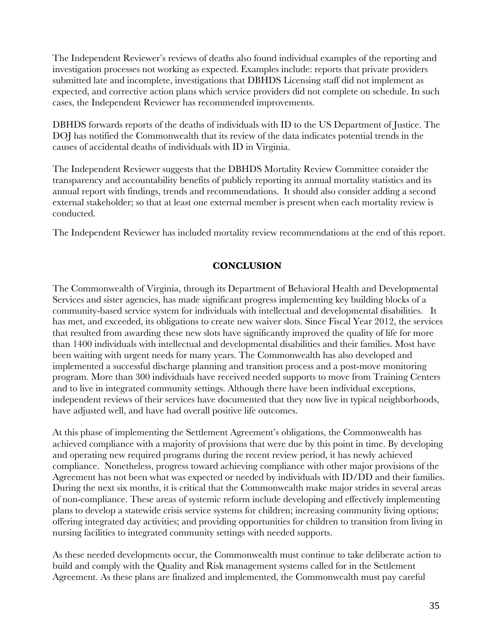The Independent Reviewer's reviews of deaths also found individual examples of the reporting and investigation processes not working as expected. Examples include: reports that private providers submitted late and incomplete, investigations that DBHDS Licensing staff did not implement as expected, and corrective action plans which service providers did not complete on schedule. In such cases, the Independent Reviewer has recommended improvements.

DBHDS forwards reports of the deaths of individuals with ID to the US Department of Justice. The DOJ has notified the Commonwealth that its review of the data indicates potential trends in the causes of accidental deaths of individuals with ID in Virginia.

The Independent Reviewer suggests that the DBHDS Mortality Review Committee consider the transparency and accountability benefits of publicly reporting its annual mortality statistics and its annual report with findings, trends and recommendations. It should also consider adding a second external stakeholder; so that at least one external member is present when each mortality review is conducted.

The Independent Reviewer has included mortality review recommendations at the end of this report.

#### **CONCLUSION**

The Commonwealth of Virginia, through its Department of Behavioral Health and Developmental Services and sister agencies, has made significant progress implementing key building blocks of a community-based service system for individuals with intellectual and developmental disabilities. It has met, and exceeded, its obligations to create new waiver slots. Since Fiscal Year 2012, the services that resulted from awarding these new slots have significantly improved the quality of life for more than 1400 individuals with intellectual and developmental disabilities and their families. Most have been waiting with urgent needs for many years. The Commonwealth has also developed and implemented a successful discharge planning and transition process and a post-move monitoring program. More than 300 individuals have received needed supports to move from Training Centers and to live in integrated community settings. Although there have been individual exceptions, independent reviews of their services have documented that they now live in typical neighborhoods, have adjusted well, and have had overall positive life outcomes.

At this phase of implementing the Settlement Agreement's obligations, the Commonwealth has achieved compliance with a majority of provisions that were due by this point in time. By developing and operating new required programs during the recent review period, it has newly achieved compliance. Nonetheless, progress toward achieving compliance with other major provisions of the Agreement has not been what was expected or needed by individuals with ID/DD and their families. During the next six months, it is critical that the Commonwealth make major strides in several areas of non-compliance. These areas of systemic reform include developing and effectively implementing plans to develop a statewide crisis service systems for children; increasing community living options; offering integrated day activities; and providing opportunities for children to transition from living in nursing facilities to integrated community settings with needed supports.

As these needed developments occur, the Commonwealth must continue to take deliberate action to build and comply with the Quality and Risk management systems called for in the Settlement Agreement. As these plans are finalized and implemented, the Commonwealth must pay careful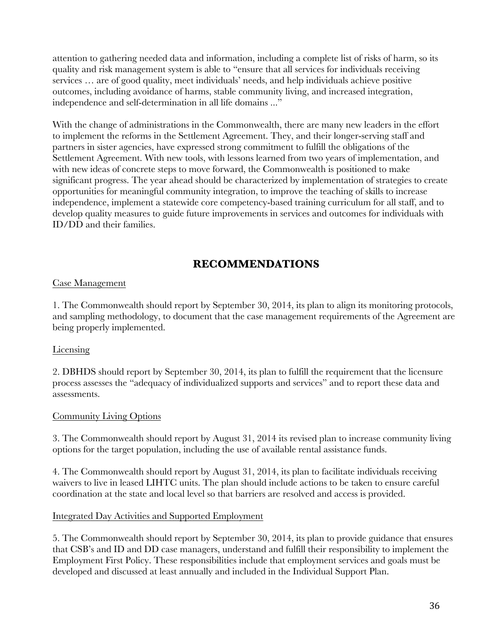attention to gathering needed data and information, including a complete list of risks of harm, so its quality and risk management system is able to "ensure that all services for individuals receiving services … are of good quality, meet individuals' needs, and help individuals achieve positive outcomes, including avoidance of harms, stable community living, and increased integration, independence and self-determination in all life domains ..."

With the change of administrations in the Commonwealth, there are many new leaders in the effort to implement the reforms in the Settlement Agreement. They, and their longer-serving staff and partners in sister agencies, have expressed strong commitment to fulfill the obligations of the Settlement Agreement. With new tools, with lessons learned from two years of implementation, and with new ideas of concrete steps to move forward, the Commonwealth is positioned to make significant progress. The year ahead should be characterized by implementation of strategies to create opportunities for meaningful community integration, to improve the teaching of skills to increase independence, implement a statewide core competency-based training curriculum for all staff, and to develop quality measures to guide future improvements in services and outcomes for individuals with ID/DD and their families.

# **RECOMMENDATIONS**

## Case Management

1. The Commonwealth should report by September 30, 2014, its plan to align its monitoring protocols, and sampling methodology, to document that the case management requirements of the Agreement are being properly implemented.

## Licensing

2. DBHDS should report by September 30, 2014, its plan to fulfill the requirement that the licensure process assesses the "adequacy of individualized supports and services" and to report these data and assessments.

#### Community Living Options

3. The Commonwealth should report by August 31, 2014 its revised plan to increase community living options for the target population, including the use of available rental assistance funds.

4. The Commonwealth should report by August 31, 2014, its plan to facilitate individuals receiving waivers to live in leased LIHTC units. The plan should include actions to be taken to ensure careful coordination at the state and local level so that barriers are resolved and access is provided.

#### Integrated Day Activities and Supported Employment

5. The Commonwealth should report by September 30, 2014, its plan to provide guidance that ensures that CSB's and ID and DD case managers, understand and fulfill their responsibility to implement the Employment First Policy. These responsibilities include that employment services and goals must be developed and discussed at least annually and included in the Individual Support Plan.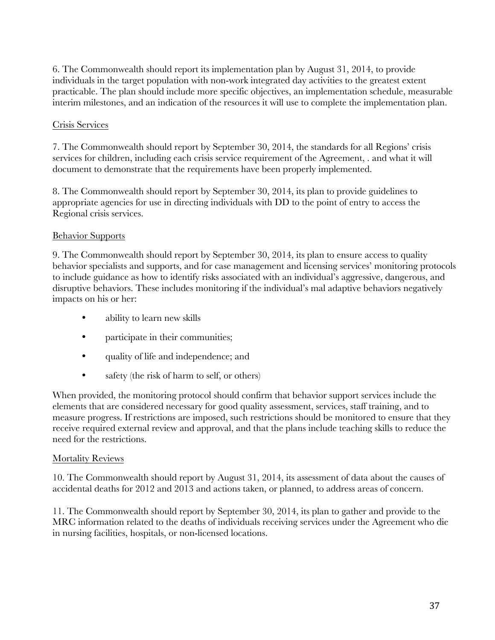6. The Commonwealth should report its implementation plan by August 31, 2014, to provide individuals in the target population with non-work integrated day activities to the greatest extent practicable. The plan should include more specific objectives, an implementation schedule, measurable interim milestones, and an indication of the resources it will use to complete the implementation plan.

#### Crisis Services

7. The Commonwealth should report by September 30, 2014, the standards for all Regions' crisis services for children, including each crisis service requirement of the Agreement, . and what it will document to demonstrate that the requirements have been properly implemented.

8. The Commonwealth should report by September 30, 2014, its plan to provide guidelines to appropriate agencies for use in directing individuals with DD to the point of entry to access the Regional crisis services.

#### Behavior Supports

9. The Commonwealth should report by September 30, 2014, its plan to ensure access to quality behavior specialists and supports, and for case management and licensing services' monitoring protocols to include guidance as how to identify risks associated with an individual's aggressive, dangerous, and disruptive behaviors. These includes monitoring if the individual's mal adaptive behaviors negatively impacts on his or her:

- ability to learn new skills
- participate in their communities;
- quality of life and independence; and
- safety (the risk of harm to self, or others)

When provided, the monitoring protocol should confirm that behavior support services include the elements that are considered necessary for good quality assessment, services, staff training, and to measure progress. If restrictions are imposed, such restrictions should be monitored to ensure that they receive required external review and approval, and that the plans include teaching skills to reduce the need for the restrictions.

#### Mortality Reviews

10. The Commonwealth should report by August 31, 2014, its assessment of data about the causes of accidental deaths for 2012 and 2013 and actions taken, or planned, to address areas of concern.

11. The Commonwealth should report by September 30, 2014, its plan to gather and provide to the MRC information related to the deaths of individuals receiving services under the Agreement who die in nursing facilities, hospitals, or non-licensed locations.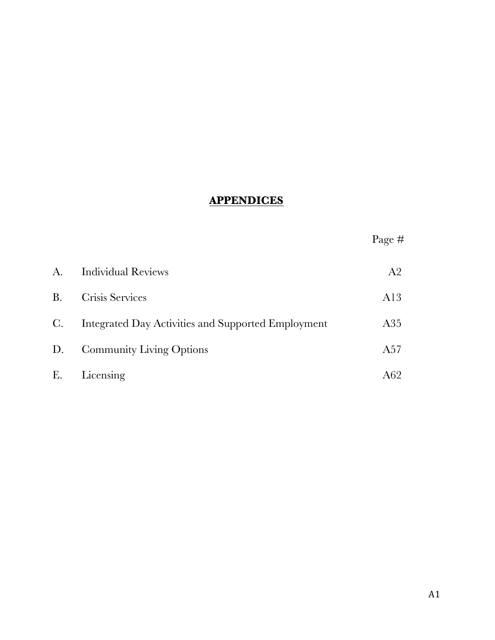## **APPENDICES**

| , ,<br>rage | # |
|-------------|---|
|-------------|---|

| A.             | <b>Individual Reviews</b>                          | A2   |
|----------------|----------------------------------------------------|------|
| <b>B.</b>      | Crisis Services                                    | A13  |
| $\mathbf{C}$ . | Integrated Day Activities and Supported Employment | A35  |
| D.             | <b>Community Living Options</b>                    | A57  |
| Е.             | Licensing                                          | A62- |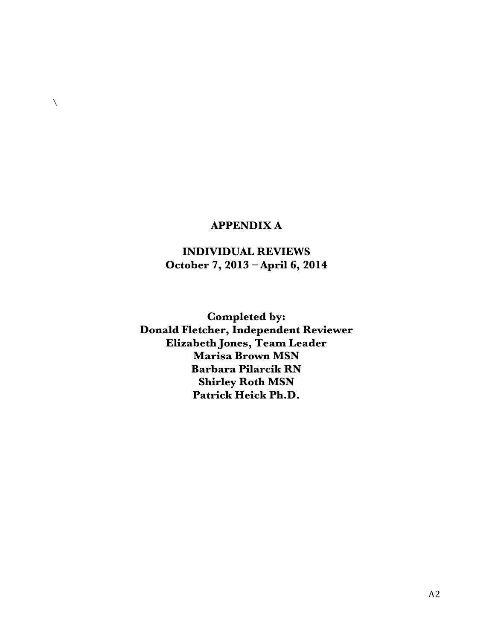## **APPENDIX A**

 $\bar{\mathcal{L}}$ 

## **INDIVIDUAL REVIEWS October 7, 2013 – April 6, 2014**

**Completed by: Donald Fletcher, Independent Reviewer Elizabeth Jones, Team Leader Marisa Brown MSN Barbara Pilarcik RN Shirley Roth MSN Patrick Heick Ph.D.**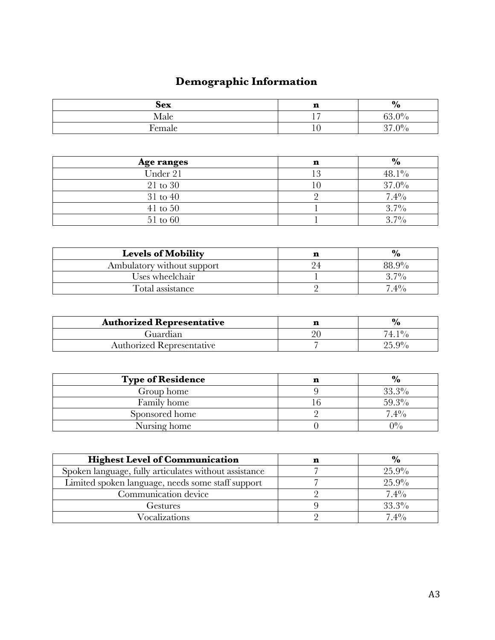# **Demographic Information**

| <b>Sex</b> | m<br>щ | $\frac{6}{6}$                     |
|------------|--------|-----------------------------------|
| Male       |        | $53.0\%$                          |
| Female     |        | $\Omega$<br>$\Omega$ <sup>0</sup> |

| Age ranges   | n | $\frac{6}{10}$ |
|--------------|---|----------------|
| Under 21     |   | $48.1\%$       |
| 21 to 30     |   | $37.0\%$       |
| 31 to 40     |   | 7.4%           |
| $41$ to $50$ |   | $3.7\%$        |
| 51 to 60     |   | $3.7\%$        |

| <b>Levels of Mobility</b>  |    | $\frac{6}{10}$ |
|----------------------------|----|----------------|
| Ambulatory without support | 94 | 88.9%          |
| Uses wheelchair            |    | $3.7\%$        |
| Total assistance           |    | $7.4\%$        |

| <b>Authorized Representative</b> | $\%$     |
|----------------------------------|----------|
| Guardian                         | $74~1\%$ |
| <b>Authorized Representative</b> | $25.9\%$ |

| <b>Type of Residence</b> | $\frac{6}{10}$ |
|--------------------------|----------------|
| Group home               | 33.3%          |
| Family home              | $59.3\%$       |
| Sponsored home           | $7.4\%$        |
| Nursing home             | $0\%$          |

| <b>Highest Level of Communication</b>                 | $\%$     |
|-------------------------------------------------------|----------|
| Spoken language, fully articulates without assistance | $25.9\%$ |
| Limited spoken language, needs some staff support     | 25.9%    |
| Communication device                                  | $7.4\%$  |
| Gestures                                              | $33.3\%$ |
| <b>Vocalizations</b>                                  | $7.4\%$  |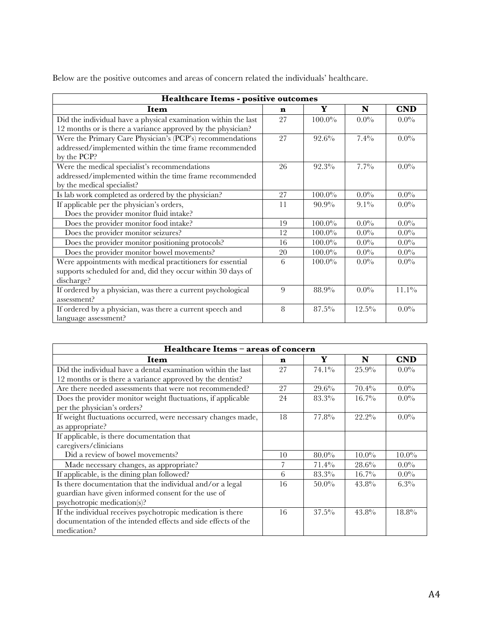Below are the positive outcomes and areas of concern related the individuals' healthcare.

| Healthcare Items - positive outcomes                           |    |           |          |            |
|----------------------------------------------------------------|----|-----------|----------|------------|
| Item                                                           | n  | Y         | N        | <b>CND</b> |
| Did the individual have a physical examination within the last | 27 | $100.0\%$ | $0.0\%$  | $0.0\%$    |
| 12 months or is there a variance approved by the physician?    |    |           |          |            |
| Were the Primary Care Physician's (PCP's) recommendations      | 27 | $92.6\%$  | 7.4%     | $0.0\%$    |
| addressed/implemented within the time frame recommended        |    |           |          |            |
| by the PCP?                                                    |    |           |          |            |
| Were the medical specialist's recommendations                  | 26 | 92.3%     | $7.7\%$  | $0.0\%$    |
| addressed/implemented within the time frame recommended        |    |           |          |            |
| by the medical specialist?                                     |    |           |          |            |
| Is lab work completed as ordered by the physician?             | 27 | $100.0\%$ | $0.0\%$  | $0.0\%$    |
| If applicable per the physician's orders,                      | 11 | $90.9\%$  | $9.1\%$  | $0.0\%$    |
| Does the provider monitor fluid intake?                        |    |           |          |            |
| Does the provider monitor food intake?                         | 19 | $100.0\%$ | $0.0\%$  | $0.0\%$    |
| Does the provider monitor seizures?                            | 12 | $100.0\%$ | $0.0\%$  | $0.0\%$    |
| Does the provider monitor positioning protocols?               | 16 | $100.0\%$ | $0.0\%$  | $0.0\%$    |
| Does the provider monitor bowel movements?                     | 20 | $100.0\%$ | $0.0\%$  | $0.0\%$    |
| Were appointments with medical practitioners for essential     | 6  | $100.0\%$ | $0.0\%$  | $0.0\%$    |
| supports scheduled for and, did they occur within 30 days of   |    |           |          |            |
| discharge?                                                     |    |           |          |            |
| If ordered by a physician, was there a current psychological   | 9  | 88.9%     | $0.0\%$  | $11.1\%$   |
| assessment?                                                    |    |           |          |            |
| If ordered by a physician, was there a current speech and      | 8  | 87.5%     | $12.5\%$ | $0.0\%$    |
| language assessment?                                           |    |           |          |            |

| Healthcare Items - areas of concern                           |    |          |          |            |
|---------------------------------------------------------------|----|----------|----------|------------|
| Item                                                          | n  | Y        | N        | <b>CND</b> |
| Did the individual have a dental examination within the last  | 27 | $74.1\%$ | 25.9%    | $0.0\%$    |
| 12 months or is there a variance approved by the dentist?     |    |          |          |            |
| Are there needed assessments that were not recommended?       | 27 | $29.6\%$ | $70.4\%$ | $0.0\%$    |
| Does the provider monitor weight fluctuations, if applicable  | 24 | 83.3%    | $16.7\%$ | $0.0\%$    |
| per the physician's orders?                                   |    |          |          |            |
| If weight fluctuations occurred, were necessary changes made, | 18 | 77.8%    | $22.2\%$ | $0.0\%$    |
| as appropriate?                                               |    |          |          |            |
| If applicable, is there documentation that                    |    |          |          |            |
| caregivers/clinicians                                         |    |          |          |            |
| Did a review of bowel movements?                              | 10 | $80.0\%$ | $10.0\%$ | $10.0\%$   |
| Made necessary changes, as appropriate?                       |    | $71.4\%$ | 28.6%    | $0.0\%$    |
| If applicable, is the dining plan followed?                   | 6  | 83.3%    | $16.7\%$ | $0.0\%$    |
| Is there documentation that the individual and/or a legal     | 16 | $50.0\%$ | $43.8\%$ | $6.3\%$    |
| guardian have given informed consent for the use of           |    |          |          |            |
| psychotropic medication(s)?                                   |    |          |          |            |
| If the individual receives psychotropic medication is there   | 16 | $37.5\%$ | $43.8\%$ | 18.8%      |
| documentation of the intended effects and side effects of the |    |          |          |            |
| medication?                                                   |    |          |          |            |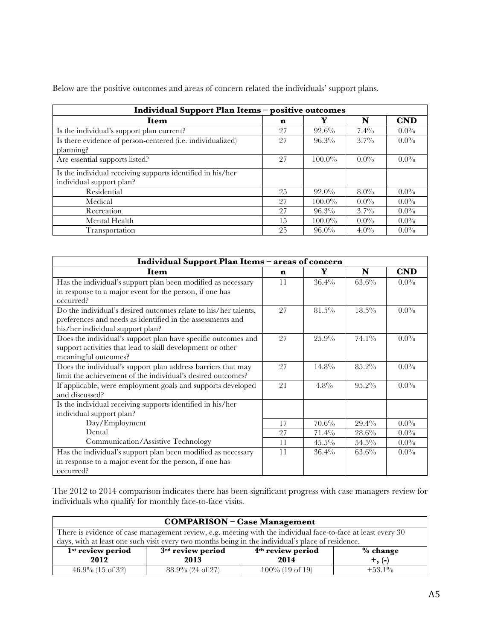| Individual Support Plan Items - positive outcomes                                      |    |           |         |            |
|----------------------------------------------------------------------------------------|----|-----------|---------|------------|
| Item                                                                                   | n  | Y         | N       | <b>CND</b> |
| Is the individual's support plan current?                                              | 27 | $92.6\%$  | $7.4\%$ | $0.0\%$    |
| Is there evidence of person-centered (i.e. individualized)<br>planning?                | 27 | $96.3\%$  | $3.7\%$ | $0.0\%$    |
| Are essential supports listed?                                                         | 27 | $100.0\%$ | $0.0\%$ | $0.0\%$    |
| Is the individual receiving supports identified in his/her<br>individual support plan? |    |           |         |            |
| Residential                                                                            | 25 | $92.0\%$  | $8.0\%$ | $0.0\%$    |
| Medical                                                                                | 27 | $100.0\%$ | $0.0\%$ | $0.0\%$    |
| Recreation                                                                             | 27 | $96.3\%$  | $3.7\%$ | $0.0\%$    |
| Mental Health                                                                          | 15 | $100.0\%$ | $0.0\%$ | $0.0\%$    |
| Transportation                                                                         | 25 | $96.0\%$  | $4.0\%$ | $0.0\%$    |

Below are the positive outcomes and areas of concern related the individuals' support plans.

| Individual Support Plan Items - areas of concern                |    |          |          |            |
|-----------------------------------------------------------------|----|----------|----------|------------|
| Item                                                            | n  | Y        | N        | <b>CND</b> |
| Has the individual's support plan been modified as necessary    | 11 | $36.4\%$ | $63.6\%$ | $0.0\%$    |
| in response to a major event for the person, if one has         |    |          |          |            |
| occurred?                                                       |    |          |          |            |
| Do the individual's desired outcomes relate to his/her talents, | 27 | 81.5%    | $18.5\%$ | $0.0\%$    |
| preferences and needs as identified in the assessments and      |    |          |          |            |
| his/her individual support plan?                                |    |          |          |            |
| Does the individual's support plan have specific outcomes and   | 27 | 25.9%    | $74.1\%$ | $0.0\%$    |
| support activities that lead to skill development or other      |    |          |          |            |
| meaningful outcomes?                                            |    |          |          |            |
| Does the individual's support plan address barriers that may    | 27 | $14.8\%$ | $85.2\%$ | $0.0\%$    |
| limit the achievement of the individual's desired outcomes?     |    |          |          |            |
| If applicable, were employment goals and supports developed     | 21 | 4.8%     | $95.2\%$ | $0.0\%$    |
| and discussed?                                                  |    |          |          |            |
| Is the individual receiving supports identified in his/her      |    |          |          |            |
| individual support plan?                                        |    |          |          |            |
| Day/Employment                                                  | 17 | 70.6%    | 29.4%    | $0.0\%$    |
| Dental                                                          | 27 | $71.4\%$ | $28.6\%$ | $0.0\%$    |
| Communication/Assistive Technology                              | 11 | $45.5\%$ | $54.5\%$ | $0.0\%$    |
| Has the individual's support plan been modified as necessary    | 11 | $36.4\%$ | $63.6\%$ | $0.0\%$    |
| in response to a major event for the person, if one has         |    |          |          |            |
| occurred?                                                       |    |          |          |            |

The 2012 to 2014 comparison indicates there has been significant progress with case managers review for individuals who qualify for monthly face-to-face visits.

| <b>COMPARISON - Case Management</b>                                                                          |                     |                    |           |  |  |
|--------------------------------------------------------------------------------------------------------------|---------------------|--------------------|-----------|--|--|
| There is evidence of case management review, e.g. meeting with the individual face-to-face at least every 30 |                     |                    |           |  |  |
| days, with at least one such visit every two months being in the individual's place of residence.            |                     |                    |           |  |  |
| 1 <sup>st</sup> review period<br>3rd review period<br>4 <sup>th</sup> review period<br>$%$ change            |                     |                    |           |  |  |
| 2012<br>2014<br>2013<br>$+, (-)$                                                                             |                     |                    |           |  |  |
| $46.9\%$ (15 of 32)                                                                                          | $88.9\%$ (24 of 27) | $100\%$ (19 of 19) | $+53.1\%$ |  |  |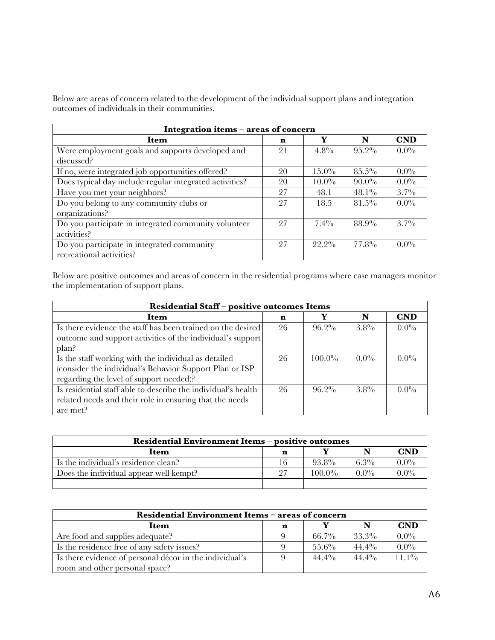Below are areas of concern related to the development of the individual support plans and integration outcomes of individuals in their communities.

| Integration items - areas of concern                    |    |          |          |            |  |  |
|---------------------------------------------------------|----|----------|----------|------------|--|--|
| Item                                                    | n  | Y        | N        | <b>CND</b> |  |  |
| Were employment goals and supports developed and        | 21 | $4.8\%$  | $95.2\%$ | $0.0\%$    |  |  |
| discussed?                                              |    |          |          |            |  |  |
| If no, were integrated job opportunities offered?       | 20 | $15.0\%$ | $85.5\%$ | $0.0\%$    |  |  |
| Does typical day include regular integrated activities? | 20 | $10.0\%$ | $90.0\%$ | $0.0\%$    |  |  |
| Have you met your neighbors?                            | 27 | 48.1     | $48.1\%$ | $3.7\%$    |  |  |
| Do you belong to any community clubs or                 | 27 | 18.5     | $81.5\%$ | $0.0\%$    |  |  |
| organizations?                                          |    |          |          |            |  |  |
| Do you participate in integrated community volunteer    | 27 | $7.4\%$  | 88.9%    | $3.7\%$    |  |  |
| activities?                                             |    |          |          |            |  |  |
| Do you participate in integrated community              | 27 | $22.2\%$ | $77.8\%$ | $0.0\%$    |  |  |
| recreational activities?                                |    |          |          |            |  |  |

Below are positive outcomes and areas of concern in the residential programs where case managers monitor the implementation of support plans.

| Residential Staff-positive outcomes Items                     |    |           |         |            |  |  |
|---------------------------------------------------------------|----|-----------|---------|------------|--|--|
| Item                                                          | n  | Y         | N       | <b>CND</b> |  |  |
| Is there evidence the staff has been trained on the desired   | 26 | $96.2\%$  | $3.8\%$ | $0.0\%$    |  |  |
| outcome and support activities of the individual's support    |    |           |         |            |  |  |
| plan?                                                         |    |           |         |            |  |  |
| Is the staff working with the individual as detailed          | 26 | $100.0\%$ | $0.0\%$ | $0.0\%$    |  |  |
| (consider the individual's Behavior Support Plan or ISP       |    |           |         |            |  |  |
| regarding the level of support needed)?                       |    |           |         |            |  |  |
| Is residential staff able to describe the individual's health | 26 | $96.2\%$  | $3.8\%$ | $0.0\%$    |  |  |
| related needs and their role in ensuring that the needs       |    |           |         |            |  |  |
| are met?                                                      |    |           |         |            |  |  |

| Residential Environment Items - positive outcomes |    |           |         |            |  |  |
|---------------------------------------------------|----|-----------|---------|------------|--|--|
| Item                                              | n  |           |         | <b>CND</b> |  |  |
| Is the individual's residence clean?              | 16 | $93.8\%$  | 6.3%    | $0.0\%$    |  |  |
| Does the individual appear well kempt?            |    | $100.0\%$ | $0.0\%$ | $0.0\%$    |  |  |
|                                                   |    |           |         |            |  |  |

| Residential Environment Items - areas of concern        |  |          |          |          |  |  |  |
|---------------------------------------------------------|--|----------|----------|----------|--|--|--|
| <b>CND</b><br>Item<br>n                                 |  |          |          |          |  |  |  |
| Are food and supplies adequate?                         |  | $66.7\%$ | $33.3\%$ | $0.0\%$  |  |  |  |
| Is the residence free of any safety issues?             |  | $55.6\%$ | $44.4\%$ | $0.0\%$  |  |  |  |
| Is there evidence of personal décor in the individual's |  | $44.4\%$ | $44.4\%$ | $11.1\%$ |  |  |  |
| room and other personal space?                          |  |          |          |          |  |  |  |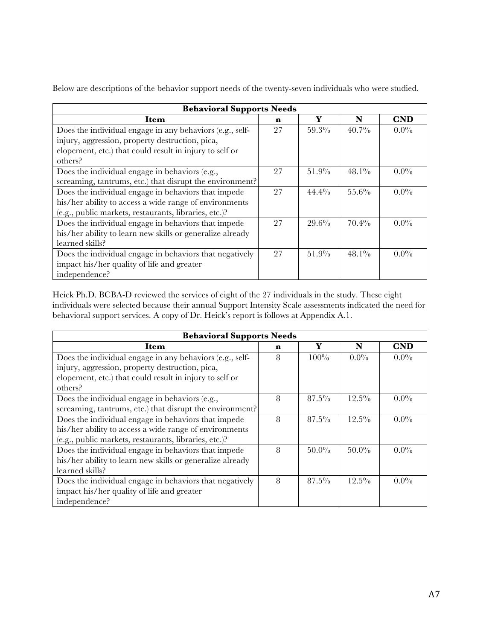Below are descriptions of the behavior support needs of the twenty-seven individuals who were studied.

| <b>Behavioral Supports Needs</b>                          |    |          |          |            |  |  |  |
|-----------------------------------------------------------|----|----------|----------|------------|--|--|--|
| Item                                                      | n  | Y        | N        | <b>CND</b> |  |  |  |
| Does the individual engage in any behaviors (e.g., self-  | 27 | 59.3%    | $40.7\%$ | $0.0\%$    |  |  |  |
| injury, aggression, property destruction, pica,           |    |          |          |            |  |  |  |
| elopement, etc.) that could result in injury to self or   |    |          |          |            |  |  |  |
| others?                                                   |    |          |          |            |  |  |  |
| Does the individual engage in behaviors (e.g.,            | 27 | $51.9\%$ | $48.1\%$ | $0.0\%$    |  |  |  |
| screaming, tantrums, etc.) that disrupt the environment?  |    |          |          |            |  |  |  |
| Does the individual engage in behaviors that impede       | 27 | $44.4\%$ | $55.6\%$ | $0.0\%$    |  |  |  |
| his/her ability to access a wide range of environments    |    |          |          |            |  |  |  |
| (e.g., public markets, restaurants, libraries, etc.)?     |    |          |          |            |  |  |  |
| Does the individual engage in behaviors that impede       | 27 | 29.6%    | $70.4\%$ | $0.0\%$    |  |  |  |
| his/her ability to learn new skills or generalize already |    |          |          |            |  |  |  |
| learned skills?                                           |    |          |          |            |  |  |  |
| Does the individual engage in behaviors that negatively   | 27 | $51.9\%$ | $48.1\%$ | $0.0\%$    |  |  |  |
| impact his/her quality of life and greater                |    |          |          |            |  |  |  |
| independence?                                             |    |          |          |            |  |  |  |

Heick Ph.D. BCBA-D reviewed the services of eight of the 27 individuals in the study. These eight individuals were selected because their annual Support Intensity Scale assessments indicated the need for behavioral support services. A copy of Dr. Heick's report is follows at Appendix A.1.

| <b>Behavioral Supports Needs</b>                          |   |          |          |            |  |  |  |
|-----------------------------------------------------------|---|----------|----------|------------|--|--|--|
| Item                                                      | n | Y        | N        | <b>CND</b> |  |  |  |
| Does the individual engage in any behaviors (e.g., self-  | 8 | $100\%$  | $0.0\%$  | $0.0\%$    |  |  |  |
| injury, aggression, property destruction, pica,           |   |          |          |            |  |  |  |
| elopement, etc.) that could result in injury to self or   |   |          |          |            |  |  |  |
| others?                                                   |   |          |          |            |  |  |  |
| Does the individual engage in behaviors (e.g.,            | 8 | $87.5\%$ | $12.5\%$ | $0.0\%$    |  |  |  |
| screaming, tantrums, etc.) that disrupt the environment?  |   |          |          |            |  |  |  |
| Does the individual engage in behaviors that impede       |   | $87.5\%$ | $12.5\%$ | $0.0\%$    |  |  |  |
| his/her ability to access a wide range of environments    |   |          |          |            |  |  |  |
| (e.g., public markets, restaurants, libraries, etc.)?     |   |          |          |            |  |  |  |
| Does the individual engage in behaviors that impede       | 8 | $50.0\%$ | $50.0\%$ | $0.0\%$    |  |  |  |
| his/her ability to learn new skills or generalize already |   |          |          |            |  |  |  |
| learned skills?                                           |   |          |          |            |  |  |  |
| Does the individual engage in behaviors that negatively   | 8 | $87.5\%$ | $12.5\%$ | $0.0\%$    |  |  |  |
| impact his/her quality of life and greater                |   |          |          |            |  |  |  |
| independence?                                             |   |          |          |            |  |  |  |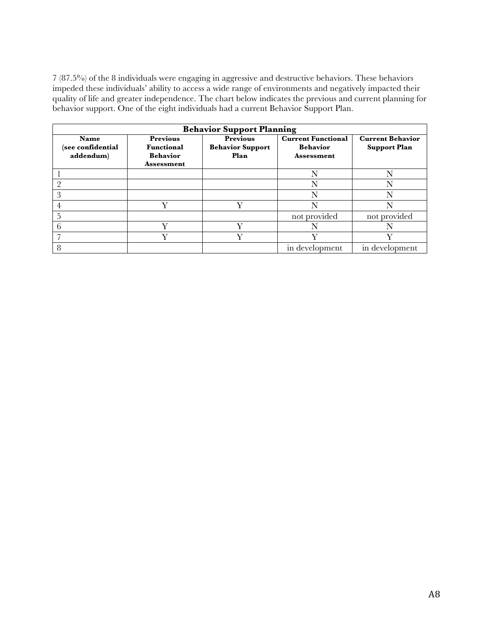7 (87.5%) of the 8 individuals were engaging in aggressive and destructive behaviors. These behaviors impeded these individuals' ability to access a wide range of environments and negatively impacted their quality of life and greater independence. The chart below indicates the previous and current planning for behavior support. One of the eight individuals had a current Behavior Support Plan.

| <b>Behavior Support Planning</b>       |                                                                              |                                                    |                                                                   |                                                |  |  |
|----------------------------------------|------------------------------------------------------------------------------|----------------------------------------------------|-------------------------------------------------------------------|------------------------------------------------|--|--|
| Name<br>(see confidential<br>addendum) | <b>Previous</b><br><b>Functional</b><br><b>Behavior</b><br><b>Assessment</b> | <b>Previous</b><br><b>Behavior Support</b><br>Plan | <b>Current Functional</b><br><b>Behavior</b><br><b>Assessment</b> | <b>Current Behavior</b><br><b>Support Plan</b> |  |  |
|                                        |                                                                              |                                                    | N                                                                 |                                                |  |  |
|                                        |                                                                              |                                                    | N                                                                 |                                                |  |  |
| 3                                      |                                                                              |                                                    | N                                                                 |                                                |  |  |
|                                        | v                                                                            | v                                                  | N                                                                 |                                                |  |  |
|                                        |                                                                              |                                                    | not provided                                                      | not provided                                   |  |  |
|                                        |                                                                              |                                                    |                                                                   |                                                |  |  |
|                                        |                                                                              |                                                    |                                                                   |                                                |  |  |
| 8                                      |                                                                              |                                                    | in development                                                    | in development                                 |  |  |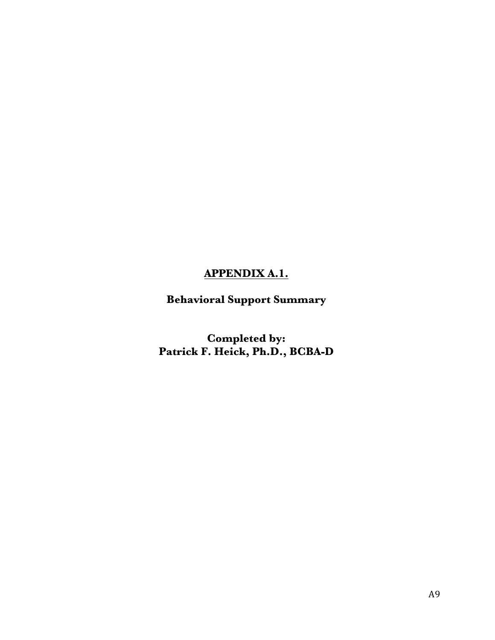# **APPENDIX A.1.**

**Behavioral Support Summary**

**Completed by: Patrick F. Heick, Ph.D., BCBA-D**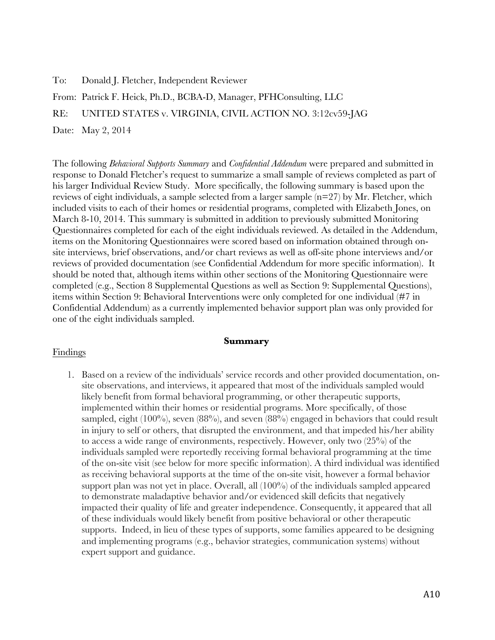To: Donald J. Fletcher, Independent Reviewer

From: Patrick F. Heick, Ph.D., BCBA-D, Manager, PFHConsulting, LLC

RE: UNITED STATES v. VIRGINIA, CIVIL ACTION NO. 3:12cv59-JAG

Date: May 2, 2014

The following *Behavioral Supports Summary* and *Confidential Addendum* were prepared and submitted in response to Donald Fletcher's request to summarize a small sample of reviews completed as part of his larger Individual Review Study. More specifically, the following summary is based upon the reviews of eight individuals, a sample selected from a larger sample  $(n=27)$  by Mr. Fletcher, which included visits to each of their homes or residential programs, completed with Elizabeth Jones, on March 8-10, 2014. This summary is submitted in addition to previously submitted Monitoring Questionnaires completed for each of the eight individuals reviewed. As detailed in the Addendum, items on the Monitoring Questionnaires were scored based on information obtained through onsite interviews, brief observations, and/or chart reviews as well as off-site phone interviews and/or reviews of provided documentation (see Confidential Addendum for more specific information). It should be noted that, although items within other sections of the Monitoring Questionnaire were completed (e.g., Section 8 Supplemental Questions as well as Section 9: Supplemental Questions), items within Section 9: Behavioral Interventions were only completed for one individual (#7 in Confidential Addendum) as a currently implemented behavior support plan was only provided for one of the eight individuals sampled.

#### **Summary**

#### Findings

1. Based on a review of the individuals' service records and other provided documentation, onsite observations, and interviews, it appeared that most of the individuals sampled would likely benefit from formal behavioral programming, or other therapeutic supports, implemented within their homes or residential programs. More specifically, of those sampled, eight  $(100\%)$ , seven  $(88\%)$ , and seven  $(88\%)$  engaged in behaviors that could result in injury to self or others, that disrupted the environment, and that impeded his/her ability to access a wide range of environments, respectively. However, only two (25%) of the individuals sampled were reportedly receiving formal behavioral programming at the time of the on-site visit (see below for more specific information). A third individual was identified as receiving behavioral supports at the time of the on-site visit, however a formal behavior support plan was not yet in place. Overall, all (100%) of the individuals sampled appeared to demonstrate maladaptive behavior and/or evidenced skill deficits that negatively impacted their quality of life and greater independence. Consequently, it appeared that all of these individuals would likely benefit from positive behavioral or other therapeutic supports. Indeed, in lieu of these types of supports, some families appeared to be designing and implementing programs (e.g., behavior strategies, communication systems) without expert support and guidance.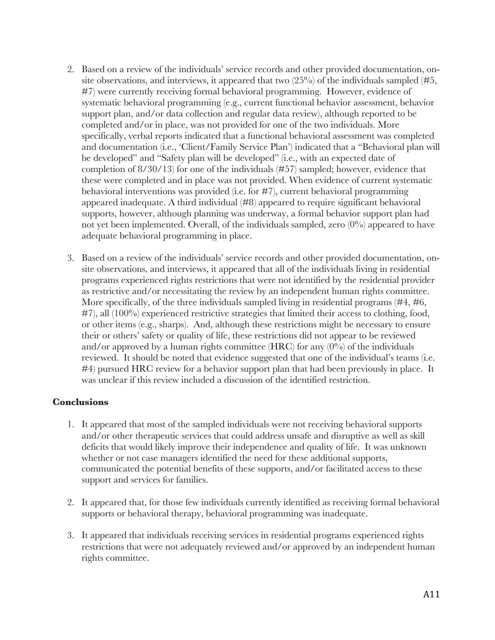- 2. Based on a review of the individuals' service records and other provided documentation, onsite observations, and interviews, it appeared that two  $(25\%)$  of the individuals sampled (#5, #7) were currently receiving formal behavioral programming. However, evidence of systematic behavioral programming (e.g., current functional behavior assessment, behavior support plan, and/or data collection and regular data review), although reported to be completed and/or in place, was not provided for one of the two individuals. More specifically, verbal reports indicated that a functional behavioral assessment was completed and documentation (i.e., 'Client/Family Service Plan') indicated that a "Behavioral plan will be developed" and "Safety plan will be developed" (i.e., with an expected date of completion of 8/30/13) for one of the individuals (#57) sampled; however, evidence that these were completed and in place was not provided. When evidence of current systematic behavioral interventions was provided (i.e. for #7), current behavioral programming appeared inadequate. A third individual (#8) appeared to require significant behavioral supports, however, although planning was underway, a formal behavior support plan had not yet been implemented. Overall, of the individuals sampled, zero (0%) appeared to have adequate behavioral programming in place.
- 3. Based on a review of the individuals' service records and other provided documentation, onsite observations, and interviews, it appeared that all of the individuals living in residential programs experienced rights restrictions that were not identified by the residential provider as restrictive and/or necessitating the review by an independent human rights committee. More specifically, of the three individuals sampled living in residential programs (#4, #6,  $\#7$ ), all (100%) experienced restrictive strategies that limited their access to clothing, food, or other items (e.g., sharps). And, although these restrictions might be necessary to ensure their or others' safety or quality of life, these restrictions did not appear to be reviewed and/or approved by a human rights committee (HRC) for any  $(0\%)$  of the individuals reviewed. It should be noted that evidence suggested that one of the individual's teams (i.e. #4) pursued HRC review for a behavior support plan that had been previously in place. It was unclear if this review included a discussion of the identified restriction.

#### **Conclusions**

- 1. It appeared that most of the sampled individuals were not receiving behavioral supports and/or other therapeutic services that could address unsafe and disruptive as well as skill deficits that would likely improve their independence and quality of life. It was unknown whether or not case managers identified the need for these additional supports, communicated the potential benefits of these supports, and/or facilitated access to these support and services for families.
- 2. It appeared that, for those few individuals currently identified as receiving formal behavioral supports or behavioral therapy, behavioral programming was inadequate.
- 3. It appeared that individuals receiving services in residential programs experienced rights restrictions that were not adequately reviewed and/or approved by an independent human rights committee.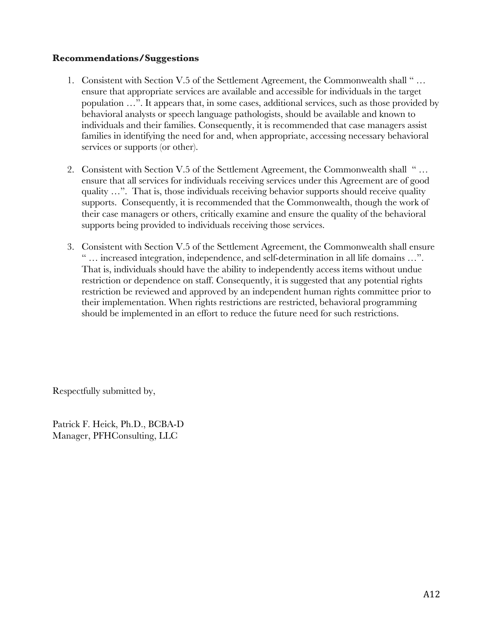#### **Recommendations/Suggestions**

- 1. Consistent with Section V.5 of the Settlement Agreement, the Commonwealth shall " … ensure that appropriate services are available and accessible for individuals in the target population …". It appears that, in some cases, additional services, such as those provided by behavioral analysts or speech language pathologists, should be available and known to individuals and their families. Consequently, it is recommended that case managers assist families in identifying the need for and, when appropriate, accessing necessary behavioral services or supports (or other).
- 2. Consistent with Section V.5 of the Settlement Agreement, the Commonwealth shall " … ensure that all services for individuals receiving services under this Agreement are of good quality …". That is, those individuals receiving behavior supports should receive quality supports. Consequently, it is recommended that the Commonwealth, though the work of their case managers or others, critically examine and ensure the quality of the behavioral supports being provided to individuals receiving those services.
- 3. Consistent with Section V.5 of the Settlement Agreement, the Commonwealth shall ensure " … increased integration, independence, and self-determination in all life domains …". That is, individuals should have the ability to independently access items without undue restriction or dependence on staff. Consequently, it is suggested that any potential rights restriction be reviewed and approved by an independent human rights committee prior to their implementation. When rights restrictions are restricted, behavioral programming should be implemented in an effort to reduce the future need for such restrictions.

Respectfully submitted by,

Patrick F. Heick, Ph.D., BCBA-D Manager, PFHConsulting, LLC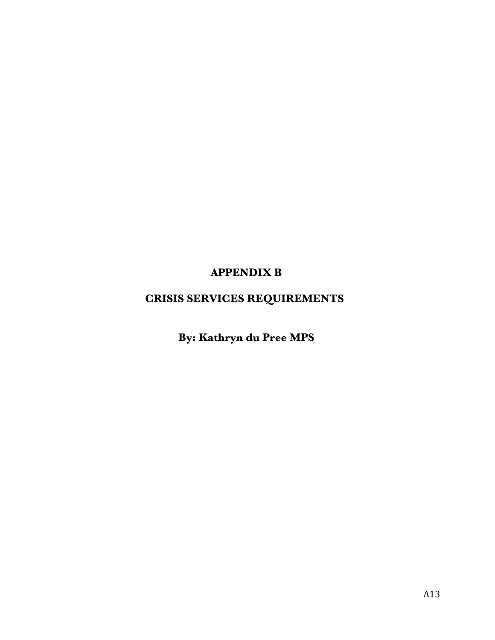# **APPENDIX B**

# **CRISIS SERVICES REQUIREMENTS**

**By: Kathryn du Pree MPS**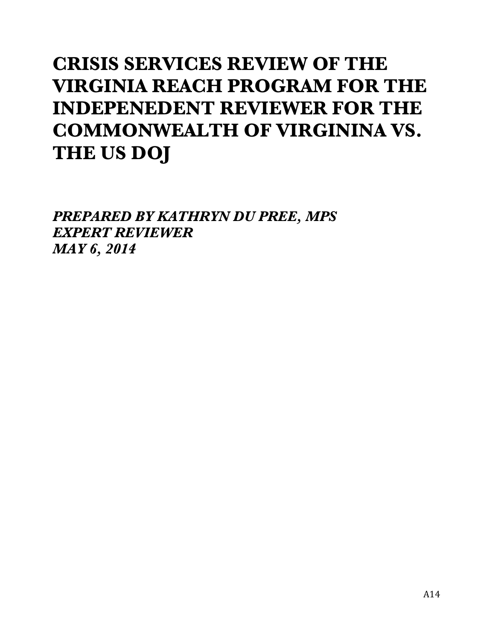# **CRISIS SERVICES REVIEW OF THE VIRGINIA REACH PROGRAM FOR THE INDEPENEDENT REVIEWER FOR THE COMMONWEALTH OF VIRGININA VS. THE US DOJ**

*PREPARED BY KATHRYN DU PREE, MPS EXPERT REVIEWER MAY 6, 2014*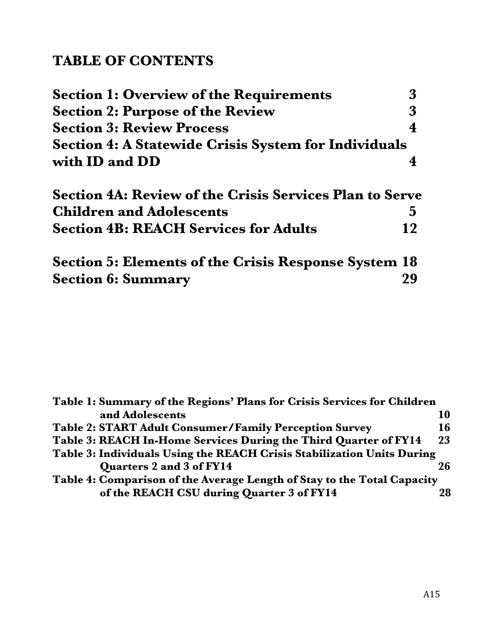# **TABLE OF CONTENTS**

| <b>Section 1: Overview of the Requirements</b>                 |    |
|----------------------------------------------------------------|----|
| <b>Section 2: Purpose of the Review</b>                        | 3  |
| <b>Section 3: Review Process</b>                               |    |
| <b>Section 4: A Statewide Crisis System for Individuals</b>    |    |
| with ID and DD                                                 |    |
| <b>Section 4A: Review of the Crisis Services Plan to Serve</b> |    |
| <b>Children and Adolescents</b>                                | 5  |
| <b>Section 4B: REACH Services for Adults</b>                   | 12 |
| <b>Section 5: Elements of the Crisis Response System 18</b>    |    |
| <b>Section 6: Summary</b>                                      |    |

| Table 1: Summary of the Regions' Plans for Crisis Services for Children |    |
|-------------------------------------------------------------------------|----|
| and Adolescents                                                         | 10 |
| <b>Table 2: START Adult Consumer/Family Perception Survey</b>           | 16 |
| Table 3: REACH In-Home Services During the Third Quarter of FY14        | 23 |
| Table 3: Individuals Using the REACH Crisis Stabilization Units During  |    |
| Quarters 2 and 3 of FY14                                                | 26 |
| Table 4: Comparison of the Average Length of Stay to the Total Capacity |    |
| of the REACH CSU during Quarter 3 of FY14                               | 28 |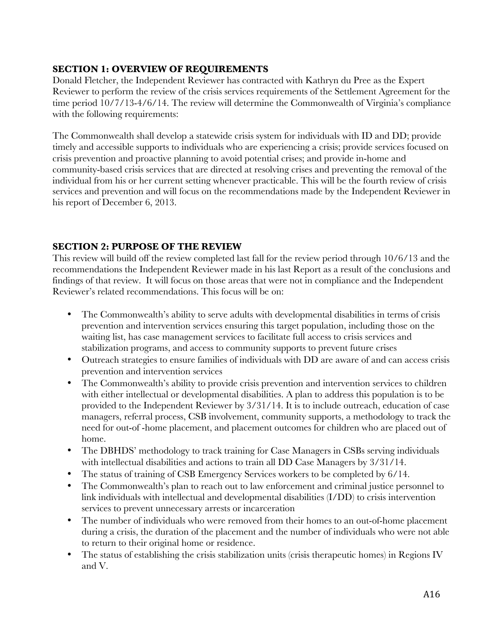## **SECTION 1: OVERVIEW OF REQUIREMENTS**

Donald Fletcher, the Independent Reviewer has contracted with Kathryn du Pree as the Expert Reviewer to perform the review of the crisis services requirements of the Settlement Agreement for the time period 10/7/13-4/6/14. The review will determine the Commonwealth of Virginia's compliance with the following requirements:

The Commonwealth shall develop a statewide crisis system for individuals with ID and DD; provide timely and accessible supports to individuals who are experiencing a crisis; provide services focused on crisis prevention and proactive planning to avoid potential crises; and provide in-home and community-based crisis services that are directed at resolving crises and preventing the removal of the individual from his or her current setting whenever practicable. This will be the fourth review of crisis services and prevention and will focus on the recommendations made by the Independent Reviewer in his report of December 6, 2013.

## **SECTION 2: PURPOSE OF THE REVIEW**

This review will build off the review completed last fall for the review period through 10/6/13 and the recommendations the Independent Reviewer made in his last Report as a result of the conclusions and findings of that review. It will focus on those areas that were not in compliance and the Independent Reviewer's related recommendations. This focus will be on:

- The Commonwealth's ability to serve adults with developmental disabilities in terms of crisis prevention and intervention services ensuring this target population, including those on the waiting list, has case management services to facilitate full access to crisis services and stabilization programs, and access to community supports to prevent future crises
- Outreach strategies to ensure families of individuals with DD are aware of and can access crisis prevention and intervention services
- The Commonwealth's ability to provide crisis prevention and intervention services to children with either intellectual or developmental disabilities. A plan to address this population is to be provided to the Independent Reviewer by 3/31/14. It is to include outreach, education of case managers, referral process, CSB involvement, community supports, a methodology to track the need for out-of -home placement, and placement outcomes for children who are placed out of home.
- The DBHDS' methodology to track training for Case Managers in CSBs serving individuals with intellectual disabilities and actions to train all DD Case Managers by 3/31/14.
- The status of training of CSB Emergency Services workers to be completed by 6/14.
- The Commonwealth's plan to reach out to law enforcement and criminal justice personnel to link individuals with intellectual and developmental disabilities (I/DD) to crisis intervention services to prevent unnecessary arrests or incarceration
- The number of individuals who were removed from their homes to an out-of-home placement during a crisis, the duration of the placement and the number of individuals who were not able to return to their original home or residence.
- The status of establishing the crisis stabilization units (crisis therapeutic homes) in Regions IV and V.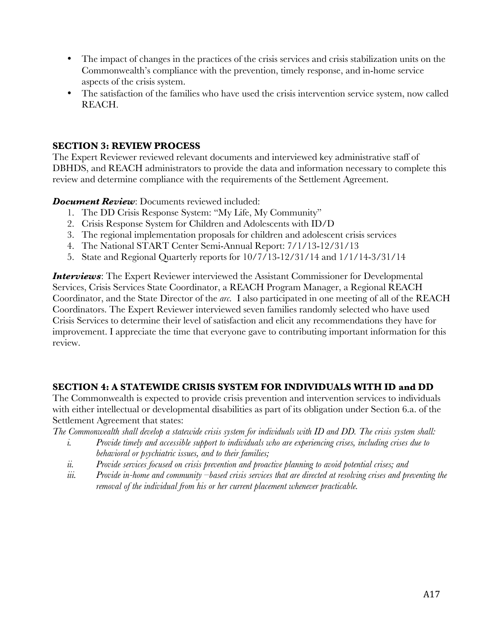- The impact of changes in the practices of the crisis services and crisis stabilization units on the Commonwealth's compliance with the prevention, timely response, and in-home service aspects of the crisis system.
- The satisfaction of the families who have used the crisis intervention service system, now called REACH.

#### **SECTION 3: REVIEW PROCESS**

The Expert Reviewer reviewed relevant documents and interviewed key administrative staff of DBHDS, and REACH administrators to provide the data and information necessary to complete this review and determine compliance with the requirements of the Settlement Agreement.

*Document Review: Documents reviewed included:* 

- 1. The DD Crisis Response System: "My Life, My Community"
- 2. Crisis Response System for Children and Adolescents with ID/D
- 3. The regional implementation proposals for children and adolescent crisis services
- 4. The National START Center Semi-Annual Report: 7/1/13-12/31/13
- 5. State and Regional Quarterly reports for 10/7/13-12/31/14 and 1/1/14-3/31/14

*Interviews*: The Expert Reviewer interviewed the Assistant Commissioner for Developmental Services, Crisis Services State Coordinator, a REACH Program Manager, a Regional REACH Coordinator, and the State Director of the *arc.* I also participated in one meeting of all of the REACH Coordinators. The Expert Reviewer interviewed seven families randomly selected who have used Crisis Services to determine their level of satisfaction and elicit any recommendations they have for improvement. I appreciate the time that everyone gave to contributing important information for this review.

## **SECTION 4: A STATEWIDE CRISIS SYSTEM FOR INDIVIDUALS WITH ID and DD**

The Commonwealth is expected to provide crisis prevention and intervention services to individuals with either intellectual or developmental disabilities as part of its obligation under Section 6.a. of the Settlement Agreement that states:

*The Commonwealth shall develop a statewide crisis system for individuals with ID and DD. The crisis system shall:*

- *i. Provide timely and accessible support to individuals who are experiencing crises, including crises due to behavioral or psychiatric issues, and to their families;*
- *ii. Provide services focused on crisis prevention and proactive planning to avoid potential crises; and*
- *iii. Provide in-home and community –based crisis services that are directed at resolving crises and preventing the removal of the individual from his or her current placement whenever practicable.*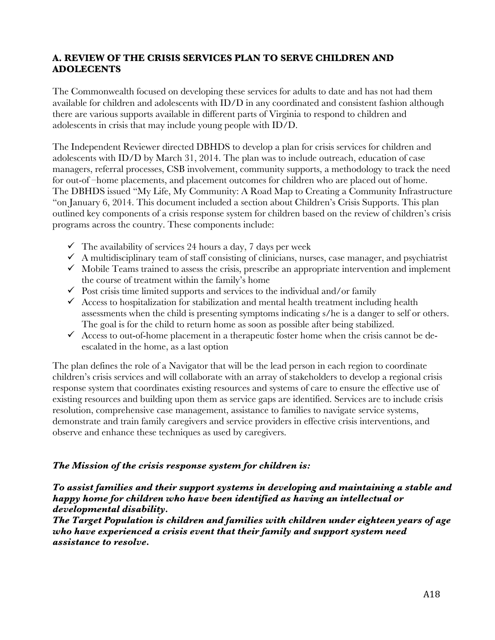#### **A. REVIEW OF THE CRISIS SERVICES PLAN TO SERVE CHILDREN AND ADOLECENTS**

The Commonwealth focused on developing these services for adults to date and has not had them available for children and adolescents with ID/D in any coordinated and consistent fashion although there are various supports available in different parts of Virginia to respond to children and adolescents in crisis that may include young people with ID/D.

The Independent Reviewer directed DBHDS to develop a plan for crisis services for children and adolescents with ID/D by March 31, 2014. The plan was to include outreach, education of case managers, referral processes, CSB involvement, community supports, a methodology to track the need for out-of –home placements, and placement outcomes for children who are placed out of home. The DBHDS issued "My Life, My Community: A Road Map to Creating a Community Infrastructure "on January 6, 2014. This document included a section about Children's Crisis Supports. This plan outlined key components of a crisis response system for children based on the review of children's crisis programs across the country. These components include:

- $\checkmark$  The availability of services 24 hours a day, 7 days per week
- $\checkmark$  A multidisciplinary team of staff consisting of clinicians, nurses, case manager, and psychiatrist
- $\checkmark$  Mobile Teams trained to assess the crisis, prescribe an appropriate intervention and implement the course of treatment within the family's home
- $\checkmark$  Post crisis time limited supports and services to the individual and/or family
- $\checkmark$  Access to hospitalization for stabilization and mental health treatment including health assessments when the child is presenting symptoms indicating s/he is a danger to self or others. The goal is for the child to return home as soon as possible after being stabilized.
- $\checkmark$  Access to out-of-home placement in a therapeutic foster home when the crisis cannot be deescalated in the home, as a last option

The plan defines the role of a Navigator that will be the lead person in each region to coordinate children's crisis services and will collaborate with an array of stakeholders to develop a regional crisis response system that coordinates existing resources and systems of care to ensure the effective use of existing resources and building upon them as service gaps are identified. Services are to include crisis resolution, comprehensive case management, assistance to families to navigate service systems, demonstrate and train family caregivers and service providers in effective crisis interventions, and observe and enhance these techniques as used by caregivers.

#### *The Mission of the crisis response system for children is:*

#### *To assist families and their support systems in developing and maintaining a stable and happy home for children who have been identified as having an intellectual or developmental disability.*

*The Target Population is children and families with children under eighteen years of age who have experienced a crisis event that their family and support system need assistance to resolve.*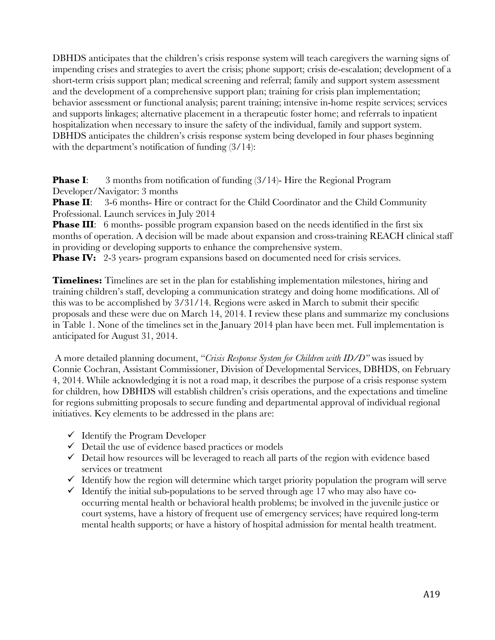DBHDS anticipates that the children's crisis response system will teach caregivers the warning signs of impending crises and strategies to avert the crisis; phone support; crisis de-escalation; development of a short-term crisis support plan; medical screening and referral; family and support system assessment and the development of a comprehensive support plan; training for crisis plan implementation; behavior assessment or functional analysis; parent training; intensive in-home respite services; services and supports linkages; alternative placement in a therapeutic foster home; and referrals to inpatient hospitalization when necessary to insure the safety of the individual, family and support system. DBHDS anticipates the children's crisis response system being developed in four phases beginning with the department's notification of funding  $(3/14)$ :

**Phase I:** 3 months from notification of funding (3/14)- Hire the Regional Program Developer/Navigator: 3 months

**Phase II:** 3-6 months- Hire or contract for the Child Coordinator and the Child Community Professional. Launch services in July 2014

**Phase III:** 6 months- possible program expansion based on the needs identified in the first six months of operation. A decision will be made about expansion and cross-training REACH clinical staff in providing or developing supports to enhance the comprehensive system.

**Phase IV:** 2-3 years- program expansions based on documented need for crisis services.

**Timelines:** Timelines are set in the plan for establishing implementation milestones, hiring and training children's staff, developing a communication strategy and doing home modifications. All of this was to be accomplished by 3/31/14. Regions were asked in March to submit their specific proposals and these were due on March 14, 2014. I review these plans and summarize my conclusions in Table 1. None of the timelines set in the January 2014 plan have been met. Full implementation is anticipated for August 31, 2014.

A more detailed planning document, "*Crisis Response System for Children with ID/D"* was issued by Connie Cochran, Assistant Commissioner, Division of Developmental Services, DBHDS, on February 4, 2014. While acknowledging it is not a road map, it describes the purpose of a crisis response system for children, how DBHDS will establish children's crisis operations, and the expectations and timeline for regions submitting proposals to secure funding and departmental approval of individual regional initiatives. Key elements to be addressed in the plans are:

- $\checkmark$  Identify the Program Developer
- $\checkmark$  Detail the use of evidence based practices or models
- $\checkmark$  Detail how resources will be leveraged to reach all parts of the region with evidence based services or treatment
- $\checkmark$  Identify how the region will determine which target priority population the program will serve
- $\checkmark$  Identify the initial sub-populations to be served through age 17 who may also have cooccurring mental health or behavioral health problems; be involved in the juvenile justice or court systems, have a history of frequent use of emergency services; have required long-term mental health supports; or have a history of hospital admission for mental health treatment.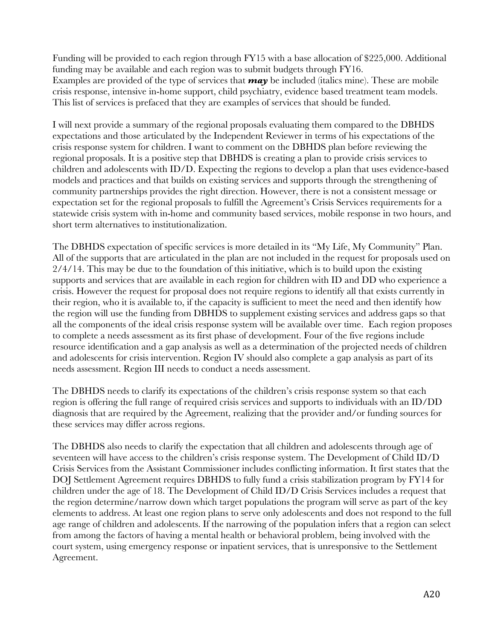Funding will be provided to each region through FY15 with a base allocation of \$225,000. Additional funding may be available and each region was to submit budgets through FY16. Examples are provided of the type of services that *may* be included (italics mine). These are mobile crisis response, intensive in-home support, child psychiatry, evidence based treatment team models. This list of services is prefaced that they are examples of services that should be funded.

I will next provide a summary of the regional proposals evaluating them compared to the DBHDS expectations and those articulated by the Independent Reviewer in terms of his expectations of the crisis response system for children. I want to comment on the DBHDS plan before reviewing the regional proposals. It is a positive step that DBHDS is creating a plan to provide crisis services to children and adolescents with ID/D. Expecting the regions to develop a plan that uses evidence-based models and practices and that builds on existing services and supports through the strengthening of community partnerships provides the right direction. However, there is not a consistent message or expectation set for the regional proposals to fulfill the Agreement's Crisis Services requirements for a statewide crisis system with in-home and community based services, mobile response in two hours, and short term alternatives to institutionalization.

The DBHDS expectation of specific services is more detailed in its "My Life, My Community" Plan. All of the supports that are articulated in the plan are not included in the request for proposals used on  $2/4/14$ . This may be due to the foundation of this initiative, which is to build upon the existing supports and services that are available in each region for children with ID and DD who experience a crisis. However the request for proposal does not require regions to identify all that exists currently in their region, who it is available to, if the capacity is sufficient to meet the need and then identify how the region will use the funding from DBHDS to supplement existing services and address gaps so that all the components of the ideal crisis response system will be available over time. Each region proposes to complete a needs assessment as its first phase of development. Four of the five regions include resource identification and a gap analysis as well as a determination of the projected needs of children and adolescents for crisis intervention. Region IV should also complete a gap analysis as part of its needs assessment. Region III needs to conduct a needs assessment.

The DBHDS needs to clarify its expectations of the children's crisis response system so that each region is offering the full range of required crisis services and supports to individuals with an ID/DD diagnosis that are required by the Agreement, realizing that the provider and/or funding sources for these services may differ across regions.

The DBHDS also needs to clarify the expectation that all children and adolescents through age of seventeen will have access to the children's crisis response system. The Development of Child ID/D Crisis Services from the Assistant Commissioner includes conflicting information. It first states that the DOJ Settlement Agreement requires DBHDS to fully fund a crisis stabilization program by FY14 for children under the age of 18. The Development of Child ID/D Crisis Services includes a request that the region determine/narrow down which target populations the program will serve as part of the key elements to address. At least one region plans to serve only adolescents and does not respond to the full age range of children and adolescents. If the narrowing of the population infers that a region can select from among the factors of having a mental health or behavioral problem, being involved with the court system, using emergency response or inpatient services, that is unresponsive to the Settlement Agreement.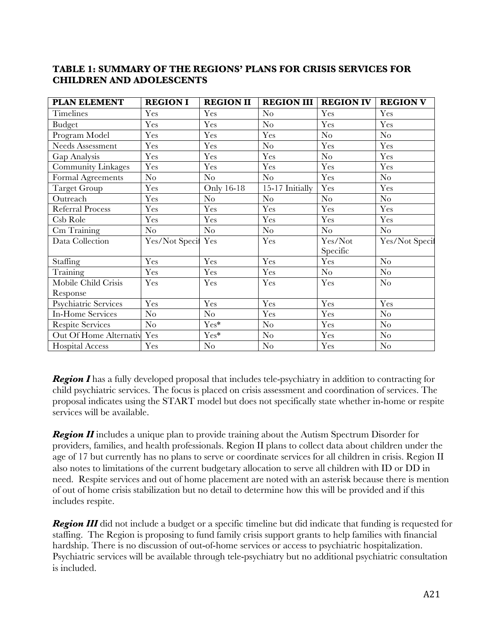#### **TABLE 1: SUMMARY OF THE REGIONS' PLANS FOR CRISIS SERVICES FOR CHILDREN AND ADOLESCENTS**

| <b>PLAN ELEMENT</b>     | <b>REGION I</b>    | <b>REGION II</b> | <b>REGION III</b> | <b>REGION IV</b> | <b>REGION V</b> |
|-------------------------|--------------------|------------------|-------------------|------------------|-----------------|
| <b>Timelines</b>        | Yes                | Yes              | No                | Yes              | Yes             |
| <b>Budget</b>           | Yes                | Yes              | No                | Yes              | Yes             |
| Program Model           | Yes                | Yes              | Yes               | $\rm No$         | $\rm No$        |
| <b>Needs Assessment</b> | Yes                | Yes              | No                | Yes              | Yes             |
| Gap Analysis            | Yes                | Yes              | Yes               | $\rm No$         | Yes             |
| Community Linkages      | Yes                | Yes              | Yes               | Yes              | Yes             |
| Formal Agreements       | No                 | $\rm No$         | No                | Yes              | $\rm No$        |
| <b>Target Group</b>     | Yes                | Only 16-18       | 15-17 Initially   | Yes              | Yes             |
| Outreach                | Yes                | $\rm No$         | No                | $\rm No$         | $\rm No$        |
| <b>Referral Process</b> | Yes                | Yes              | Yes               | Yes              | Yes             |
| Csb Role                | Yes                | Yes              | Yes               | Yes              | Yes             |
| Cm Training             | $\rm No$           | $\rm No$         | $\rm No$          | $\rm No$         | $\rm No$        |
| Data Collection         | Yes/Not Specil Yes |                  | Yes               | Yes/Not          | Yes/Not Specif  |
|                         |                    |                  |                   | Specific         |                 |
| <b>Staffing</b>         | Yes                | Yes              | Yes               | Yes              | No              |
| Training                | Yes                | Yes              | Yes               | $\rm No$         | $\rm No$        |
| Mobile Child Crisis     | Yes                | Yes              | Yes               | Yes              | N <sub>o</sub>  |
| Response                |                    |                  |                   |                  |                 |
| Psychiatric Services    | Yes                | Yes              | Yes               | Yes              | Yes             |
| <b>In-Home Services</b> | $\rm No$           | $\rm No$         | Yes               | Yes              | $\rm No$        |
| <b>Respite Services</b> | $\rm No$           | $Yes*$           | No                | Yes              | $\rm No$        |
| Out Of Home Alternativ  | Yes                | $Yes*$           | No                | Yes              | $\rm No$        |
| <b>Hospital Access</b>  | Yes                | $\rm No$         | $\rm No$          | Yes              | $\rm No$        |

**Region I** has a fully developed proposal that includes tele-psychiatry in addition to contracting for child psychiatric services. The focus is placed on crisis assessment and coordination of services. The proposal indicates using the START model but does not specifically state whether in-home or respite services will be available.

**Region II** includes a unique plan to provide training about the Autism Spectrum Disorder for providers, families, and health professionals. Region II plans to collect data about children under the age of 17 but currently has no plans to serve or coordinate services for all children in crisis. Region II also notes to limitations of the current budgetary allocation to serve all children with ID or DD in need. Respite services and out of home placement are noted with an asterisk because there is mention of out of home crisis stabilization but no detail to determine how this will be provided and if this includes respite.

*Region III* did not include a budget or a specific timeline but did indicate that funding is requested for staffing. The Region is proposing to fund family crisis support grants to help families with financial hardship. There is no discussion of out-of-home services or access to psychiatric hospitalization. Psychiatric services will be available through tele-psychiatry but no additional psychiatric consultation is included.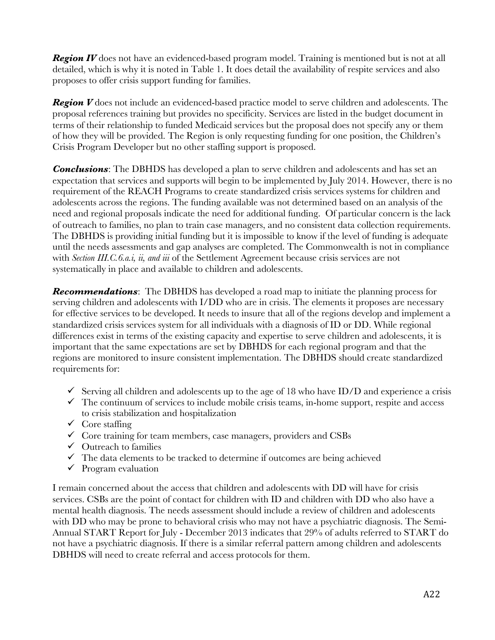**Region IV** does not have an evidenced-based program model. Training is mentioned but is not at all detailed, which is why it is noted in Table 1. It does detail the availability of respite services and also proposes to offer crisis support funding for families.

**Region V** does not include an evidenced-based practice model to serve children and adolescents. The proposal references training but provides no specificity. Services are listed in the budget document in terms of their relationship to funded Medicaid services but the proposal does not specify any or them of how they will be provided. The Region is only requesting funding for one position, the Children's Crisis Program Developer but no other staffing support is proposed.

**Conclusions**: The DBHDS has developed a plan to serve children and adolescents and has set an expectation that services and supports will begin to be implemented by July 2014. However, there is no requirement of the REACH Programs to create standardized crisis services systems for children and adolescents across the regions. The funding available was not determined based on an analysis of the need and regional proposals indicate the need for additional funding. Of particular concern is the lack of outreach to families, no plan to train case managers, and no consistent data collection requirements. The DBHDS is providing initial funding but it is impossible to know if the level of funding is adequate until the needs assessments and gap analyses are completed. The Commonwealth is not in compliance with *Section III.C.6.a.i, ii, and iii* of the Settlement Agreement because crisis services are not systematically in place and available to children and adolescents.

*Recommendations*: The DBHDS has developed a road map to initiate the planning process for serving children and adolescents with I/DD who are in crisis. The elements it proposes are necessary for effective services to be developed. It needs to insure that all of the regions develop and implement a standardized crisis services system for all individuals with a diagnosis of ID or DD. While regional differences exist in terms of the existing capacity and expertise to serve children and adolescents, it is important that the same expectations are set by DBHDS for each regional program and that the regions are monitored to insure consistent implementation. The DBHDS should create standardized requirements for:

- $\checkmark$  Serving all children and adolescents up to the age of 18 who have ID/D and experience a crisis
- $\checkmark$  The continuum of services to include mobile crisis teams, in-home support, respite and access to crisis stabilization and hospitalization
- $\checkmark$  Core staffing
- $\checkmark$  Core training for team members, case managers, providers and CSBs
- $\checkmark$  Outreach to families
- $\checkmark$  The data elements to be tracked to determine if outcomes are being achieved
- $\checkmark$  Program evaluation

I remain concerned about the access that children and adolescents with DD will have for crisis services. CSBs are the point of contact for children with ID and children with DD who also have a mental health diagnosis. The needs assessment should include a review of children and adolescents with DD who may be prone to behavioral crisis who may not have a psychiatric diagnosis. The Semi-Annual START Report for July - December 2013 indicates that 29% of adults referred to START do not have a psychiatric diagnosis. If there is a similar referral pattern among children and adolescents DBHDS will need to create referral and access protocols for them.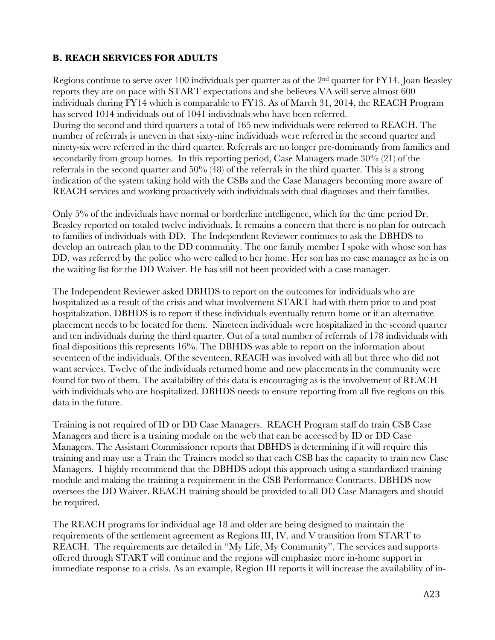## **B. REACH SERVICES FOR ADULTS**

Regions continue to serve over 100 individuals per quarter as of the  $2<sup>nd</sup>$  quarter for FY14. Joan Beasley reports they are on pace with START expectations and she believes VA will serve almost 600 individuals during FY14 which is comparable to FY13. As of March 31, 2014, the REACH Program has served 1014 individuals out of 1041 individuals who have been referred. During the second and third quarters a total of 165 new individuals were referred to REACH. The number of referrals is uneven in that sixty-nine individuals were referred in the second quarter and ninety-six were referred in the third quarter. Referrals are no longer pre-dominantly from families and secondarily from group homes. In this reporting period, Case Managers made 30% (21) of the referrals in the second quarter and  $50\%$  (48) of the referrals in the third quarter. This is a strong indication of the system taking hold with the CSBs and the Case Managers becoming more aware of REACH services and working proactively with individuals with dual diagnoses and their families.

Only 5% of the individuals have normal or borderline intelligence, which for the time period Dr. Beasley reported on totaled twelve individuals. It remains a concern that there is no plan for outreach to families of individuals with DD. The Independent Reviewer continues to ask the DBHDS to develop an outreach plan to the DD community. The one family member I spoke with whose son has DD, was referred by the police who were called to her home. Her son has no case manager as he is on the waiting list for the DD Waiver. He has still not been provided with a case manager.

The Independent Reviewer asked DBHDS to report on the outcomes for individuals who are hospitalized as a result of the crisis and what involvement START had with them prior to and post hospitalization. DBHDS is to report if these individuals eventually return home or if an alternative placement needs to be located for them. Nineteen individuals were hospitalized in the second quarter and ten individuals during the third quarter. Out of a total number of referrals of 178 individuals with final dispositions this represents 16%. The DBHDS was able to report on the information about seventeen of the individuals. Of the seventeen, REACH was involved with all but three who did not want services. Twelve of the individuals returned home and new placements in the community were found for two of them. The availability of this data is encouraging as is the involvement of REACH with individuals who are hospitalized. DBHDS needs to ensure reporting from all five regions on this data in the future.

Training is not required of ID or DD Case Managers. REACH Program staff do train CSB Case Managers and there is a training module on the web that can be accessed by ID or DD Case Managers. The Assistant Commissioner reports that DBHDS is determining if it will require this training and may use a Train the Trainers model so that each CSB has the capacity to train new Case Managers. I highly recommend that the DBHDS adopt this approach using a standardized training module and making the training a requirement in the CSB Performance Contracts. DBHDS now oversees the DD Waiver. REACH training should be provided to all DD Case Managers and should be required.

The REACH programs for individual age 18 and older are being designed to maintain the requirements of the settlement agreement as Regions III, IV, and V transition from START to REACH. The requirements are detailed in "My Life, My Community". The services and supports offered through START will continue and the regions will emphasize more in-home support in immediate response to a crisis. As an example, Region III reports it will increase the availability of in-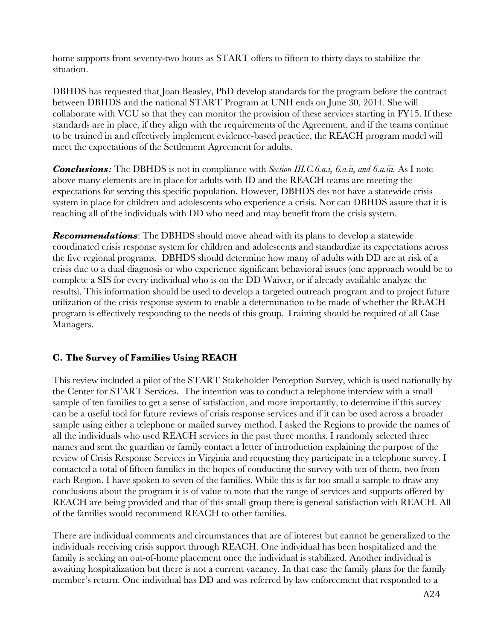home supports from seventy-two hours as START offers to fifteen to thirty days to stabilize the situation.

DBHDS has requested that Joan Beasley, PhD develop standards for the program before the contract between DBHDS and the national START Program at UNH ends on June 30, 2014. She will collaborate with VCU so that they can monitor the provision of these services starting in FY15. If these standards are in place, if they align with the requirements of the Agreement, and if the teams continue to be trained in and effectively implement evidence-based practice, the REACH program model will meet the expectations of the Settlement Agreement for adults.

*Conclusions:* The DBHDS is not in compliance with *Section III.C.6.a.i, 6.a.ii, and 6.a.iii.* As I note above many elements are in place for adults with ID and the REACH teams are meeting the expectations for serving this specific population. However, DBHDS des not have a statewide crisis system in place for children and adolescents who experience a crisis. Nor can DBHDS assure that it is reaching all of the individuals with DD who need and may benefit from the crisis system.

*Recommendations*: The DBHDS should move ahead with its plans to develop a statewide coordinated crisis response system for children and adolescents and standardize its expectations across the five regional programs. DBHDS should determine how many of adults with DD are at risk of a crisis due to a dual diagnosis or who experience significant behavioral issues (one approach would be to complete a SIS for every individual who is on the DD Waiver, or if already available analyze the results). This information should be used to develop a targeted outreach program and to project future utilization of the crisis response system to enable a determination to be made of whether the REACH program is effectively responding to the needs of this group. Training should be required of all Case Managers.

## **C. The Survey of Families Using REACH**

This review included a pilot of the START Stakeholder Perception Survey, which is used nationally by the Center for START Services. The intention was to conduct a telephone interview with a small sample of ten families to get a sense of satisfaction, and more importantly, to determine if this survey can be a useful tool for future reviews of crisis response services and if it can be used across a broader sample using either a telephone or mailed survey method. I asked the Regions to provide the names of all the individuals who used REACH services in the past three months. I randomly selected three names and sent the guardian or family contact a letter of introduction explaining the purpose of the review of Crisis Response Services in Virginia and requesting they participate in a telephone survey. I contacted a total of fifteen families in the hopes of conducting the survey with ten of them, two from each Region. I have spoken to seven of the families. While this is far too small a sample to draw any conclusions about the program it is of value to note that the range of services and supports offered by REACH are being provided and that of this small group there is general satisfaction with REACH. All of the families would recommend REACH to other families.

There are individual comments and circumstances that are of interest but cannot be generalized to the individuals receiving crisis support through REACH. One individual has been hospitalized and the family is seeking an out-of-home placement once the individual is stabilized. Another individual is awaiting hospitalization but there is not a current vacancy. In that case the family plans for the family member's return. One individual has DD and was referred by law enforcement that responded to a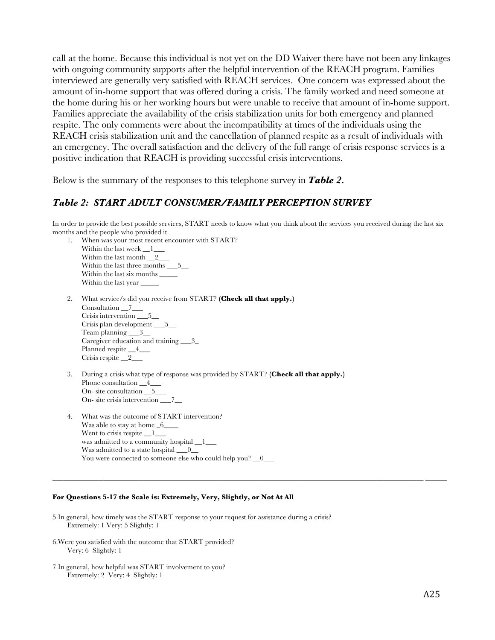call at the home. Because this individual is not yet on the DD Waiver there have not been any linkages with ongoing community supports after the helpful intervention of the REACH program. Families interviewed are generally very satisfied with REACH services. One concern was expressed about the amount of in-home support that was offered during a crisis. The family worked and need someone at the home during his or her working hours but were unable to receive that amount of in-home support. Families appreciate the availability of the crisis stabilization units for both emergency and planned respite. The only comments were about the incompatibility at times of the individuals using the REACH crisis stabilization unit and the cancellation of planned respite as a result of individuals with an emergency. The overall satisfaction and the delivery of the full range of crisis response services is a positive indication that REACH is providing successful crisis interventions.

Below is the summary of the responses to this telephone survey in *Table 2.*

#### *Table 2: START ADULT CONSUMER/FAMILY PERCEPTION SURVEY*

In order to provide the best possible services, START needs to know what you think about the services you received during the last six months and the people who provided it.

**\_\_\_\_\_\_\_\_\_\_\_\_\_\_\_\_\_\_\_\_\_\_\_\_\_\_\_\_\_\_\_\_\_\_\_\_\_\_\_\_\_\_\_\_\_\_\_\_\_\_\_\_\_\_\_\_\_\_\_\_\_\_\_\_\_\_\_\_\_\_\_\_\_\_\_\_\_\_\_\_\_\_\_\_\_\_\_\_\_\_\_\_\_\_\_\_\_\_\_\_\_\_ \_\_\_\_\_\_** 

- 1. When was your most recent encounter with START? Within the last week  $\_\_1$ Within the last month 2\_ Within the last three months \_\_\_5\_\_ Within the last six months  $\_\_$ Within the last year  $\_\_$
- 2. What service/s did you receive from START? **(Check all that apply.)** Consultation  $2$ Crisis intervention \_\_\_5\_\_ Crisis plan development \_\_\_5\_\_ Team planning \_\_\_3\_\_ Caregiver education and training \_\_\_3\_ Planned respite  $4$ Crisis respite \_\_2\_\_\_
- 3. During a crisis what type of response was provided by START? **(Check all that apply.)**  Phone consultation  $4$ On- site consultation \_\_5\_\_\_ On- site crisis intervention \_\_\_7\_\_
- 4. What was the outcome of START intervention? Was able to stay at home  $6$ Went to crisis respite 1 was admitted to a community hospital 1 Was admitted to a state hospital  $\_\_0$ You were connected to someone else who could help you?  $\_\_0$

#### **For Questions 5-17 the Scale is: Extremely, Very, Slightly, or Not At All**

- 5.In general, how timely was the START response to your request for assistance during a crisis? Extremely: 1 Very: 5 Slightly: 1
- 6.Were you satisfied with the outcome that START provided? Very: 6 Slightly: 1
- 7.In general, how helpful was START involvement to you? Extremely: 2 Very: 4 Slightly: 1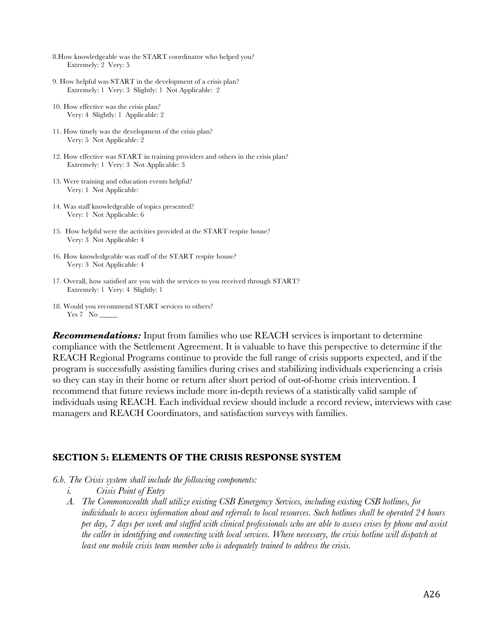- 8.How knowledgeable was the START coordinator who helped you? Extremely: 2 Very: 5
- 9. How helpful was START in the development of a crisis plan? Extremely: 1 Very: 3 Slightly: 1 Not Applicable: 2
- 10. How effective was the crisis plan? Very: 4 Slightly: 1 Applicable: 2
- 11. How timely was the development of the crisis plan? Very: 5 Not Applicable: 2
- 12. How effective was START in training providers and others in the crisis plan? Extremely: 1 Very: 3 Not Applicable: 3
- 13. Were training and education events helpful? Very: 1 Not Applicable:
- 14. Was staff knowledgeable of topics presented? Very: 1 Not Applicable: 6
- 15. How helpful were the activities provided at the START respite house? Very: 3 Not Applicable: 4
- 16. How knowledgeable was staff of the START respite house? Very: 3 Not Applicable: 4
- 17. Overall, how satisfied are you with the services to you received through START? Extremely: 1 Very: 4 Slightly: 1
- 18. Would you recommend START services to others? Yes 7 No \_

**Recommendations:** Input from families who use REACH services is important to determine compliance with the Settlement Agreement. It is valuable to have this perspective to determine if the REACH Regional Programs continue to provide the full range of crisis supports expected, and if the program is successfully assisting families during crises and stabilizing individuals experiencing a crisis so they can stay in their home or return after short period of out-of-home crisis intervention. I recommend that future reviews include more in-depth reviews of a statistically valid sample of individuals using REACH. Each individual review should include a record review, interviews with case managers and REACH Coordinators, and satisfaction surveys with families.

#### **SECTION 5: ELEMENTS OF THE CRISIS RESPONSE SYSTEM**

- *6.b. The Crisis system shall include the following components:*
	- *i. Crisis Point of Entry*
	- *A. The Commonwealth shall utilize existing CSB Emergency Services, including existing CSB hotlines, for individuals to access information about and referrals to local resources. Such hotlines shall be operated 24 hours per day, 7 days per week and staffed with clinical professionals who are able to assess crises by phone and assist the caller in identifying and connecting with local services. Where necessary, the crisis hotline will dispatch at least one mobile crisis team member who is adequately trained to address the crisis.*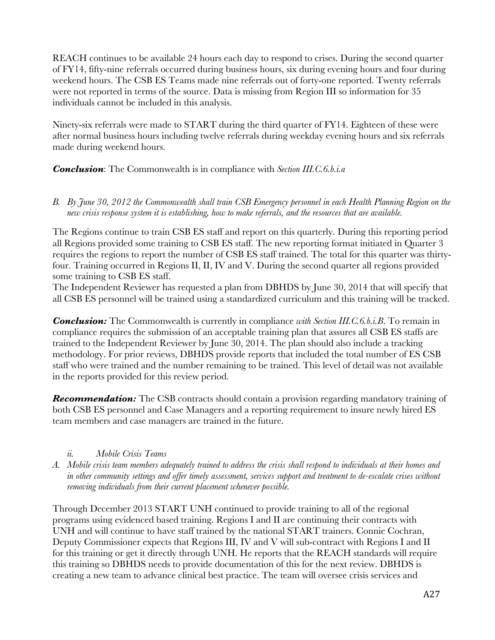REACH continues to be available 24 hours each day to respond to crises. During the second quarter of FY14, fifty-nine referrals occurred during business hours, six during evening hours and four during weekend hours. The CSB ES Teams made nine referrals out of forty-one reported. Twenty referrals were not reported in terms of the source. Data is missing from Region III so information for 35 individuals cannot be included in this analysis.

Ninety-six referrals were made to START during the third quarter of FY14. Eighteen of these were after normal business hours including twelve referrals during weekday evening hours and six referrals made during weekend hours.

*Conclusion*: The Commonwealth is in compliance with *Section III.C.6.b.i.a*

*B. By June 30, 2012 the Commonwealth shall train CSB Emergency personnel in each Health Planning Region on the new crisis response system it is establishing, how to make referrals, and the resources that are available.*

The Regions continue to train CSB ES staff and report on this quarterly. During this reporting period all Regions provided some training to CSB ES staff. The new reporting format initiated in Quarter 3 requires the regions to report the number of CSB ES staff trained. The total for this quarter was thirtyfour. Training occurred in Regions II, II, IV and V. During the second quarter all regions provided some training to CSB ES staff.

The Independent Reviewer has requested a plan from DBHDS by June 30, 2014 that will specify that all CSB ES personnel will be trained using a standardized curriculum and this training will be tracked.

*Conclusion:* The Commonwealth is currently in compliance *with Section III.C.6.b.i.B*. To remain in compliance requires the submission of an acceptable training plan that assures all CSB ES staffs are trained to the Independent Reviewer by June 30, 2014. The plan should also include a tracking methodology. For prior reviews, DBHDS provide reports that included the total number of ES CSB staff who were trained and the number remaining to be trained. This level of detail was not available in the reports provided for this review period.

**Recommendation:** The CSB contracts should contain a provision regarding mandatory training of both CSB ES personnel and Case Managers and a reporting requirement to insure newly hired ES team members and case managers are trained in the future.

## *ii. Mobile Crisis Teams*

*A. Mobile crisis team members adequately trained to address the crisis shall respond to individuals at their homes and in other community settings and offer timely assessment, services support and treatment to de-escalate crises without removing individuals from their current placement whenever possible.*

Through December 2013 START UNH continued to provide training to all of the regional programs using evidenced based training. Regions I and II are continuing their contracts with UNH and will continue to have staff trained by the national START trainers. Connie Cochran, Deputy Commissioner expects that Regions III, IV and V will sub-contract with Regions I and II for this training or get it directly through UNH. He reports that the REACH standards will require this training so DBHDS needs to provide documentation of this for the next review. DBHDS is creating a new team to advance clinical best practice. The team will oversee crisis services and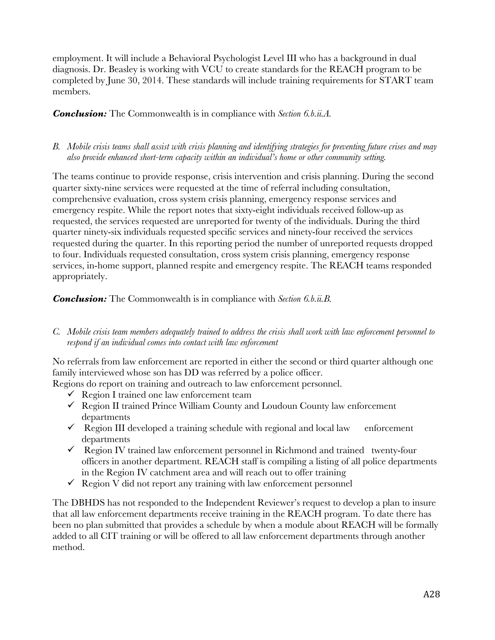employment. It will include a Behavioral Psychologist Level III who has a background in dual diagnosis. Dr. Beasley is working with VCU to create standards for the REACH program to be completed by June 30, 2014. These standards will include training requirements for START team members.

*Conclusion:* The Commonwealth is in compliance with *Section 6.b.ii.A.*

#### *B. Mobile crisis teams shall assist with crisis planning and identifying strategies for preventing future crises and may also provide enhanced short-term capacity within an individual's home or other community setting.*

The teams continue to provide response, crisis intervention and crisis planning. During the second quarter sixty-nine services were requested at the time of referral including consultation, comprehensive evaluation, cross system crisis planning, emergency response services and emergency respite. While the report notes that sixty-eight individuals received follow-up as requested, the services requested are unreported for twenty of the individuals. During the third quarter ninety-six individuals requested specific services and ninety-four received the services requested during the quarter. In this reporting period the number of unreported requests dropped to four. Individuals requested consultation, cross system crisis planning, emergency response services, in-home support, planned respite and emergency respite. The REACH teams responded appropriately.

*Conclusion:* The Commonwealth is in compliance with *Section 6.b.ii.B.*

*C. Mobile crisis team members adequately trained to address the crisis shall work with law enforcement personnel to respond if an individual comes into contact with law enforcement*

No referrals from law enforcement are reported in either the second or third quarter although one family interviewed whose son has DD was referred by a police officer.

Regions do report on training and outreach to law enforcement personnel.

- $\checkmark$  Region I trained one law enforcement team
- $\checkmark$  Region II trained Prince William County and Loudoun County law enforcement departments
- $\checkmark$  Region III developed a training schedule with regional and local law enforcement departments
- $\checkmark$  Region IV trained law enforcement personnel in Richmond and trained twenty-four officers in another department. REACH staff is compiling a listing of all police departments in the Region IV catchment area and will reach out to offer training
- $\checkmark$  Region V did not report any training with law enforcement personnel

The DBHDS has not responded to the Independent Reviewer's request to develop a plan to insure that all law enforcement departments receive training in the REACH program. To date there has been no plan submitted that provides a schedule by when a module about REACH will be formally added to all CIT training or will be offered to all law enforcement departments through another method.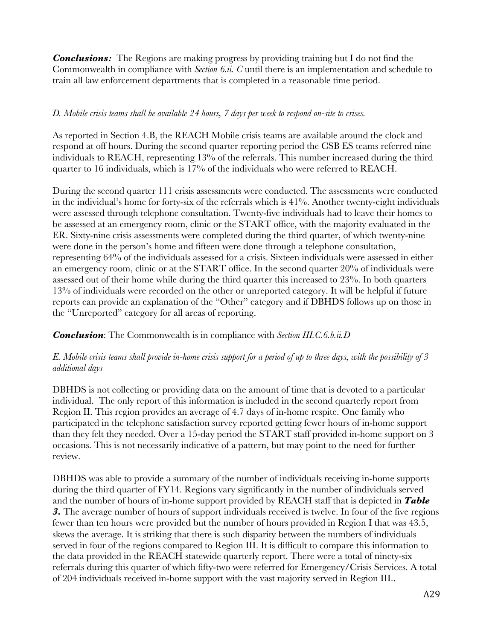*Conclusions:* The Regions are making progress by providing training but I do not find the Commonwealth in compliance with *Section 6.ii. C* until there is an implementation and schedule to train all law enforcement departments that is completed in a reasonable time period.

#### *D. Mobile crisis teams shall be available 24 hours, 7 days per week to respond on-site to crises.*

As reported in Section 4.B, the REACH Mobile crisis teams are available around the clock and respond at off hours. During the second quarter reporting period the CSB ES teams referred nine individuals to REACH, representing 13% of the referrals. This number increased during the third quarter to 16 individuals, which is 17% of the individuals who were referred to REACH.

During the second quarter 111 crisis assessments were conducted. The assessments were conducted in the individual's home for forty-six of the referrals which is 41%. Another twenty-eight individuals were assessed through telephone consultation. Twenty-five individuals had to leave their homes to be assessed at an emergency room, clinic or the START office, with the majority evaluated in the ER. Sixty-nine crisis assessments were completed during the third quarter, of which twenty-nine were done in the person's home and fifteen were done through a telephone consultation, representing 64% of the individuals assessed for a crisis. Sixteen individuals were assessed in either an emergency room, clinic or at the START office. In the second quarter 20% of individuals were assessed out of their home while during the third quarter this increased to 23%. In both quarters 13% of individuals were recorded on the other or unreported category. It will be helpful if future reports can provide an explanation of the "Other" category and if DBHDS follows up on those in the "Unreported" category for all areas of reporting.

*Conclusion*: The Commonwealth is in compliance with *Section III.C.6.b.ii.D*

#### *E. Mobile crisis teams shall provide in-home crisis support for a period of up to three days, with the possibility of 3 additional days*

DBHDS is not collecting or providing data on the amount of time that is devoted to a particular individual. The only report of this information is included in the second quarterly report from Region II. This region provides an average of 4.7 days of in-home respite. One family who participated in the telephone satisfaction survey reported getting fewer hours of in-home support than they felt they needed. Over a 15-day period the START staff provided in-home support on 3 occasions. This is not necessarily indicative of a pattern, but may point to the need for further review.

DBHDS was able to provide a summary of the number of individuals receiving in-home supports during the third quarter of FY14. Regions vary significantly in the number of individuals served and the number of hours of in-home support provided by REACH staff that is depicted in *Table 3.* The average number of hours of support individuals received is twelve. In four of the five regions fewer than ten hours were provided but the number of hours provided in Region I that was 43.5, skews the average. It is striking that there is such disparity between the numbers of individuals served in four of the regions compared to Region III. It is difficult to compare this information to the data provided in the REACH statewide quarterly report. There were a total of ninety-six referrals during this quarter of which fifty-two were referred for Emergency/Crisis Services. A total of 204 individuals received in-home support with the vast majority served in Region III..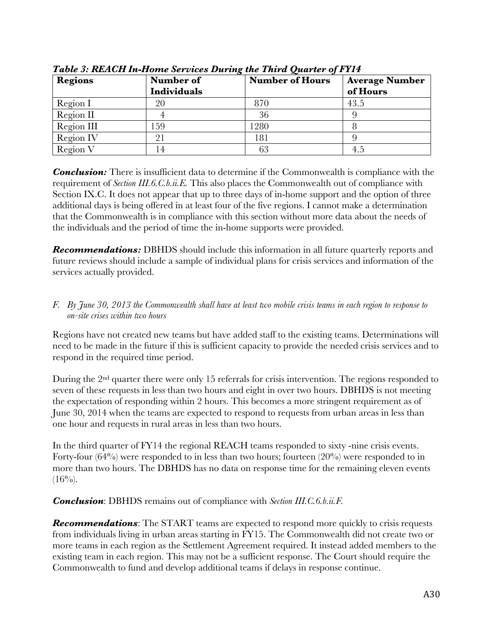| <b>Regions</b> | Number of<br>Individuals | <b>Number of Hours</b> | <b>Average Number</b><br>of Hours |
|----------------|--------------------------|------------------------|-----------------------------------|
| Region I       | 20                       | 870                    | 43.5                              |
| Region II      |                          | 36                     |                                   |
| Region III     | 159                      | 1280                   |                                   |
| Region IV      | 91                       | 181                    |                                   |
| Region V       | $\overline{4}$           | 63                     | 4.5                               |

*Table 3: REACH In-Home Services During the Third Quarter of FY14*

*Conclusion:* There is insufficient data to determine if the Commonwealth is compliance with the requirement of *Section III.6.C.b.ii.E.* This also places the Commonwealth out of compliance with Section IX.C. It does not appear that up to three days of in-home support and the option of three additional days is being offered in at least four of the five regions. I cannot make a determination that the Commonwealth is in compliance with this section without more data about the needs of the individuals and the period of time the in-home supports were provided.

**Recommendations:** DBHDS should include this information in all future quarterly reports and future reviews should include a sample of individual plans for crisis services and information of the services actually provided.

#### *F. By June 30, 2013 the Commonwealth shall have at least two mobile crisis teams in each region to response to on-site crises within two hours*

Regions have not created new teams but have added staff to the existing teams. Determinations will need to be made in the future if this is sufficient capacity to provide the needed crisis services and to respond in the required time period.

During the 2<sup>nd</sup> quarter there were only 15 referrals for crisis intervention. The regions responded to seven of these requests in less than two hours and eight in over two hours. DBHDS is not meeting the expectation of responding within 2 hours. This becomes a more stringent requirement as of June 30, 2014 when the teams are expected to respond to requests from urban areas in less than one hour and requests in rural areas in less than two hours.

In the third quarter of FY14 the regional REACH teams responded to sixty -nine crisis events. Forty-four  $(64%)$  were responded to in less than two hours; fourteen  $(20%)$  were responded to in more than two hours. The DBHDS has no data on response time for the remaining eleven events  $(16\%)$ .

*Conclusion*: DBHDS remains out of compliance with *Section III.C.6.b.ii.F.* 

**Recommendations**: The START teams are expected to respond more quickly to crisis requests from individuals living in urban areas starting in FY15. The Commonwealth did not create two or more teams in each region as the Settlement Agreement required. It instead added members to the existing team in each region. This may not be a sufficient response. The Court should require the Commonwealth to fund and develop additional teams if delays in response continue.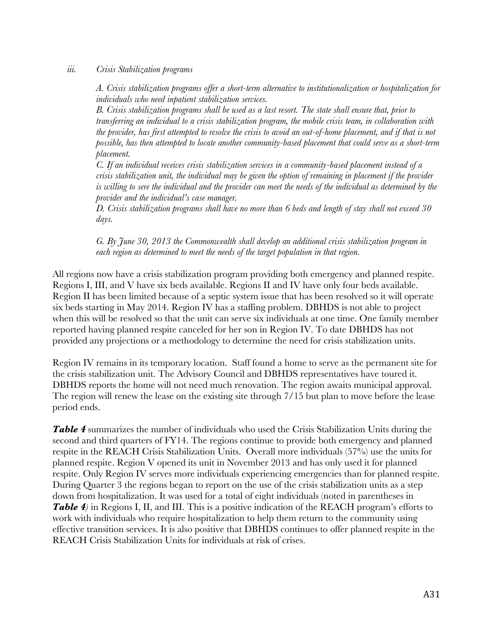#### *iii. Crisis Stabilization programs*

*A. Crisis stabilization programs offer a short-term alternative to institutionalization or hospitalization for individuals who need inpatient stabilization services.*

*B. Crisis stabilization programs shall be used as a last resort. The state shall ensure that, prior to transferring an individual to a crisis stabilization program, the mobile crisis team, in collaboration with the provider, has first attempted to resolve the crisis to avoid an out-of-home placement, and if that is not possible, has then attempted to locate another community-based placement that could serve as a short-term placement.*

*C. If an individual receives crisis stabilization services in a community-based placement instead of a crisis stabilization unit, the individual may be given the option of remaining in placement if the provider is willing to sere the individual and the provider can meet the needs of the individual as determined by the provider and the individual's case manager.*

*D. Crisis stabilization programs shall have no more than 6 beds and length of stay shall not exceed 30 days.*

*G. By June 30, 2013 the Commonwealth shall develop an additional crisis stabilization program in each region as determined to meet the needs of the target population in that region.*

All regions now have a crisis stabilization program providing both emergency and planned respite. Regions I, III, and V have six beds available. Regions II and IV have only four beds available. Region II has been limited because of a septic system issue that has been resolved so it will operate six beds starting in May 2014. Region IV has a staffing problem. DBHDS is not able to project when this will be resolved so that the unit can serve six individuals at one time. One family member reported having planned respite canceled for her son in Region IV. To date DBHDS has not provided any projections or a methodology to determine the need for crisis stabilization units.

Region IV remains in its temporary location. Staff found a home to serve as the permanent site for the crisis stabilization unit. The Advisory Council and DBHDS representatives have toured it. DBHDS reports the home will not need much renovation. The region awaits municipal approval. The region will renew the lease on the existing site through 7/15 but plan to move before the lease period ends.

*Table 4* summarizes the number of individuals who used the Crisis Stabilization Units during the second and third quarters of FY14. The regions continue to provide both emergency and planned respite in the REACH Crisis Stabilization Units. Overall more individuals (57%) use the units for planned respite. Region V opened its unit in November 2013 and has only used it for planned respite. Only Region IV serves more individuals experiencing emergencies than for planned respite. During Quarter 3 the regions began to report on the use of the crisis stabilization units as a step down from hospitalization. It was used for a total of eight individuals (noted in parentheses in *Table 4)* in Regions I, II, and III. This is a positive indication of the REACH program's efforts to work with individuals who require hospitalization to help them return to the community using effective transition services. It is also positive that DBHDS continues to offer planned respite in the REACH Crisis Stabilization Units for individuals at risk of crises.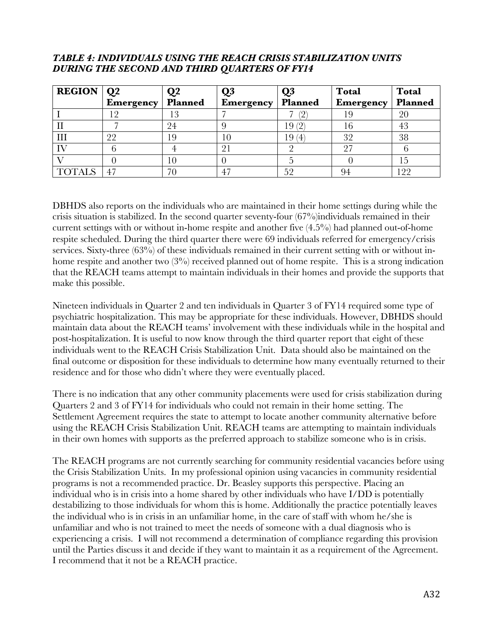#### *TABLE 4: INDIVIDUALS USING THE REACH CRISIS STABILIZATION UNITS DURING THE SECOND AND THIRD QUARTERS OF FY14*

| <b>REGION</b> $\vert Q2 \vert$ |                  |         | $\mathbf{Q}$     | Q3                    | <b>Total</b>     | <b>Total</b> |
|--------------------------------|------------------|---------|------------------|-----------------------|------------------|--------------|
|                                | <b>Emergency</b> | Planned | <b>Emergency</b> | Planned               | <b>Emergency</b> | Planned      |
|                                |                  | 12      |                  | 2                     |                  | 20           |
|                                |                  | 24      |                  | 19                    |                  | 43           |
| Ш                              | 22               | 19      |                  | 19 <sub>1</sub><br>(4 | 32               | 38           |
|                                |                  |         | 21               |                       |                  |              |
|                                |                  | l (J    |                  |                       |                  | L.)          |
|                                | 47               | 70      |                  | 52                    | 94               | 22           |

DBHDS also reports on the individuals who are maintained in their home settings during while the crisis situation is stabilized. In the second quarter seventy-four (67%)individuals remained in their current settings with or without in-home respite and another five (4.5%) had planned out-of-home respite scheduled. During the third quarter there were 69 individuals referred for emergency/crisis services. Sixty-three (63%) of these individuals remained in their current setting with or without inhome respite and another two (3%) received planned out of home respite. This is a strong indication that the REACH teams attempt to maintain individuals in their homes and provide the supports that make this possible.

Nineteen individuals in Quarter 2 and ten individuals in Quarter 3 of FY14 required some type of psychiatric hospitalization. This may be appropriate for these individuals. However, DBHDS should maintain data about the REACH teams' involvement with these individuals while in the hospital and post-hospitalization. It is useful to now know through the third quarter report that eight of these individuals went to the REACH Crisis Stabilization Unit. Data should also be maintained on the final outcome or disposition for these individuals to determine how many eventually returned to their residence and for those who didn't where they were eventually placed.

There is no indication that any other community placements were used for crisis stabilization during Quarters 2 and 3 of FY14 for individuals who could not remain in their home setting. The Settlement Agreement requires the state to attempt to locate another community alternative before using the REACH Crisis Stabilization Unit. REACH teams are attempting to maintain individuals in their own homes with supports as the preferred approach to stabilize someone who is in crisis.

The REACH programs are not currently searching for community residential vacancies before using the Crisis Stabilization Units. In my professional opinion using vacancies in community residential programs is not a recommended practice. Dr. Beasley supports this perspective. Placing an individual who is in crisis into a home shared by other individuals who have I/DD is potentially destabilizing to those individuals for whom this is home. Additionally the practice potentially leaves the individual who is in crisis in an unfamiliar home, in the care of staff with whom  $\frac{hc}{\sinh n}$ unfamiliar and who is not trained to meet the needs of someone with a dual diagnosis who is experiencing a crisis. I will not recommend a determination of compliance regarding this provision until the Parties discuss it and decide if they want to maintain it as a requirement of the Agreement. I recommend that it not be a REACH practice.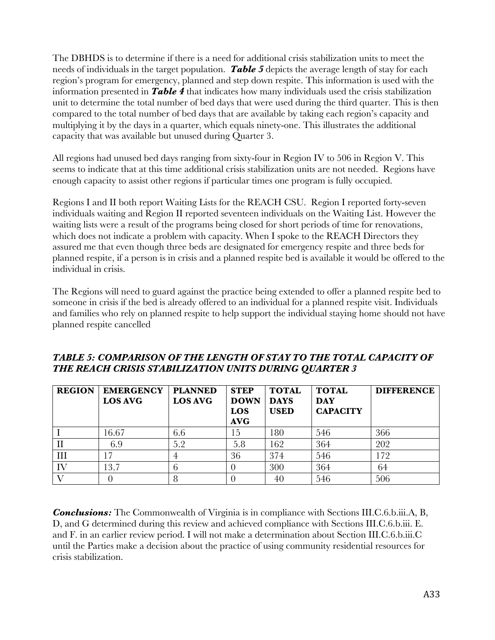The DBHDS is to determine if there is a need for additional crisis stabilization units to meet the needs of individuals in the target population. *Table 5* depicts the average length of stay for each region's program for emergency, planned and step down respite. This information is used with the information presented in *Table 4* that indicates how many individuals used the crisis stabilization unit to determine the total number of bed days that were used during the third quarter. This is then compared to the total number of bed days that are available by taking each region's capacity and multiplying it by the days in a quarter, which equals ninety-one. This illustrates the additional capacity that was available but unused during Quarter 3.

All regions had unused bed days ranging from sixty-four in Region IV to 506 in Region V. This seems to indicate that at this time additional crisis stabilization units are not needed. Regions have enough capacity to assist other regions if particular times one program is fully occupied.

Regions I and II both report Waiting Lists for the REACH CSU. Region I reported forty-seven individuals waiting and Region II reported seventeen individuals on the Waiting List. However the waiting lists were a result of the programs being closed for short periods of time for renovations, which does not indicate a problem with capacity. When I spoke to the REACH Directors they assured me that even though three beds are designated for emergency respite and three beds for planned respite, if a person is in crisis and a planned respite bed is available it would be offered to the individual in crisis.

The Regions will need to guard against the practice being extended to offer a planned respite bed to someone in crisis if the bed is already offered to an individual for a planned respite visit. Individuals and families who rely on planned respite to help support the individual staying home should not have planned respite cancelled

| <b>REGION</b> | <b>EMERGENCY</b><br><b>LOS AVG</b> | <b>PLANNED</b><br><b>LOS AVG</b> | <b>STEP</b><br><b>DOWN</b><br>LOS<br><b>AVG</b> | <b>TOTAL</b><br><b>DAYS</b><br><b>USED</b> | <b>TOTAL</b><br><b>DAY</b><br><b>CAPACITY</b> | <b>DIFFERENCE</b> |
|---------------|------------------------------------|----------------------------------|-------------------------------------------------|--------------------------------------------|-----------------------------------------------|-------------------|
|               | 16.67                              | 6.6                              | 15                                              | 180                                        | 546                                           | 366               |
|               | 6.9                                | 5.2                              | 5.8                                             | 162                                        | 364                                           | 202               |
| Ш             |                                    |                                  | 36                                              | 374                                        | 546                                           | 172               |
| IV            | 13.7                               |                                  |                                                 | 300                                        | 364                                           | 64                |
|               |                                    |                                  |                                                 | 40                                         | 546                                           | 506               |

#### *TABLE 5: COMPARISON OF THE LENGTH OF STAY TO THE TOTAL CAPACITY OF THE REACH CRISIS STABILIZATION UNITS DURING QUARTER 3*

*Conclusions:* The Commonwealth of Virginia is in compliance with Sections III.C.6.b.iii.A, B, D, and G determined during this review and achieved compliance with Sections III.C.6.b.iii. E. and F. in an earlier review period. I will not make a determination about Section III.C.6.b.iii.C until the Parties make a decision about the practice of using community residential resources for crisis stabilization.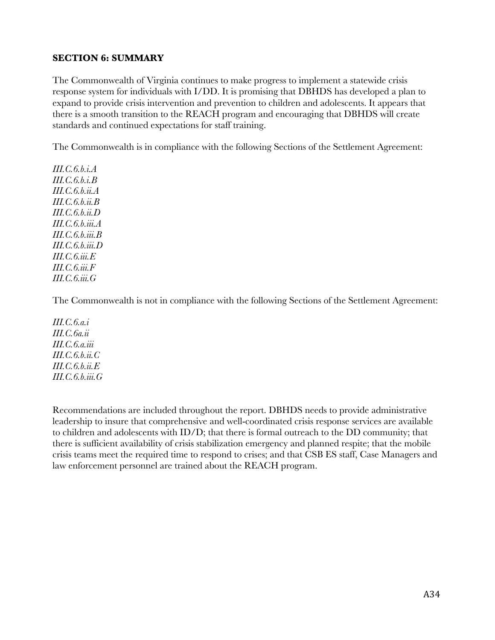### **SECTION 6: SUMMARY**

The Commonwealth of Virginia continues to make progress to implement a statewide crisis response system for individuals with I/DD. It is promising that DBHDS has developed a plan to expand to provide crisis intervention and prevention to children and adolescents. It appears that there is a smooth transition to the REACH program and encouraging that DBHDS will create standards and continued expectations for staff training.

The Commonwealth is in compliance with the following Sections of the Settlement Agreement:

*III.C.6.b.i.A III.C.6.b.i.B III.C.6.b.ii.A III.C.6.b.ii.B III.C.6.b.ii.D III.C.6.b.iii.A III.C.6.b.iii.B III.C.6.b.iii.D III.C.6.iii.E III.C.6.iii.F III.C.6.iii.G*

The Commonwealth is not in compliance with the following Sections of the Settlement Agreement:

*III.C.6.a.i III.C.6a.ii III.C.6.a.iii III.C.6.b.ii.C III.C.6.b.ii.E III.C.6.b.iii.G*

Recommendations are included throughout the report. DBHDS needs to provide administrative leadership to insure that comprehensive and well-coordinated crisis response services are available to children and adolescents with ID/D; that there is formal outreach to the DD community; that there is sufficient availability of crisis stabilization emergency and planned respite; that the mobile crisis teams meet the required time to respond to crises; and that CSB ES staff, Case Managers and law enforcement personnel are trained about the REACH program.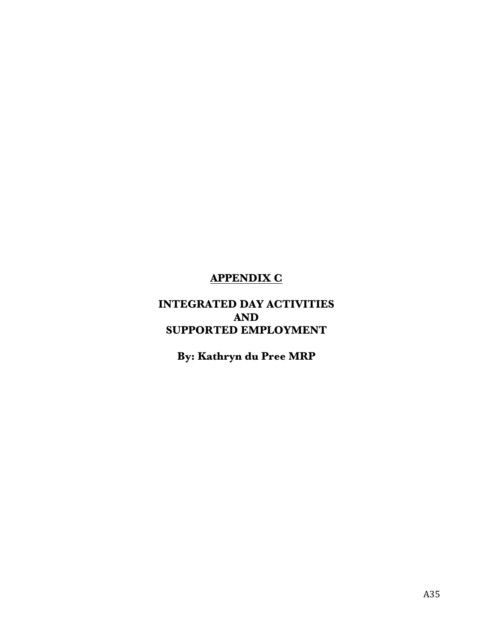# **APPENDIX C**

## **INTEGRATED DAY ACTIVITIES AND SUPPORTED EMPLOYMENT**

**By: Kathryn du Pree MRP**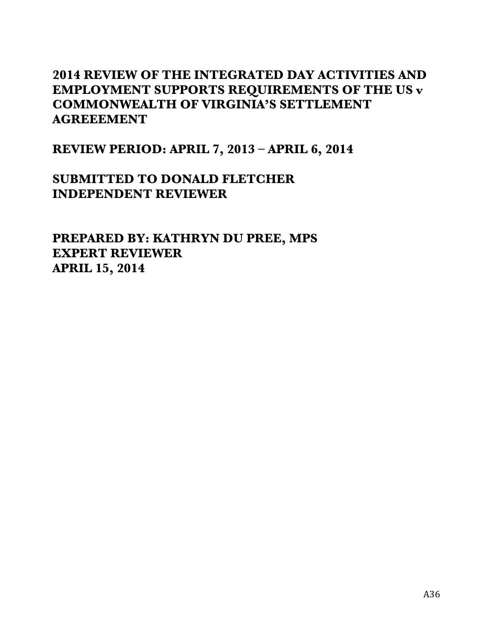# **2014 REVIEW OF THE INTEGRATED DAY ACTIVITIES AND EMPLOYMENT SUPPORTS REQUIREMENTS OF THE US v COMMONWEALTH OF VIRGINIA'S SETTLEMENT AGREEEMENT**

**REVIEW PERIOD: APRIL 7, 2013 – APRIL 6, 2014**

**SUBMITTED TO DONALD FLETCHER INDEPENDENT REVIEWER**

**PREPARED BY: KATHRYN DU PREE, MPS EXPERT REVIEWER APRIL 15, 2014**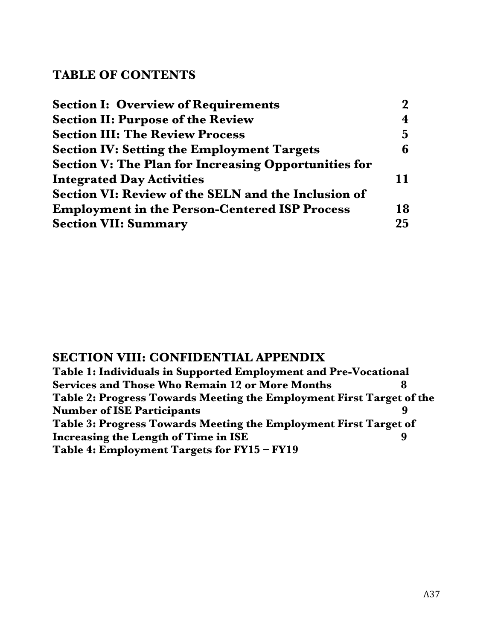## **TABLE OF CONTENTS**

| <b>Section I: Overview of Requirements</b>                  | $\boldsymbol{\mathcal{P}}$ |
|-------------------------------------------------------------|----------------------------|
| <b>Section II: Purpose of the Review</b>                    | $\overline{\mathbf{4}}$    |
| <b>Section III: The Review Process</b>                      | $5^{\circ}$                |
| <b>Section IV: Setting the Employment Targets</b>           | 6                          |
| <b>Section V: The Plan for Increasing Opportunities for</b> |                            |
| <b>Integrated Day Activities</b>                            | 11                         |
| Section VI: Review of the SELN and the Inclusion of         |                            |
| <b>Employment in the Person-Centered ISP Process</b>        | 18                         |
| <b>Section VII: Summary</b>                                 | 25                         |

## **SECTION VIII: CONFIDENTIAL APPENDIX**

**Table 1: Individuals in Supported Employment and Pre-Vocational Services and Those Who Remain 12 or More Months 8 Table 2: Progress Towards Meeting the Employment First Target of the Number of ISE Participants 9 Table 3: Progress Towards Meeting the Employment First Target of Increasing the Length of Time in ISE** 9 **Table 4: Employment Targets for FY15 – FY19**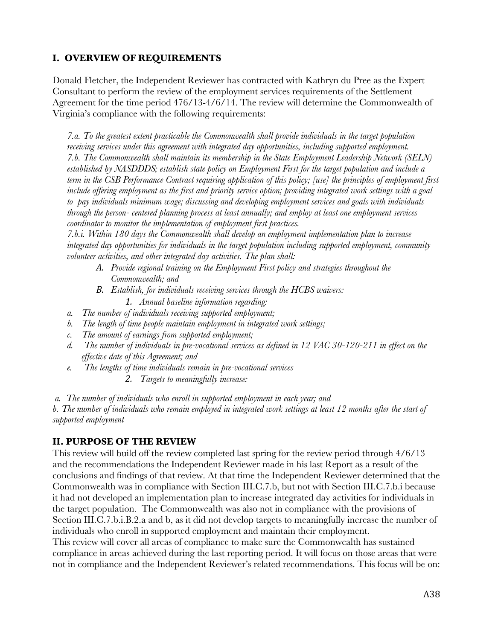## **I. OVERVIEW OF REQUIREMENTS**

Donald Fletcher, the Independent Reviewer has contracted with Kathryn du Pree as the Expert Consultant to perform the review of the employment services requirements of the Settlement Agreement for the time period 476/13-4/6/14. The review will determine the Commonwealth of Virginia's compliance with the following requirements:

*7.a. To the greatest extent practicable the Commonwealth shall provide individuals in the target population receiving services under this agreement with integrated day opportunities, including supported employment. 7.b. The Commonwealth shall maintain its membership in the State Employment Leadership Network (SELN) established by NASDDDS; establish state policy on Employment First for the target population and include a term in the CSB Performance Contract requiring application of this policy; [use] the principles of employment first include offering employment as the first and priority service option; providing integrated work settings with a goal to pay individuals minimum wage; discussing and developing employment services and goals with individuals through the person- centered planning process at least annually; and employ at least one employment services coordinator to monitor the implementation of employment first practices.*

*7.b.i. Within 180 days the Commonwealth shall develop an employment implementation plan to increase integrated day opportunities for individuals in the target population including supported employment, community volunteer activities, and other integrated day activities. The plan shall:* 

- *A. Provide regional training on the Employment First policy and strategies throughout the Commonwealth; and*
- *B. Establish, for individuals receiving services through the HCBS waivers:* 
	- *1. Annual baseline information regarding:*
- *a. The number of individuals receiving supported employment;*
- *b. The length of time people maintain employment in integrated work settings;*
- *c. The amount of earnings from supported employment;*
- *d. The number of individuals in pre-vocational services as defined in 12 VAC 30-120-211 in effect on the effective date of this Agreement; and*
- *e. The lengths of time individuals remain in pre-vocational services*
	- *2. Targets to meaningfully increase:*

*a. The number of individuals who enroll in supported employment in each year; and* 

*b. The number of individuals who remain employed in integrated work settings at least 12 months after the start of supported employment*

## **II. PURPOSE OF THE REVIEW**

This review will build off the review completed last spring for the review period through 4/6/13 and the recommendations the Independent Reviewer made in his last Report as a result of the conclusions and findings of that review. At that time the Independent Reviewer determined that the Commonwealth was in compliance with Section III.C.7.b, but not with Section III.C.7.b.i because it had not developed an implementation plan to increase integrated day activities for individuals in the target population. The Commonwealth was also not in compliance with the provisions of Section III.C.7.b.i.B.2.a and b, as it did not develop targets to meaningfully increase the number of individuals who enroll in supported employment and maintain their employment.

This review will cover all areas of compliance to make sure the Commonwealth has sustained compliance in areas achieved during the last reporting period. It will focus on those areas that were not in compliance and the Independent Reviewer's related recommendations. This focus will be on: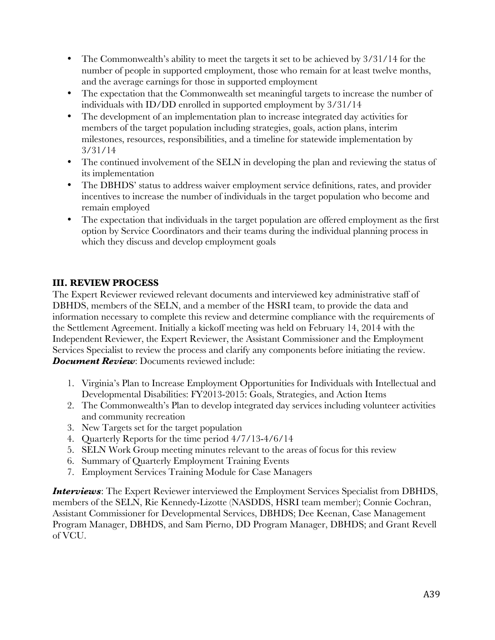- The Commonwealth's ability to meet the targets it set to be achieved by  $3/31/14$  for the number of people in supported employment, those who remain for at least twelve months, and the average earnings for those in supported employment
- The expectation that the Commonwealth set meaningful targets to increase the number of individuals with ID/DD enrolled in supported employment by 3/31/14
- The development of an implementation plan to increase integrated day activities for members of the target population including strategies, goals, action plans, interim milestones, resources, responsibilities, and a timeline for statewide implementation by 3/31/14
- The continued involvement of the SELN in developing the plan and reviewing the status of its implementation
- The DBHDS' status to address waiver employment service definitions, rates, and provider incentives to increase the number of individuals in the target population who become and remain employed
- The expectation that individuals in the target population are offered employment as the first option by Service Coordinators and their teams during the individual planning process in which they discuss and develop employment goals

## **III. REVIEW PROCESS**

The Expert Reviewer reviewed relevant documents and interviewed key administrative staff of DBHDS, members of the SELN, and a member of the HSRI team, to provide the data and information necessary to complete this review and determine compliance with the requirements of the Settlement Agreement. Initially a kickoff meeting was held on February 14, 2014 with the Independent Reviewer, the Expert Reviewer, the Assistant Commissioner and the Employment Services Specialist to review the process and clarify any components before initiating the review. *Document Review*: Documents reviewed include:

- 1. Virginia's Plan to Increase Employment Opportunities for Individuals with Intellectual and Developmental Disabilities: FY2013-2015: Goals, Strategies, and Action Items
- 2. The Commonwealth's Plan to develop integrated day services including volunteer activities and community recreation
- 3. New Targets set for the target population
- 4. Quarterly Reports for the time period 4/7/13-4/6/14
- 5. SELN Work Group meeting minutes relevant to the areas of focus for this review
- 6. Summary of Quarterly Employment Training Events
- 7. Employment Services Training Module for Case Managers

*Interviews*: The Expert Reviewer interviewed the Employment Services Specialist from DBHDS, members of the SELN, Rie Kennedy-Lizotte (NASDDS, HSRI team member); Connie Cochran, Assistant Commissioner for Developmental Services, DBHDS; Dee Keenan, Case Management Program Manager, DBHDS, and Sam Pierno, DD Program Manager, DBHDS; and Grant Revell of VCU.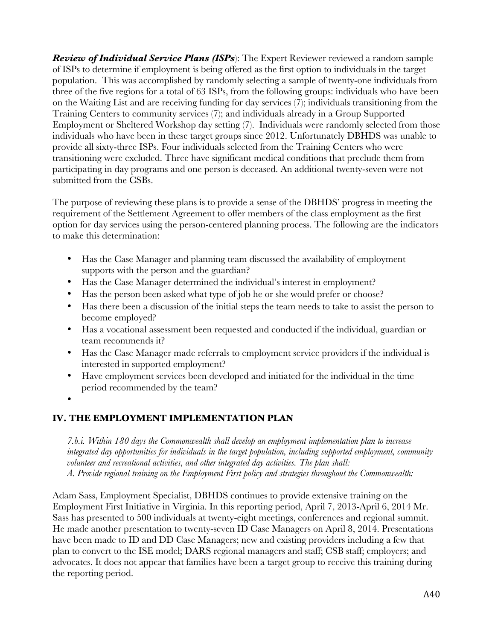*Review of Individual Service Plans (ISPs*): The Expert Reviewer reviewed a random sample of ISPs to determine if employment is being offered as the first option to individuals in the target population. This was accomplished by randomly selecting a sample of twenty-one individuals from three of the five regions for a total of 63 ISPs, from the following groups: individuals who have been on the Waiting List and are receiving funding for day services (7); individuals transitioning from the Training Centers to community services (7); and individuals already in a Group Supported Employment or Sheltered Workshop day setting (7). Individuals were randomly selected from those individuals who have been in these target groups since 2012. Unfortunately DBHDS was unable to provide all sixty-three ISPs. Four individuals selected from the Training Centers who were transitioning were excluded. Three have significant medical conditions that preclude them from participating in day programs and one person is deceased. An additional twenty-seven were not submitted from the CSBs.

The purpose of reviewing these plans is to provide a sense of the DBHDS' progress in meeting the requirement of the Settlement Agreement to offer members of the class employment as the first option for day services using the person-centered planning process. The following are the indicators to make this determination:

- Has the Case Manager and planning team discussed the availability of employment supports with the person and the guardian?
- Has the Case Manager determined the individual's interest in employment?
- Has the person been asked what type of job he or she would prefer or choose?
- Has there been a discussion of the initial steps the team needs to take to assist the person to become employed?
- Has a vocational assessment been requested and conducted if the individual, guardian or team recommends it?
- Has the Case Manager made referrals to employment service providers if the individual is interested in supported employment?
- Have employment services been developed and initiated for the individual in the time period recommended by the team?
- •

## **IV. THE EMPLOYMENT IMPLEMENTATION PLAN**

*7.b.i. Within 180 days the Commonwealth shall develop an employment implementation plan to increase integrated day opportunities for individuals in the target population, including supported employment, community volunteer and recreational activities, and other integrated day activities. The plan shall: A. Provide regional training on the Employment First policy and strategies throughout the Commonwealth:*

Adam Sass, Employment Specialist, DBHDS continues to provide extensive training on the Employment First Initiative in Virginia. In this reporting period, April 7, 2013-April 6, 2014 Mr. Sass has presented to 500 individuals at twenty-eight meetings, conferences and regional summit. He made another presentation to twenty-seven ID Case Managers on April 8, 2014. Presentations have been made to ID and DD Case Managers; new and existing providers including a few that plan to convert to the ISE model; DARS regional managers and staff; CSB staff; employers; and advocates. It does not appear that families have been a target group to receive this training during the reporting period.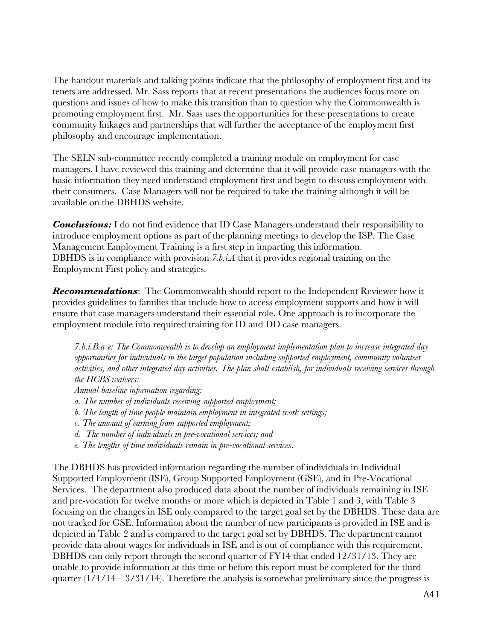The handout materials and talking points indicate that the philosophy of employment first and its tenets are addressed. Mr. Sass reports that at recent presentations the audiences focus more on questions and issues of how to make this transition than to question why the Commonwealth is promoting employment first. Mr. Sass uses the opportunities for these presentations to create community linkages and partnerships that will further the acceptance of the employment first philosophy and encourage implementation.

The SELN sub-committee recently completed a training module on employment for case managers. I have reviewed this training and determine that it will provide case managers with the basic information they need understand employment first and begin to discuss employment with their consumers. Case Managers will not be required to take the training although it will be available on the DBHDS website.

**Conclusions:** I do not find evidence that ID Case Managers understand their responsibility to introduce employment options as part of the planning meetings to develop the ISP. The Case Management Employment Training is a first step in imparting this information. DBHDS is in compliance with provision *7.b.i.A* that it provides regional training on the Employment First policy and strategies.

*Recommendations*: The Commonwealth should report to the Independent Reviewer how it provides guidelines to families that include how to access employment supports and how it will ensure that case managers understand their essential role. One approach is to incorporate the employment module into required training for ID and DD case managers.

*7.b.i.B.a-e: The Commonwealth is to develop an employment implementation plan to increase integrated day opportunities for individuals in the target population including supported employment, community volunteer activities, and other integrated day activities. The plan shall establish, for individuals receiving services through the HCBS waivers:*

*Annual baseline information regarding:* 

- *a. The number of individuals receiving supported employment;*
- *b. The length of time people maintain employment in integrated work settings;*
- *c. The amount of earning from supported employment;*
- *d. The number of individuals in pre-vocational services; and*
- *e. The lengths of time individuals remain in pre-vocational services*.

The DBHDS has provided information regarding the number of individuals in Individual Supported Employment (ISE), Group Supported Employment (GSE), and in Pre-Vocational Services. The department also produced data about the number of individuals remaining in ISE and pre-vocation for twelve months or more which is depicted in Table 1 and 3, with Table 3 focusing on the changes in ISE only compared to the target goal set by the DBHDS. These data are not tracked for GSE. Information about the number of new participants is provided in ISE and is depicted in Table 2 and is compared to the target goal set by DBHDS. The department cannot provide data about wages for individuals in ISE and is out of compliance with this requirement. DBHDS can only report through the second quarter of FY14 that ended 12/31/13. They are unable to provide information at this time or before this report must be completed for the third quarter  $(1/1/14 - 3/31/14)$ . Therefore the analysis is somewhat preliminary since the progress is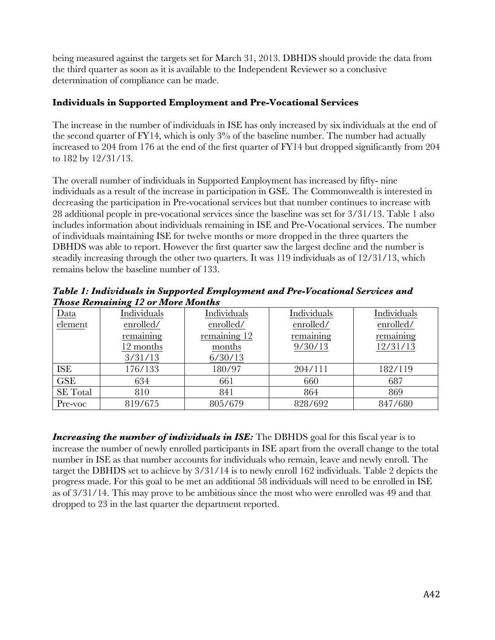being measured against the targets set for March 31, 2013. DBHDS should provide the data from the third quarter as soon as it is available to the Independent Reviewer so a conclusive determination of compliance can be made.

### **Individuals in Supported Employment and Pre-Vocational Services**

The increase in the number of individuals in ISE has only increased by six individuals at the end of the second quarter of  $FY14$ , which is only  $3\%$  of the baseline number. The number had actually increased to 204 from 176 at the end of the first quarter of FY14 but dropped significantly from 204 to 182 by 12/31/13.

The overall number of individuals in Supported Employment has increased by fifty- nine individuals as a result of the increase in participation in GSE. The Commonwealth is interested in decreasing the participation in Pre-vocational services but that number continues to increase with 28 additional people in pre-vocational services since the baseline was set for 3/31/13. Table 1 also includes information about individuals remaining in ISE and Pre-Vocational services. The number of individuals maintaining ISE for twelve months or more dropped in the three quarters the DBHDS was able to report. However the first quarter saw the largest decline and the number is steadily increasing through the other two quarters. It was 119 individuals as of 12/31/13, which remains below the baseline number of 133.

*Table 1: Individuals in Supported Employment and Pre-Vocational Services and Those Remaining 12 or More Months*

| Data                 | Individuals | Individuals  | Individuals | Individuals |
|----------------------|-------------|--------------|-------------|-------------|
| element<br>enrolled/ |             | enrolled/    | enrolled/   | enrolled/   |
|                      | remaining   | remaining 12 | remaining   | remaining   |
|                      | 12 months   | months       | 9/30/13     | 12/31/13    |
|                      | 3/31/13     | 6/30/13      |             |             |
| <b>ISE</b>           | 176/133     | 180/97       | 204/111     | 182/119     |
| <b>GSE</b>           | 634         | 661          | 660         | 687         |
| <b>SE</b> Total      | 810         | 841          | 864         | 869         |
| Pre-voc              | 819/675     | 805/679      | 828/692     | 847/680     |

**Increasing the number of individuals in ISE:** The DBHDS goal for this fiscal year is to increase the number of newly enrolled participants in ISE apart from the overall change to the total number in ISE as that number accounts for individuals who remain, leave and newly enroll. The target the DBHDS set to achieve by 3/31/14 is to newly enroll 162 individuals. Table 2 depicts the progress made. For this goal to be met an additional 58 individuals will need to be enrolled in ISE as of 3/31/14. This may prove to be ambitious since the most who were enrolled was 49 and that dropped to 23 in the last quarter the department reported.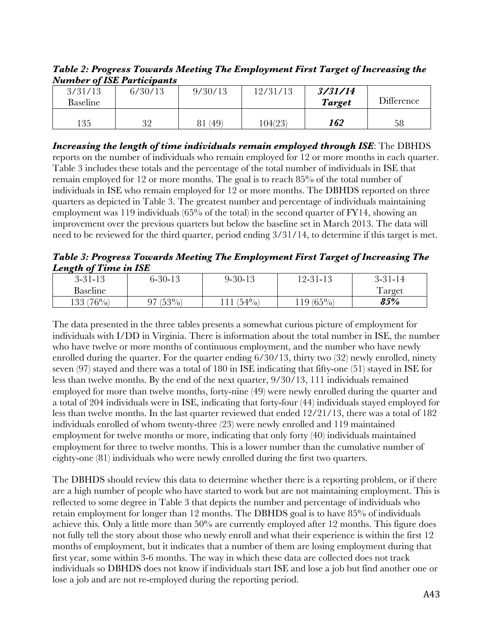*Table 2: Progress Towards Meeting The Employment First Target of Increasing the Number of ISE Participants*

| $\ldots$ . $\ldots$ $\ldots$ $\ldots$ $\ldots$ $\ldots$ |          |            |          |               |                   |  |
|---------------------------------------------------------|----------|------------|----------|---------------|-------------------|--|
| 3/31/13                                                 | 6/30/13  | 9/30/13    | 12/31/13 | 3/31/14       |                   |  |
| Baseline                                                |          |            |          | <b>Target</b> | <b>Difference</b> |  |
| 35                                                      | 20<br>JZ | (49)<br>81 | 104(23)  | 162           | 58                |  |

*Increasing the length of time individuals remain employed through ISE*: The DBHDS reports on the number of individuals who remain employed for 12 or more months in each quarter. Table 3 includes these totals and the percentage of the total number of individuals in ISE that remain employed for 12 or more months. The goal is to reach 85% of the total number of individuals in ISE who remain employed for 12 or more months. The DBHDS reported on three quarters as depicted in Table 3. The greatest number and percentage of individuals maintaining employment was 119 individuals (65% of the total) in the second quarter of FY14, showing an improvement over the previous quarters but below the baseline set in March 2013. The data will need to be reviewed for the third quarter, period ending 3/31/14, to determine if this target is met.

*Table 3: Progress Towards Meeting The Employment First Target of Increasing The Length of Time in ISE*

| . .<br>$3 - 31 - 13$ | $6 - 30 - 15$ | $9 - 30 - 13$ | $12 - 31 - 13$ | $3 - 31 - 14$ |
|----------------------|---------------|---------------|----------------|---------------|
| Baseline             |               |               |                | l arget       |
| $(76\%)$<br>133      | $(53\%_{0})$  | $(54\%)$      | $119(65\%)$    | 85%           |

The data presented in the three tables presents a somewhat curious picture of employment for individuals with I/DD in Virginia. There is information about the total number in ISE, the number who have twelve or more months of continuous employment, and the number who have newly enrolled during the quarter. For the quarter ending 6/30/13, thirty two (32) newly enrolled, ninety seven (97) stayed and there was a total of 180 in ISE indicating that fifty-one (51) stayed in ISE for less than twelve months. By the end of the next quarter, 9/30/13, 111 individuals remained employed for more than twelve months, forty-nine (49) were newly enrolled during the quarter and a total of 204 individuals were in ISE, indicating that forty-four (44) individuals stayed employed for less than twelve months. In the last quarter reviewed that ended 12/21/13, there was a total of 182 individuals enrolled of whom twenty-three (23) were newly enrolled and 119 maintained employment for twelve months or more, indicating that only forty (40) individuals maintained employment for three to twelve months. This is a lower number than the cumulative number of eighty-one (81) individuals who were newly enrolled during the first two quarters.

The DBHDS should review this data to determine whether there is a reporting problem, or if there are a high number of people who have started to work but are not maintaining employment. This is reflected to some degree in Table 3 that depicts the number and percentage of individuals who retain employment for longer than 12 months. The DBHDS goal is to have 85% of individuals achieve this. Only a little more than 50% are currently employed after 12 months. This figure does not fully tell the story about those who newly enroll and what their experience is within the first 12 months of employment, but it indicates that a number of them are losing employment during that first year, some within 3-6 months. The way in which these data are collected does not track individuals so DBHDS does not know if individuals start ISE and lose a job but find another one or lose a job and are not re-employed during the reporting period.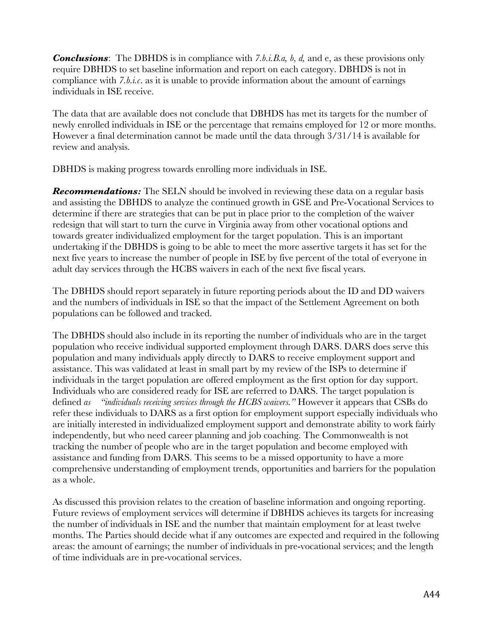*Conclusions*: The DBHDS is in compliance with *7.b.i.B.a, b, d,* and e, as these provisions only require DBHDS to set baseline information and report on each category. DBHDS is not in compliance with *7.b.i.c*. as it is unable to provide information about the amount of earnings individuals in ISE receive.

The data that are available does not conclude that DBHDS has met its targets for the number of newly enrolled individuals in ISE or the percentage that remains employed for 12 or more months. However a final determination cannot be made until the data through 3/31/14 is available for review and analysis.

DBHDS is making progress towards enrolling more individuals in ISE.

**Recommendations:** The SELN should be involved in reviewing these data on a regular basis and assisting the DBHDS to analyze the continued growth in GSE and Pre-Vocational Services to determine if there are strategies that can be put in place prior to the completion of the waiver redesign that will start to turn the curve in Virginia away from other vocational options and towards greater individualized employment for the target population. This is an important undertaking if the DBHDS is going to be able to meet the more assertive targets it has set for the next five years to increase the number of people in ISE by five percent of the total of everyone in adult day services through the HCBS waivers in each of the next five fiscal years.

The DBHDS should report separately in future reporting periods about the ID and DD waivers and the numbers of individuals in ISE so that the impact of the Settlement Agreement on both populations can be followed and tracked.

The DBHDS should also include in its reporting the number of individuals who are in the target population who receive individual supported employment through DARS. DARS does serve this population and many individuals apply directly to DARS to receive employment support and assistance. This was validated at least in small part by my review of the ISPs to determine if individuals in the target population are offered employment as the first option for day support. Individuals who are considered ready for ISE are referred to DARS. The target population is defined *as "individuals receiving services through the HCBS waivers."* However it appears that CSBs do refer these individuals to DARS as a first option for employment support especially individuals who are initially interested in individualized employment support and demonstrate ability to work fairly independently, but who need career planning and job coaching. The Commonwealth is not tracking the number of people who are in the target population and become employed with assistance and funding from DARS. This seems to be a missed opportunity to have a more comprehensive understanding of employment trends, opportunities and barriers for the population as a whole.

As discussed this provision relates to the creation of baseline information and ongoing reporting. Future reviews of employment services will determine if DBHDS achieves its targets for increasing the number of individuals in ISE and the number that maintain employment for at least twelve months. The Parties should decide what if any outcomes are expected and required in the following areas: the amount of earnings; the number of individuals in pre-vocational services; and the length of time individuals are in pre-vocational services.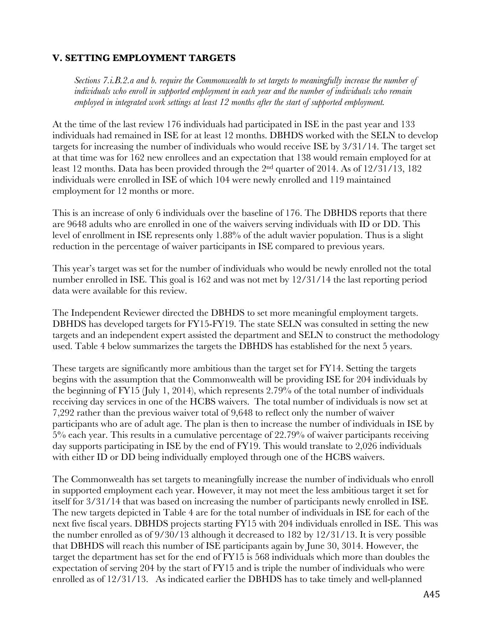### **V. SETTING EMPLOYMENT TARGETS**

*Sections 7.i.B.2.a and b. require the Commonwealth to set targets to meaningfully increase the number of individuals who enroll in supported employment in each year and the number of individuals who remain employed in integrated work settings at least 12 months after the start of supported employment.* 

At the time of the last review 176 individuals had participated in ISE in the past year and 133 individuals had remained in ISE for at least 12 months. DBHDS worked with the SELN to develop targets for increasing the number of individuals who would receive ISE by 3/31/14. The target set at that time was for 162 new enrollees and an expectation that 138 would remain employed for at least 12 months. Data has been provided through the 2nd quarter of 2014. As of 12/31/13, 182 individuals were enrolled in ISE of which 104 were newly enrolled and 119 maintained employment for 12 months or more.

This is an increase of only 6 individuals over the baseline of 176. The DBHDS reports that there are 9648 adults who are enrolled in one of the waivers serving individuals with ID or DD. This level of enrollment in ISE represents only 1.88% of the adult wavier population. Thus is a slight reduction in the percentage of waiver participants in ISE compared to previous years.

This year's target was set for the number of individuals who would be newly enrolled not the total number enrolled in ISE. This goal is 162 and was not met by 12/31/14 the last reporting period data were available for this review.

The Independent Reviewer directed the DBHDS to set more meaningful employment targets. DBHDS has developed targets for FY15-FY19. The state SELN was consulted in setting the new targets and an independent expert assisted the department and SELN to construct the methodology used. Table 4 below summarizes the targets the DBHDS has established for the next 5 years.

These targets are significantly more ambitious than the target set for FY14. Setting the targets begins with the assumption that the Commonwealth will be providing ISE for 204 individuals by the beginning of FY15 (July 1, 2014), which represents 2.79% of the total number of individuals receiving day services in one of the HCBS waivers. The total number of individuals is now set at 7,292 rather than the previous waiver total of 9,648 to reflect only the number of waiver participants who are of adult age. The plan is then to increase the number of individuals in ISE by 5% each year. This results in a cumulative percentage of 22.79% of waiver participants receiving day supports participating in ISE by the end of FY19. This would translate to 2,026 individuals with either ID or DD being individually employed through one of the HCBS waivers.

The Commonwealth has set targets to meaningfully increase the number of individuals who enroll in supported employment each year. However, it may not meet the less ambitious target it set for itself for 3/31/14 that was based on increasing the number of participants newly enrolled in ISE. The new targets depicted in Table 4 are for the total number of individuals in ISE for each of the next five fiscal years. DBHDS projects starting FY15 with 204 individuals enrolled in ISE. This was the number enrolled as of 9/30/13 although it decreased to 182 by 12/31/13. It is very possible that DBHDS will reach this number of ISE participants again by June 30, 3014. However, the target the department has set for the end of FY15 is 568 individuals which more than doubles the expectation of serving 204 by the start of FY15 and is triple the number of individuals who were enrolled as of 12/31/13. As indicated earlier the DBHDS has to take timely and well-planned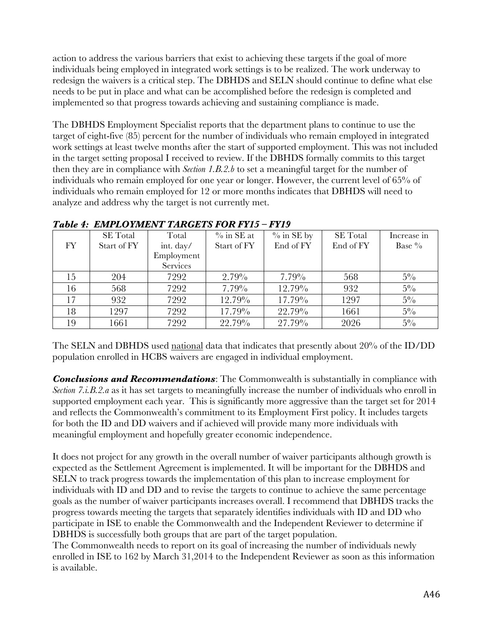action to address the various barriers that exist to achieving these targets if the goal of more individuals being employed in integrated work settings is to be realized. The work underway to redesign the waivers is a critical step. The DBHDS and SELN should continue to define what else needs to be put in place and what can be accomplished before the redesign is completed and implemented so that progress towards achieving and sustaining compliance is made.

The DBHDS Employment Specialist reports that the department plans to continue to use the target of eight-five (85) percent for the number of individuals who remain employed in integrated work settings at least twelve months after the start of supported employment. This was not included in the target setting proposal I received to review. If the DBHDS formally commits to this target then they are in compliance with *Section 1.B.2.b* to set a meaningful target for the number of individuals who remain employed for one year or longer. However, the current level of 65% of individuals who remain employed for 12 or more months indicates that DBHDS will need to analyze and address why the target is not currently met.

|     | <b>SE</b> Total | Total           | $\%$ in SE at | $\%$ in SE by | <b>SE</b> Total | Increase in |
|-----|-----------------|-----------------|---------------|---------------|-----------------|-------------|
| FY. | Start of FY     | int. day/       | Start of FY   | End of FY     | End of FY       | Base %      |
|     |                 | Employment      |               |               |                 |             |
|     |                 | <b>Services</b> |               |               |                 |             |
| 15  | 204             | 7292            | $2.79\%$      | $7.79\%$      | 568             | $5\%$       |
| 16  | 568             | 7292            | 7.79%         | 12.79%        | 932             | $5\%$       |
| 17  | 932             | 7292            | 12.79%        | 17.79%        | 1297            | $5\%$       |
| 18  | 1297            | 7292            | 17.79%        | 22.79%        | 1661            | $5\%$       |
| 19  | 1661            | 7292            | 22.79%        | 27.79%        | 2026            | $5\%$       |

## *Table 4: EMPLOYMENT TARGETS FOR FY15 – FY19*

The SELN and DBHDS used national data that indicates that presently about 20% of the ID/DD population enrolled in HCBS waivers are engaged in individual employment.

*Conclusions and Recommendations*: The Commonwealth is substantially in compliance with *Section 7.i.B.2.a* as it has set targets to meaningfully increase the number of individuals who enroll in supported employment each year. This is significantly more aggressive than the target set for 2014 and reflects the Commonwealth's commitment to its Employment First policy. It includes targets for both the ID and DD waivers and if achieved will provide many more individuals with meaningful employment and hopefully greater economic independence.

It does not project for any growth in the overall number of waiver participants although growth is expected as the Settlement Agreement is implemented. It will be important for the DBHDS and SELN to track progress towards the implementation of this plan to increase employment for individuals with ID and DD and to revise the targets to continue to achieve the same percentage goals as the number of waiver participants increases overall. I recommend that DBHDS tracks the progress towards meeting the targets that separately identifies individuals with ID and DD who participate in ISE to enable the Commonwealth and the Independent Reviewer to determine if DBHDS is successfully both groups that are part of the target population.

The Commonwealth needs to report on its goal of increasing the number of individuals newly enrolled in ISE to 162 by March 31,2014 to the Independent Reviewer as soon as this information is available.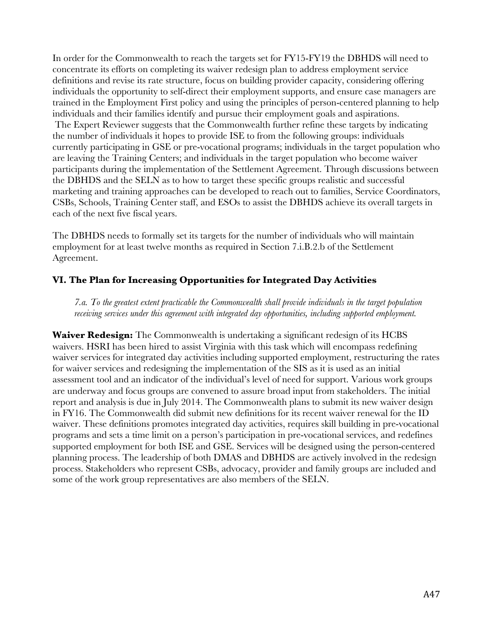In order for the Commonwealth to reach the targets set for FY15-FY19 the DBHDS will need to concentrate its efforts on completing its waiver redesign plan to address employment service definitions and revise its rate structure, focus on building provider capacity, considering offering individuals the opportunity to self-direct their employment supports, and ensure case managers are trained in the Employment First policy and using the principles of person-centered planning to help individuals and their families identify and pursue their employment goals and aspirations. The Expert Reviewer suggests that the Commonwealth further refine these targets by indicating the number of individuals it hopes to provide ISE to from the following groups: individuals currently participating in GSE or pre-vocational programs; individuals in the target population who are leaving the Training Centers; and individuals in the target population who become waiver participants during the implementation of the Settlement Agreement. Through discussions between the DBHDS and the SELN as to how to target these specific groups realistic and successful marketing and training approaches can be developed to reach out to families, Service Coordinators, CSBs, Schools, Training Center staff, and ESOs to assist the DBHDS achieve its overall targets in each of the next five fiscal years.

The DBHDS needs to formally set its targets for the number of individuals who will maintain employment for at least twelve months as required in Section 7.i.B.2.b of the Settlement Agreement.

### **VI. The Plan for Increasing Opportunities for Integrated Day Activities**

*7.a. To the greatest extent practicable the Commonwealth shall provide individuals in the target population receiving services under this agreement with integrated day opportunities, including supported employment.*

**Waiver Redesign:** The Commonwealth is undertaking a significant redesign of its HCBS waivers. HSRI has been hired to assist Virginia with this task which will encompass redefining waiver services for integrated day activities including supported employment, restructuring the rates for waiver services and redesigning the implementation of the SIS as it is used as an initial assessment tool and an indicator of the individual's level of need for support. Various work groups are underway and focus groups are convened to assure broad input from stakeholders. The initial report and analysis is due in July 2014. The Commonwealth plans to submit its new waiver design in FY16. The Commonwealth did submit new definitions for its recent waiver renewal for the ID waiver. These definitions promotes integrated day activities, requires skill building in pre-vocational programs and sets a time limit on a person's participation in pre-vocational services, and redefines supported employment for both ISE and GSE. Services will be designed using the person-centered planning process. The leadership of both DMAS and DBHDS are actively involved in the redesign process. Stakeholders who represent CSBs, advocacy, provider and family groups are included and some of the work group representatives are also members of the SELN.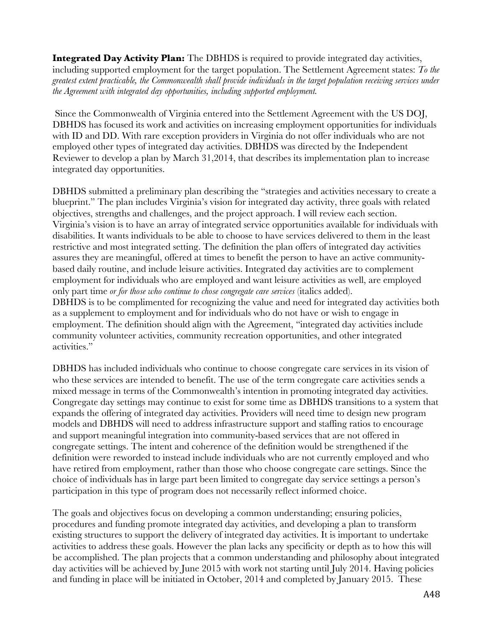**Integrated Day Activity Plan:** The DBHDS is required to provide integrated day activities, including supported employment for the target population. The Settlement Agreement states: *To the greatest extent practicable, the Commonwealth shall provide individuals in the target population receiving services under the Agreement with integrated day opportunities, including supported employment.*

Since the Commonwealth of Virginia entered into the Settlement Agreement with the US DOJ, DBHDS has focused its work and activities on increasing employment opportunities for individuals with ID and DD. With rare exception providers in Virginia do not offer individuals who are not employed other types of integrated day activities. DBHDS was directed by the Independent Reviewer to develop a plan by March 31,2014, that describes its implementation plan to increase integrated day opportunities.

DBHDS submitted a preliminary plan describing the "strategies and activities necessary to create a blueprint." The plan includes Virginia's vision for integrated day activity, three goals with related objectives, strengths and challenges, and the project approach. I will review each section. Virginia's vision is to have an array of integrated service opportunities available for individuals with disabilities. It wants individuals to be able to choose to have services delivered to them in the least restrictive and most integrated setting. The definition the plan offers of integrated day activities assures they are meaningful, offered at times to benefit the person to have an active communitybased daily routine, and include leisure activities. Integrated day activities are to complement employment for individuals who are employed and want leisure activities as well, are employed only part time *or for those who continue to chose congregate care services* (italics added). DBHDS is to be complimented for recognizing the value and need for integrated day activities both as a supplement to employment and for individuals who do not have or wish to engage in employment. The definition should align with the Agreement, "integrated day activities include community volunteer activities, community recreation opportunities, and other integrated activities."

DBHDS has included individuals who continue to choose congregate care services in its vision of who these services are intended to benefit. The use of the term congregate care activities sends a mixed message in terms of the Commonwealth's intention in promoting integrated day activities. Congregate day settings may continue to exist for some time as DBHDS transitions to a system that expands the offering of integrated day activities. Providers will need time to design new program models and DBHDS will need to address infrastructure support and staffing ratios to encourage and support meaningful integration into community-based services that are not offered in congregate settings. The intent and coherence of the definition would be strengthened if the definition were reworded to instead include individuals who are not currently employed and who have retired from employment, rather than those who choose congregate care settings. Since the choice of individuals has in large part been limited to congregate day service settings a person's participation in this type of program does not necessarily reflect informed choice.

The goals and objectives focus on developing a common understanding; ensuring policies, procedures and funding promote integrated day activities, and developing a plan to transform existing structures to support the delivery of integrated day activities. It is important to undertake activities to address these goals. However the plan lacks any specificity or depth as to how this will be accomplished. The plan projects that a common understanding and philosophy about integrated day activities will be achieved by June 2015 with work not starting until July 2014. Having policies and funding in place will be initiated in October, 2014 and completed by January 2015. These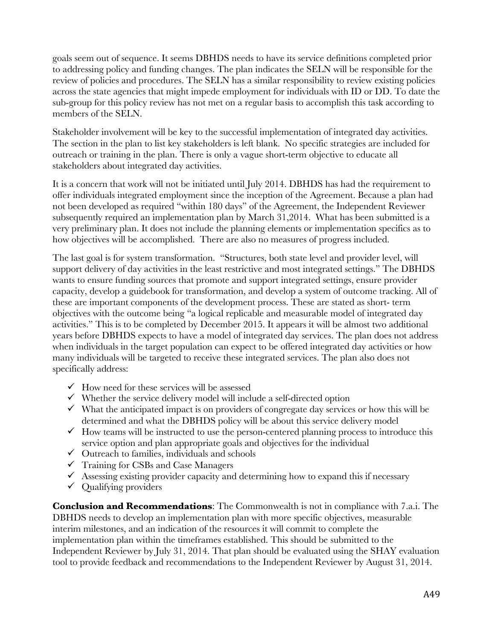goals seem out of sequence. It seems DBHDS needs to have its service definitions completed prior to addressing policy and funding changes. The plan indicates the SELN will be responsible for the review of policies and procedures. The SELN has a similar responsibility to review existing policies across the state agencies that might impede employment for individuals with ID or DD. To date the sub-group for this policy review has not met on a regular basis to accomplish this task according to members of the SELN.

Stakeholder involvement will be key to the successful implementation of integrated day activities. The section in the plan to list key stakeholders is left blank. No specific strategies are included for outreach or training in the plan. There is only a vague short-term objective to educate all stakeholders about integrated day activities.

It is a concern that work will not be initiated until July 2014. DBHDS has had the requirement to offer individuals integrated employment since the inception of the Agreement. Because a plan had not been developed as required "within 180 days" of the Agreement, the Independent Reviewer subsequently required an implementation plan by March 31,2014. What has been submitted is a very preliminary plan. It does not include the planning elements or implementation specifics as to how objectives will be accomplished. There are also no measures of progress included.

The last goal is for system transformation. "Structures, both state level and provider level, will support delivery of day activities in the least restrictive and most integrated settings." The DBHDS wants to ensure funding sources that promote and support integrated settings, ensure provider capacity, develop a guidebook for transformation, and develop a system of outcome tracking. All of these are important components of the development process. These are stated as short- term objectives with the outcome being "a logical replicable and measurable model of integrated day activities." This is to be completed by December 2015. It appears it will be almost two additional years before DBHDS expects to have a model of integrated day services. The plan does not address when individuals in the target population can expect to be offered integrated day activities or how many individuals will be targeted to receive these integrated services. The plan also does not specifically address:

- $\checkmark$  How need for these services will be assessed
- $\checkmark$  Whether the service delivery model will include a self-directed option
- $\checkmark$  What the anticipated impact is on providers of congregate day services or how this will be determined and what the DBHDS policy will be about this service delivery model
- $\checkmark$  How teams will be instructed to use the person-centered planning process to introduce this service option and plan appropriate goals and objectives for the individual
- $\checkmark$  Outreach to families, individuals and schools
- $\checkmark$  Training for CSBs and Case Managers
- $\checkmark$  Assessing existing provider capacity and determining how to expand this if necessary
- $\checkmark$  Qualifying providers

**Conclusion and Recommendations**: The Commonwealth is not in compliance with 7.a.i. The DBHDS needs to develop an implementation plan with more specific objectives, measurable interim milestones, and an indication of the resources it will commit to complete the implementation plan within the timeframes established. This should be submitted to the Independent Reviewer by July 31, 2014. That plan should be evaluated using the SHAY evaluation tool to provide feedback and recommendations to the Independent Reviewer by August 31, 2014.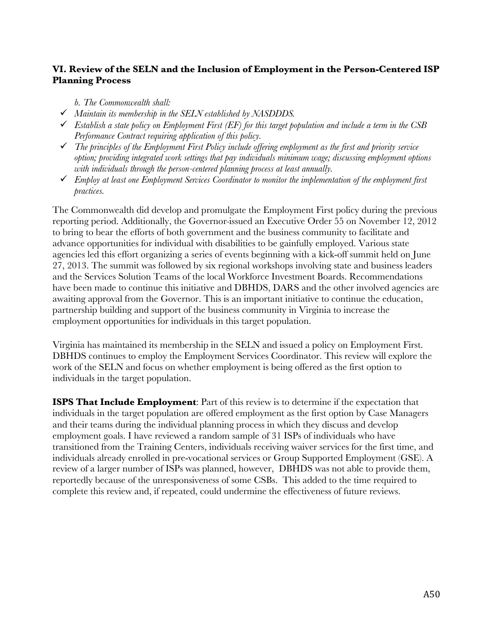### **VI. Review of the SELN and the Inclusion of Employment in the Person-Centered ISP Planning Process**

*b. The Commonwealth shall:*

- ü *Maintain its membership in the SELN established by NASDDDS.*
- $\checkmark$  Establish a state policy on Employment First (EF) for this target population and include a term in the CSB *Performance Contract requiring application of this policy.*
- ü *The principles of the Employment First Policy include offering employment as the first and priority service option; providing integrated work settings that pay individuals minimum wage; discussing employment options with individuals through the person-centered planning process at least annually.*
- ü *Employ at least one Employment Services Coordinator to monitor the implementation of the employment first practices.*

The Commonwealth did develop and promulgate the Employment First policy during the previous reporting period. Additionally, the Governor issued an Executive Order 55 on November 12, 2012 to bring to bear the efforts of both government and the business community to facilitate and advance opportunities for individual with disabilities to be gainfully employed. Various state agencies led this effort organizing a series of events beginning with a kick-off summit held on June 27, 2013. The summit was followed by six regional workshops involving state and business leaders and the Services Solution Teams of the local Workforce Investment Boards. Recommendations have been made to continue this initiative and DBHDS, DARS and the other involved agencies are awaiting approval from the Governor. This is an important initiative to continue the education, partnership building and support of the business community in Virginia to increase the employment opportunities for individuals in this target population.

Virginia has maintained its membership in the SELN and issued a policy on Employment First. DBHDS continues to employ the Employment Services Coordinator. This review will explore the work of the SELN and focus on whether employment is being offered as the first option to individuals in the target population.

**ISPS That Include Employment**: Part of this review is to determine if the expectation that individuals in the target population are offered employment as the first option by Case Managers and their teams during the individual planning process in which they discuss and develop employment goals. I have reviewed a random sample of 31 ISPs of individuals who have transitioned from the Training Centers, individuals receiving waiver services for the first time, and individuals already enrolled in pre-vocational services or Group Supported Employment (GSE). A review of a larger number of ISPs was planned, however, DBHDS was not able to provide them, reportedly because of the unresponsiveness of some CSBs. This added to the time required to complete this review and, if repeated, could undermine the effectiveness of future reviews.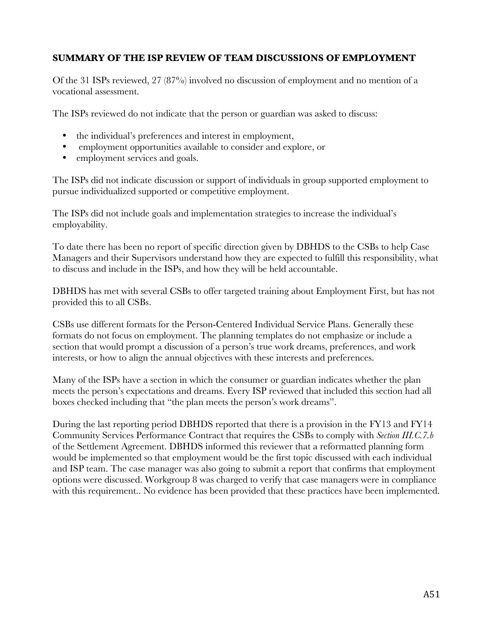### **SUMMARY OF THE ISP REVIEW OF TEAM DISCUSSIONS OF EMPLOYMENT**

Of the 31 ISPs reviewed, 27 (87%) involved no discussion of employment and no mention of a vocational assessment.

The ISPs reviewed do not indicate that the person or guardian was asked to discuss:

- the individual's preferences and interest in employment,
- employment opportunities available to consider and explore, or
- employment services and goals.

The ISPs did not indicate discussion or support of individuals in group supported employment to pursue individualized supported or competitive employment.

The ISPs did not include goals and implementation strategies to increase the individual's employability.

To date there has been no report of specific direction given by DBHDS to the CSBs to help Case Managers and their Supervisors understand how they are expected to fulfill this responsibility, what to discuss and include in the ISPs, and how they will be held accountable.

DBHDS has met with several CSBs to offer targeted training about Employment First, but has not provided this to all CSBs.

CSBs use different formats for the Person-Centered Individual Service Plans. Generally these formats do not focus on employment. The planning templates do not emphasize or include a section that would prompt a discussion of a person's true work dreams, preferences, and work interests, or how to align the annual objectives with these interests and preferences.

Many of the ISPs have a section in which the consumer or guardian indicates whether the plan meets the person's expectations and dreams. Every ISP reviewed that included this section had all boxes checked including that "the plan meets the person's work dreams".

During the last reporting period DBHDS reported that there is a provision in the FY13 and FY14 Community Services Performance Contract that requires the CSBs to comply with *Section III.C.7.b* of the Settlement Agreement. DBHDS informed this reviewer that a reformatted planning form would be implemented so that employment would be the first topic discussed with each individual and ISP team. The case manager was also going to submit a report that confirms that employment options were discussed. Workgroup 8 was charged to verify that case managers were in compliance with this requirement.. No evidence has been provided that these practices have been implemented.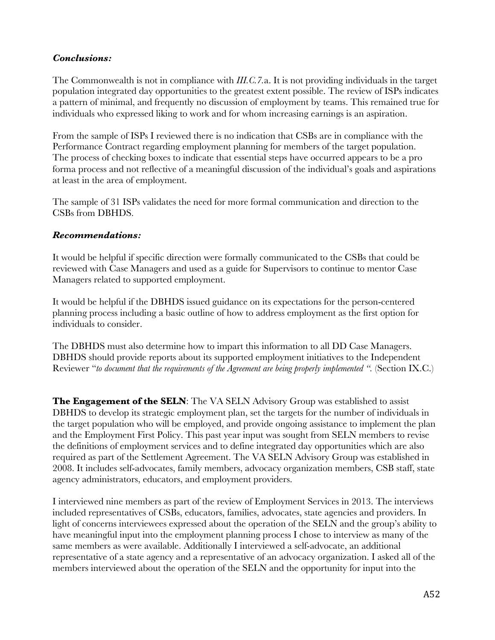### *Conclusions:*

The Commonwealth is not in compliance with *III.C.7.*a. It is not providing individuals in the target population integrated day opportunities to the greatest extent possible. The review of ISPs indicates a pattern of minimal, and frequently no discussion of employment by teams. This remained true for individuals who expressed liking to work and for whom increasing earnings is an aspiration.

From the sample of ISPs I reviewed there is no indication that CSBs are in compliance with the Performance Contract regarding employment planning for members of the target population. The process of checking boxes to indicate that essential steps have occurred appears to be a pro forma process and not reflective of a meaningful discussion of the individual's goals and aspirations at least in the area of employment.

The sample of 31 ISPs validates the need for more formal communication and direction to the CSBs from DBHDS.

### *Recommendations:*

It would be helpful if specific direction were formally communicated to the CSBs that could be reviewed with Case Managers and used as a guide for Supervisors to continue to mentor Case Managers related to supported employment.

It would be helpful if the DBHDS issued guidance on its expectations for the person-centered planning process including a basic outline of how to address employment as the first option for individuals to consider.

The DBHDS must also determine how to impart this information to all DD Case Managers. DBHDS should provide reports about its supported employment initiatives to the Independent Reviewer "*to document that the requirements of the Agreement are being properly implemented ".* (Section IX.C.)

**The Engagement of the SELN**: The VA SELN Advisory Group was established to assist DBHDS to develop its strategic employment plan, set the targets for the number of individuals in the target population who will be employed, and provide ongoing assistance to implement the plan and the Employment First Policy. This past year input was sought from SELN members to revise the definitions of employment services and to define integrated day opportunities which are also required as part of the Settlement Agreement. The VA SELN Advisory Group was established in 2008. It includes self-advocates, family members, advocacy organization members, CSB staff, state agency administrators, educators, and employment providers.

I interviewed nine members as part of the review of Employment Services in 2013. The interviews included representatives of CSBs, educators, families, advocates, state agencies and providers. In light of concerns interviewees expressed about the operation of the SELN and the group's ability to have meaningful input into the employment planning process I chose to interview as many of the same members as were available. Additionally I interviewed a self-advocate, an additional representative of a state agency and a representative of an advocacy organization. I asked all of the members interviewed about the operation of the SELN and the opportunity for input into the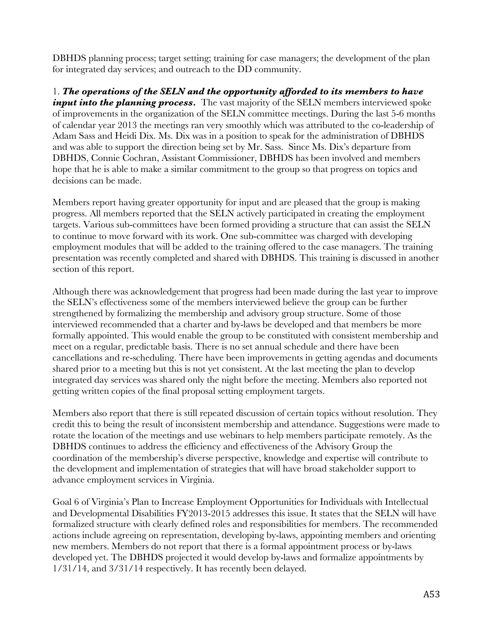DBHDS planning process; target setting; training for case managers; the development of the plan for integrated day services; and outreach to the DD community.

1. *The operations of the SELN and the opportunity afforded to its members to have input into the planning process.* The vast majority of the SELN members interviewed spoke of improvements in the organization of the SELN committee meetings. During the last 5-6 months of calendar year 2013 the meetings ran very smoothly which was attributed to the co-leadership of Adam Sass and Heidi Dix. Ms. Dix was in a position to speak for the administration of DBHDS and was able to support the direction being set by Mr. Sass. Since Ms. Dix's departure from DBHDS, Connie Cochran, Assistant Commissioner, DBHDS has been involved and members hope that he is able to make a similar commitment to the group so that progress on topics and decisions can be made.

Members report having greater opportunity for input and are pleased that the group is making progress. All members reported that the SELN actively participated in creating the employment targets. Various sub-committees have been formed providing a structure that can assist the SELN to continue to move forward with its work. One sub-committee was charged with developing employment modules that will be added to the training offered to the case managers. The training presentation was recently completed and shared with DBHDS. This training is discussed in another section of this report.

Although there was acknowledgement that progress had been made during the last year to improve the SELN's effectiveness some of the members interviewed believe the group can be further strengthened by formalizing the membership and advisory group structure. Some of those interviewed recommended that a charter and by-laws be developed and that members be more formally appointed. This would enable the group to be constituted with consistent membership and meet on a regular, predictable basis. There is no set annual schedule and there have been cancellations and re-scheduling. There have been improvements in getting agendas and documents shared prior to a meeting but this is not yet consistent. At the last meeting the plan to develop integrated day services was shared only the night before the meeting. Members also reported not getting written copies of the final proposal setting employment targets.

Members also report that there is still repeated discussion of certain topics without resolution. They credit this to being the result of inconsistent membership and attendance. Suggestions were made to rotate the location of the meetings and use webinars to help members participate remotely. As the DBHDS continues to address the efficiency and effectiveness of the Advisory Group the coordination of the membership's diverse perspective, knowledge and expertise will contribute to the development and implementation of strategies that will have broad stakeholder support to advance employment services in Virginia.

Goal 6 of Virginia's Plan to Increase Employment Opportunities for Individuals with Intellectual and Developmental Disabilities FY2013-2015 addresses this issue. It states that the SELN will have formalized structure with clearly defined roles and responsibilities for members. The recommended actions include agreeing on representation, developing by-laws, appointing members and orienting new members. Members do not report that there is a formal appointment process or by-laws developed yet. The DBHDS projected it would develop by-laws and formalize appointments by 1/31/14, and 3/31/14 respectively. It has recently been delayed.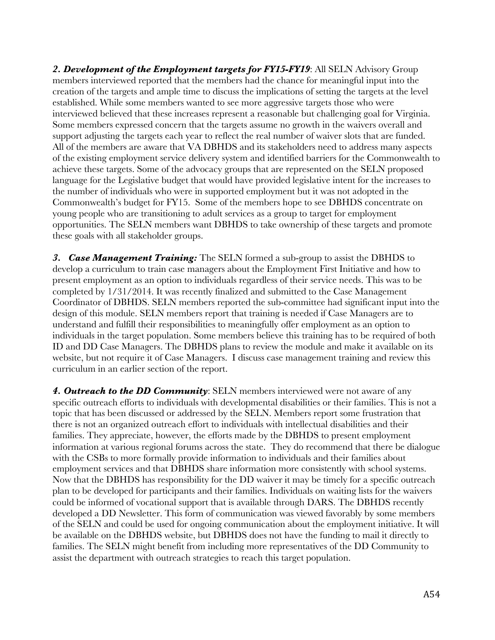*2. Development of the Employment targets for FY15-FY19*: All SELN Advisory Group members interviewed reported that the members had the chance for meaningful input into the creation of the targets and ample time to discuss the implications of setting the targets at the level established. While some members wanted to see more aggressive targets those who were interviewed believed that these increases represent a reasonable but challenging goal for Virginia. Some members expressed concern that the targets assume no growth in the waivers overall and support adjusting the targets each year to reflect the real number of waiver slots that are funded. All of the members are aware that VA DBHDS and its stakeholders need to address many aspects of the existing employment service delivery system and identified barriers for the Commonwealth to achieve these targets. Some of the advocacy groups that are represented on the SELN proposed language for the Legislative budget that would have provided legislative intent for the increases to the number of individuals who were in supported employment but it was not adopted in the Commonwealth's budget for FY15. Some of the members hope to see DBHDS concentrate on young people who are transitioning to adult services as a group to target for employment opportunities. The SELN members want DBHDS to take ownership of these targets and promote these goals with all stakeholder groups.

*3. Case Management Training:* The SELN formed a sub-group to assist the DBHDS to develop a curriculum to train case managers about the Employment First Initiative and how to present employment as an option to individuals regardless of their service needs. This was to be completed by 1/31/2014. It was recently finalized and submitted to the Case Management Coordinator of DBHDS. SELN members reported the sub-committee had significant input into the design of this module. SELN members report that training is needed if Case Managers are to understand and fulfill their responsibilities to meaningfully offer employment as an option to individuals in the target population. Some members believe this training has to be required of both ID and DD Case Managers. The DBHDS plans to review the module and make it available on its website, but not require it of Case Managers. I discuss case management training and review this curriculum in an earlier section of the report.

*4. Outreach to the DD Community*: SELN members interviewed were not aware of any specific outreach efforts to individuals with developmental disabilities or their families. This is not a topic that has been discussed or addressed by the SELN. Members report some frustration that there is not an organized outreach effort to individuals with intellectual disabilities and their families. They appreciate, however, the efforts made by the DBHDS to present employment information at various regional forums across the state. They do recommend that there be dialogue with the CSBs to more formally provide information to individuals and their families about employment services and that DBHDS share information more consistently with school systems. Now that the DBHDS has responsibility for the DD waiver it may be timely for a specific outreach plan to be developed for participants and their families. Individuals on waiting lists for the waivers could be informed of vocational support that is available through DARS. The DBHDS recently developed a DD Newsletter. This form of communication was viewed favorably by some members of the SELN and could be used for ongoing communication about the employment initiative. It will be available on the DBHDS website, but DBHDS does not have the funding to mail it directly to families. The SELN might benefit from including more representatives of the DD Community to assist the department with outreach strategies to reach this target population.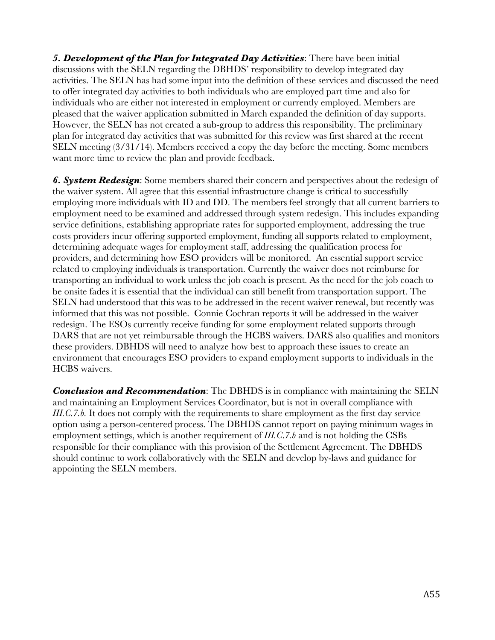*5. Development of the Plan for Integrated Day Activities*: There have been initial discussions with the SELN regarding the DBHDS' responsibility to develop integrated day activities. The SELN has had some input into the definition of these services and discussed the need to offer integrated day activities to both individuals who are employed part time and also for individuals who are either not interested in employment or currently employed. Members are pleased that the waiver application submitted in March expanded the definition of day supports. However, the SELN has not created a sub-group to address this responsibility. The preliminary plan for integrated day activities that was submitted for this review was first shared at the recent SELN meeting (3/31/14). Members received a copy the day before the meeting. Some members want more time to review the plan and provide feedback.

*6. System Redesign*: Some members shared their concern and perspectives about the redesign of the waiver system. All agree that this essential infrastructure change is critical to successfully employing more individuals with ID and DD. The members feel strongly that all current barriers to employment need to be examined and addressed through system redesign. This includes expanding service definitions, establishing appropriate rates for supported employment, addressing the true costs providers incur offering supported employment, funding all supports related to employment, determining adequate wages for employment staff, addressing the qualification process for providers, and determining how ESO providers will be monitored. An essential support service related to employing individuals is transportation. Currently the waiver does not reimburse for transporting an individual to work unless the job coach is present. As the need for the job coach to be onsite fades it is essential that the individual can still benefit from transportation support. The SELN had understood that this was to be addressed in the recent waiver renewal, but recently was informed that this was not possible. Connie Cochran reports it will be addressed in the waiver redesign. The ESOs currently receive funding for some employment related supports through DARS that are not yet reimbursable through the HCBS waivers. DARS also qualifies and monitors these providers. DBHDS will need to analyze how best to approach these issues to create an environment that encourages ESO providers to expand employment supports to individuals in the HCBS waivers.

*Conclusion and Recommendation*: The DBHDS is in compliance with maintaining the SELN and maintaining an Employment Services Coordinator, but is not in overall compliance with *III.C.7.b.* It does not comply with the requirements to share employment as the first day service option using a person-centered process. The DBHDS cannot report on paying minimum wages in employment settings, which is another requirement of *III.C*.*7.b* and is not holding the CSBs responsible for their compliance with this provision of the Settlement Agreement. The DBHDS should continue to work collaboratively with the SELN and develop by-laws and guidance for appointing the SELN members.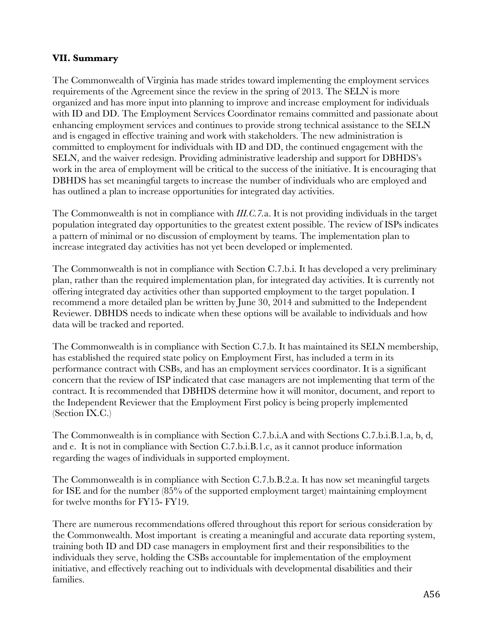### **VII. Summary**

The Commonwealth of Virginia has made strides toward implementing the employment services requirements of the Agreement since the review in the spring of 2013. The SELN is more organized and has more input into planning to improve and increase employment for individuals with ID and DD. The Employment Services Coordinator remains committed and passionate about enhancing employment services and continues to provide strong technical assistance to the SELN and is engaged in effective training and work with stakeholders. The new administration is committed to employment for individuals with ID and DD, the continued engagement with the SELN, and the waiver redesign. Providing administrative leadership and support for DBHDS's work in the area of employment will be critical to the success of the initiative. It is encouraging that DBHDS has set meaningful targets to increase the number of individuals who are employed and has outlined a plan to increase opportunities for integrated day activities.

The Commonwealth is not in compliance with *III.C.7.*a. It is not providing individuals in the target population integrated day opportunities to the greatest extent possible. The review of ISPs indicates a pattern of minimal or no discussion of employment by teams. The implementation plan to increase integrated day activities has not yet been developed or implemented.

The Commonwealth is not in compliance with Section C.7.b.i. It has developed a very preliminary plan, rather than the required implementation plan, for integrated day activities. It is currently not offering integrated day activities other than supported employment to the target population. I recommend a more detailed plan be written by June 30, 2014 and submitted to the Independent Reviewer. DBHDS needs to indicate when these options will be available to individuals and how data will be tracked and reported.

The Commonwealth is in compliance with Section C.7.b. It has maintained its SELN membership, has established the required state policy on Employment First, has included a term in its performance contract with CSBs, and has an employment services coordinator. It is a significant concern that the review of ISP indicated that case managers are not implementing that term of the contract. It is recommended that DBHDS determine how it will monitor, document, and report to the Independent Reviewer that the Employment First policy is being properly implemented (Section IX.C.)

The Commonwealth is in compliance with Section C.7.b.i.A and with Sections C.7.b.i.B.1.a, b, d, and e. It is not in compliance with Section C.7.b.i.B.1.c, as it cannot produce information regarding the wages of individuals in supported employment.

The Commonwealth is in compliance with Section C.7.b.B.2.a. It has now set meaningful targets for ISE and for the number (85% of the supported employment target) maintaining employment for twelve months for FY15- FY19.

There are numerous recommendations offered throughout this report for serious consideration by the Commonwealth. Most important is creating a meaningful and accurate data reporting system, training both ID and DD case managers in employment first and their responsibilities to the individuals they serve, holding the CSBs accountable for implementation of the employment initiative, and effectively reaching out to individuals with developmental disabilities and their families.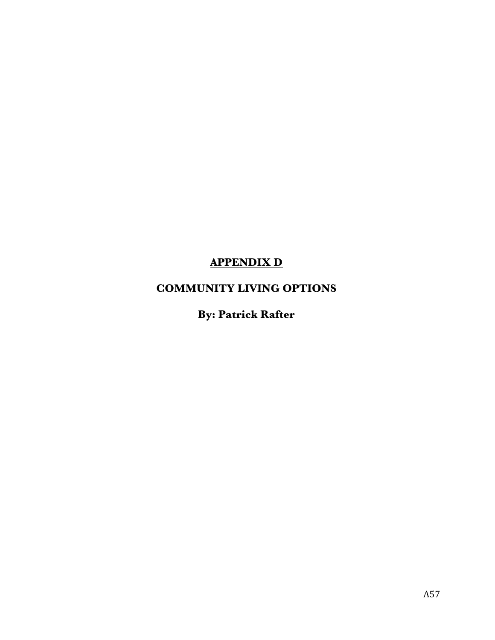# **APPENDIX D**

## **COMMUNITY LIVING OPTIONS**

# **By: Patrick Rafter**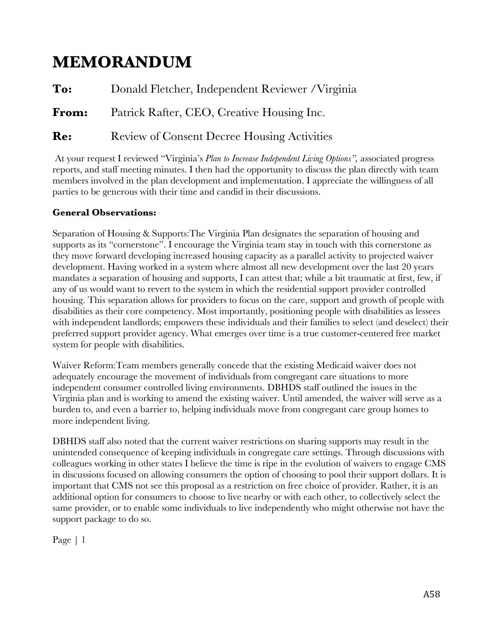# **MEMORANDUM**

**To:** Donald Fletcher, Independent Reviewer /Virginia **From:** Patrick Rafter, CEO, Creative Housing Inc. **Re:** Review of Consent Decree Housing Activities

At your request I reviewed "Virginia's *Plan to Increase Independent Living Options",* associated progress reports, and staff meeting minutes. I then had the opportunity to discuss the plan directly with team members involved in the plan development and implementation. I appreciate the willingness of all parties to be generous with their time and candid in their discussions.

## **General Observations:**

Separation of Housing & Supports:The Virginia Plan designates the separation of housing and supports as its "cornerstone". I encourage the Virginia team stay in touch with this cornerstone as they move forward developing increased housing capacity as a parallel activity to projected waiver development. Having worked in a system where almost all new development over the last 20 years mandates a separation of housing and supports, I can attest that; while a bit traumatic at first, few, if any of us would want to revert to the system in which the residential support provider controlled housing. This separation allows for providers to focus on the care, support and growth of people with disabilities as their core competency. Most importantly, positioning people with disabilities as lessees with independent landlords; empowers these individuals and their families to select (and deselect) their preferred support provider agency. What emerges over time is a true customer-centered free market system for people with disabilities.

Waiver Reform:Team members generally concede that the existing Medicaid waiver does not adequately encourage the movement of individuals from congregant care situations to more independent consumer controlled living environments. DBHDS staff outlined the issues in the Virginia plan and is working to amend the existing waiver. Until amended, the waiver will serve as a burden to, and even a barrier to, helping individuals move from congregant care group homes to more independent living.

DBHDS staff also noted that the current waiver restrictions on sharing supports may result in the unintended consequence of keeping individuals in congregate care settings. Through discussions with colleagues working in other states I believe the time is ripe in the evolution of waivers to engage CMS in discussions focused on allowing consumers the option of choosing to pool their support dollars. It is important that CMS not see this proposal as a restriction on free choice of provider. Rather, it is an additional option for consumers to choose to live nearby or with each other, to collectively select the same provider, or to enable some individuals to live independently who might otherwise not have the support package to do so.

Page | 1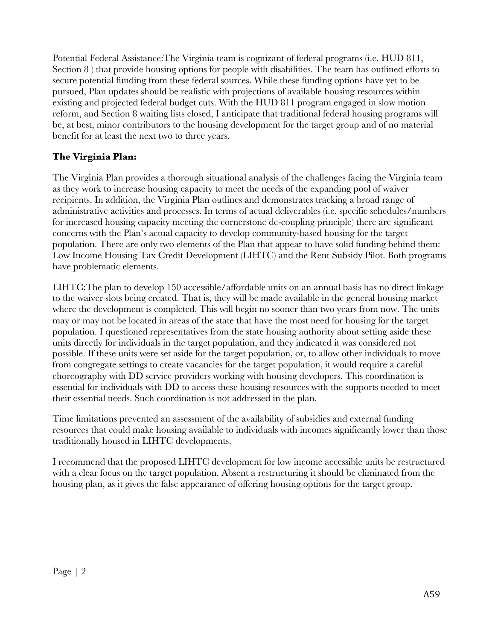Potential Federal Assistance:The Virginia team is cognizant of federal programs (i.e. HUD 811, Section 8) that provide housing options for people with disabilities. The team has outlined efforts to secure potential funding from these federal sources. While these funding options have yet to be pursued, Plan updates should be realistic with projections of available housing resources within existing and projected federal budget cuts. With the HUD 811 program engaged in slow motion reform, and Section 8 waiting lists closed, I anticipate that traditional federal housing programs will be, at best, minor contributors to the housing development for the target group and of no material benefit for at least the next two to three years.

## **The Virginia Plan:**

The Virginia Plan provides a thorough situational analysis of the challenges facing the Virginia team as they work to increase housing capacity to meet the needs of the expanding pool of waiver recipients. In addition, the Virginia Plan outlines and demonstrates tracking a broad range of administrative activities and processes. In terms of actual deliverables (i.e. specific schedules/numbers for increased housing capacity meeting the cornerstone de-coupling principle) there are significant concerns with the Plan's actual capacity to develop community-based housing for the target population. There are only two elements of the Plan that appear to have solid funding behind them: Low Income Housing Tax Credit Development (LIHTC) and the Rent Subsidy Pilot. Both programs have problematic elements.

LIHTC:The plan to develop 150 accessible/affordable units on an annual basis has no direct linkage to the waiver slots being created. That is, they will be made available in the general housing market where the development is completed. This will begin no sooner than two years from now. The units may or may not be located in areas of the state that have the most need for housing for the target population. I questioned representatives from the state housing authority about setting aside these units directly for individuals in the target population, and they indicated it was considered not possible. If these units were set aside for the target population, or, to allow other individuals to move from congregate settings to create vacancies for the target population, it would require a careful choreography with DD service providers working with housing developers. This coordination is essential for individuals with DD to access these housing resources with the supports needed to meet their essential needs. Such coordination is not addressed in the plan.

Time limitations prevented an assessment of the availability of subsidies and external funding resources that could make housing available to individuals with incomes significantly lower than those traditionally housed in LIHTC developments.

I recommend that the proposed LIHTC development for low income accessible units be restructured with a clear focus on the target population. Absent a restructuring it should be eliminated from the housing plan, as it gives the false appearance of offering housing options for the target group.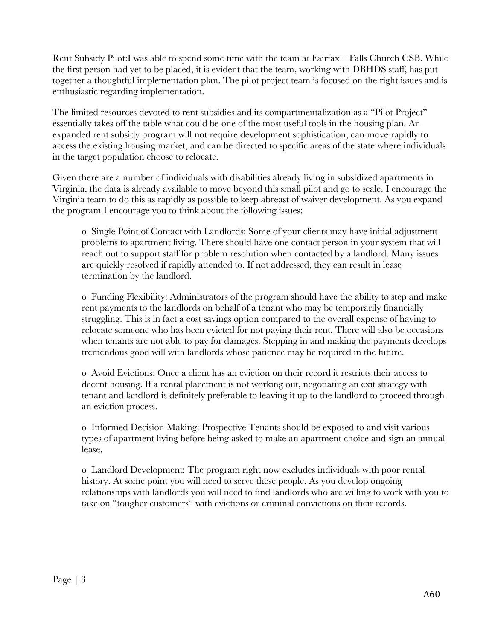Rent Subsidy Pilot:I was able to spend some time with the team at Fairfax – Falls Church CSB. While the first person had yet to be placed, it is evident that the team, working with DBHDS staff, has put together a thoughtful implementation plan. The pilot project team is focused on the right issues and is enthusiastic regarding implementation.

The limited resources devoted to rent subsidies and its compartmentalization as a "Pilot Project" essentially takes off the table what could be one of the most useful tools in the housing plan. An expanded rent subsidy program will not require development sophistication, can move rapidly to access the existing housing market, and can be directed to specific areas of the state where individuals in the target population choose to relocate.

Given there are a number of individuals with disabilities already living in subsidized apartments in Virginia, the data is already available to move beyond this small pilot and go to scale. I encourage the Virginia team to do this as rapidly as possible to keep abreast of waiver development. As you expand the program I encourage you to think about the following issues:

o Single Point of Contact with Landlords: Some of your clients may have initial adjustment problems to apartment living. There should have one contact person in your system that will reach out to support staff for problem resolution when contacted by a landlord. Many issues are quickly resolved if rapidly attended to. If not addressed, they can result in lease termination by the landlord.

o Funding Flexibility: Administrators of the program should have the ability to step and make rent payments to the landlords on behalf of a tenant who may be temporarily financially struggling. This is in fact a cost savings option compared to the overall expense of having to relocate someone who has been evicted for not paying their rent. There will also be occasions when tenants are not able to pay for damages. Stepping in and making the payments develops tremendous good will with landlords whose patience may be required in the future.

o Avoid Evictions: Once a client has an eviction on their record it restricts their access to decent housing. If a rental placement is not working out, negotiating an exit strategy with tenant and landlord is definitely preferable to leaving it up to the landlord to proceed through an eviction process.

o Informed Decision Making: Prospective Tenants should be exposed to and visit various types of apartment living before being asked to make an apartment choice and sign an annual lease.

o Landlord Development: The program right now excludes individuals with poor rental history. At some point you will need to serve these people. As you develop ongoing relationships with landlords you will need to find landlords who are willing to work with you to take on "tougher customers" with evictions or criminal convictions on their records.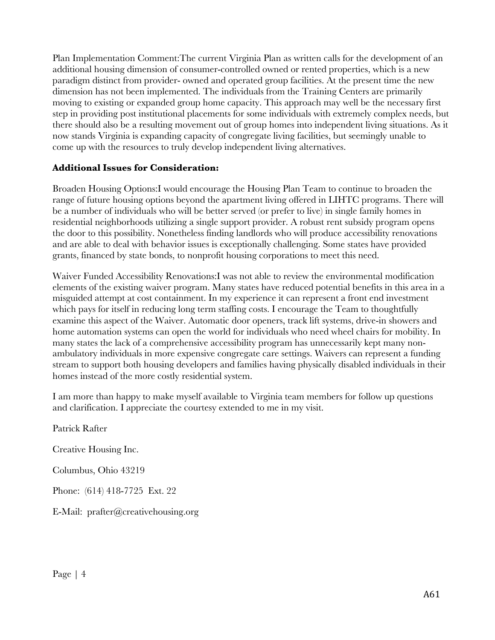Plan Implementation Comment:The current Virginia Plan as written calls for the development of an additional housing dimension of consumer-controlled owned or rented properties, which is a new paradigm distinct from provider- owned and operated group facilities. At the present time the new dimension has not been implemented. The individuals from the Training Centers are primarily moving to existing or expanded group home capacity. This approach may well be the necessary first step in providing post institutional placements for some individuals with extremely complex needs, but there should also be a resulting movement out of group homes into independent living situations. As it now stands Virginia is expanding capacity of congregate living facilities, but seemingly unable to come up with the resources to truly develop independent living alternatives.

### **Additional Issues for Consideration:**

Broaden Housing Options:I would encourage the Housing Plan Team to continue to broaden the range of future housing options beyond the apartment living offered in LIHTC programs. There will be a number of individuals who will be better served (or prefer to live) in single family homes in residential neighborhoods utilizing a single support provider. A robust rent subsidy program opens the door to this possibility. Nonetheless finding landlords who will produce accessibility renovations and are able to deal with behavior issues is exceptionally challenging. Some states have provided grants, financed by state bonds, to nonprofit housing corporations to meet this need.

Waiver Funded Accessibility Renovations:I was not able to review the environmental modification elements of the existing waiver program. Many states have reduced potential benefits in this area in a misguided attempt at cost containment. In my experience it can represent a front end investment which pays for itself in reducing long term staffing costs. I encourage the Team to thoughtfully examine this aspect of the Waiver. Automatic door openers, track lift systems, drive-in showers and home automation systems can open the world for individuals who need wheel chairs for mobility. In many states the lack of a comprehensive accessibility program has unnecessarily kept many nonambulatory individuals in more expensive congregate care settings. Waivers can represent a funding stream to support both housing developers and families having physically disabled individuals in their homes instead of the more costly residential system.

I am more than happy to make myself available to Virginia team members for follow up questions and clarification. I appreciate the courtesy extended to me in my visit.

Patrick Rafter Creative Housing Inc. Columbus, Ohio 43219 Phone: (614) 418-7725 Ext. 22 E-Mail: prafter@creativehousing.org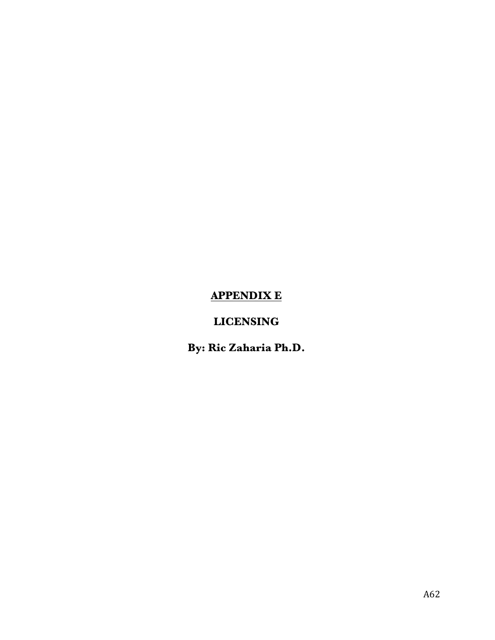# **APPENDIX E**

## **LICENSING**

**By: Ric Zaharia Ph.D.**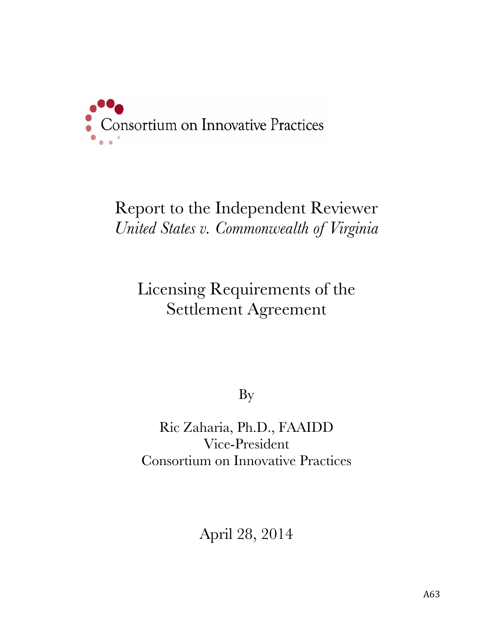

# Report to the Independent Reviewer *United States v. Commonwealth of Virginia*

# Licensing Requirements of the Settlement Agreement

By

Ric Zaharia, Ph.D., FAAIDD Vice-President Consortium on Innovative Practices

April 28, 2014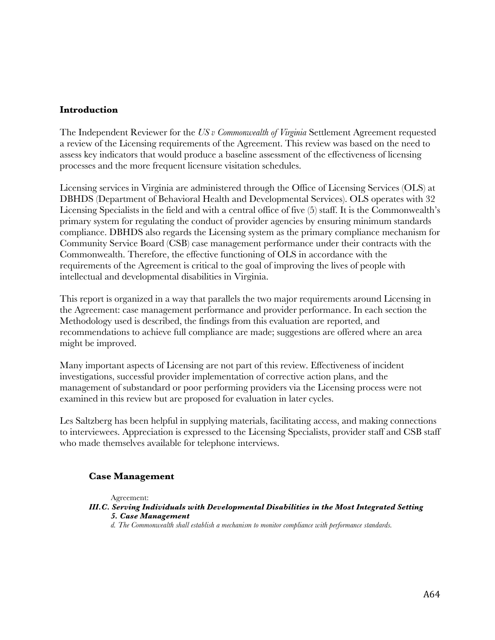### **Introduction**

The Independent Reviewer for the *US v Commonwealth of Virginia* Settlement Agreement requested a review of the Licensing requirements of the Agreement. This review was based on the need to assess key indicators that would produce a baseline assessment of the effectiveness of licensing processes and the more frequent licensure visitation schedules.

Licensing services in Virginia are administered through the Office of Licensing Services (OLS) at DBHDS (Department of Behavioral Health and Developmental Services). OLS operates with 32 Licensing Specialists in the field and with a central office of five (5) staff. It is the Commonwealth's primary system for regulating the conduct of provider agencies by ensuring minimum standards compliance. DBHDS also regards the Licensing system as the primary compliance mechanism for Community Service Board (CSB) case management performance under their contracts with the Commonwealth. Therefore, the effective functioning of OLS in accordance with the requirements of the Agreement is critical to the goal of improving the lives of people with intellectual and developmental disabilities in Virginia.

This report is organized in a way that parallels the two major requirements around Licensing in the Agreement: case management performance and provider performance. In each section the Methodology used is described, the findings from this evaluation are reported, and recommendations to achieve full compliance are made; suggestions are offered where an area might be improved.

Many important aspects of Licensing are not part of this review. Effectiveness of incident investigations, successful provider implementation of corrective action plans, and the management of substandard or poor performing providers via the Licensing process were not examined in this review but are proposed for evaluation in later cycles.

Les Saltzberg has been helpful in supplying materials, facilitating access, and making connections to interviewees. Appreciation is expressed to the Licensing Specialists, provider staff and CSB staff who made themselves available for telephone interviews.

### **Case Management**

Agreement:

- *III.C. Serving Individuals with Developmental Disabilities in the Most Integrated Setting 5. Case Management*
	- *d. The Commonwealth shall establish a mechanism to monitor compliance with performance standards.*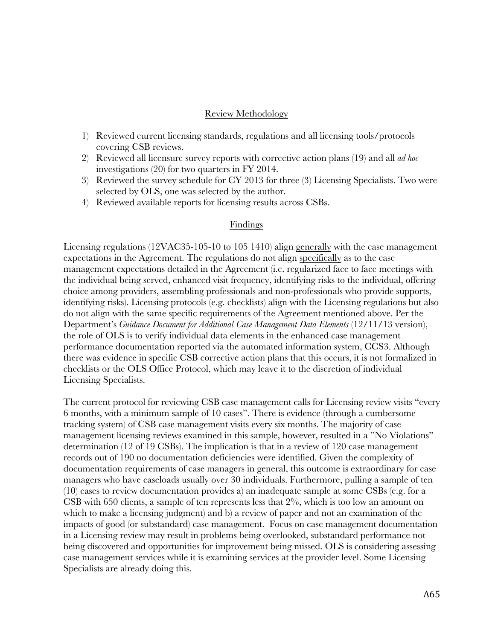### Review Methodology

- 1) Reviewed current licensing standards, regulations and all licensing tools/protocols covering CSB reviews.
- 2) Reviewed all licensure survey reports with corrective action plans (19) and all *ad hoc* investigations (20) for two quarters in FY 2014.
- 3) Reviewed the survey schedule for CY 2013 for three (3) Licensing Specialists. Two were selected by OLS, one was selected by the author.
- 4) Reviewed available reports for licensing results across CSBs.

### Findings

Licensing regulations (12VAC35-105-10 to 105 1410) align generally with the case management expectations in the Agreement. The regulations do not align specifically as to the case management expectations detailed in the Agreement (i.e. regularized face to face meetings with the individual being served, enhanced visit frequency, identifying risks to the individual, offering choice among providers, assembling professionals and non-professionals who provide supports, identifying risks). Licensing protocols (e.g. checklists) align with the Licensing regulations but also do not align with the same specific requirements of the Agreement mentioned above. Per the Department's *Guidance Document for Additional Case Management Data Elements* (12/11/13 version), the role of OLS is to verify individual data elements in the enhanced case management performance documentation reported via the automated information system, CCS3. Although there was evidence in specific CSB corrective action plans that this occurs, it is not formalized in checklists or the OLS Office Protocol, which may leave it to the discretion of individual Licensing Specialists.

The current protocol for reviewing CSB case management calls for Licensing review visits "every 6 months, with a minimum sample of 10 cases". There is evidence (through a cumbersome tracking system) of CSB case management visits every six months. The majority of case management licensing reviews examined in this sample, however, resulted in a "No Violations" determination (12 of 19 CSBs). The implication is that in a review of 120 case management records out of 190 no documentation deficiencies were identified. Given the complexity of documentation requirements of case managers in general, this outcome is extraordinary for case managers who have caseloads usually over 30 individuals. Furthermore, pulling a sample of ten (10) cases to review documentation provides a) an inadequate sample at some CSBs (e.g. for a CSB with 650 clients, a sample of ten represents less that 2%, which is too low an amount on which to make a licensing judgment) and b) a review of paper and not an examination of the impacts of good (or substandard) case management. Focus on case management documentation in a Licensing review may result in problems being overlooked, substandard performance not being discovered and opportunities for improvement being missed. OLS is considering assessing case management services while it is examining services at the provider level. Some Licensing Specialists are already doing this.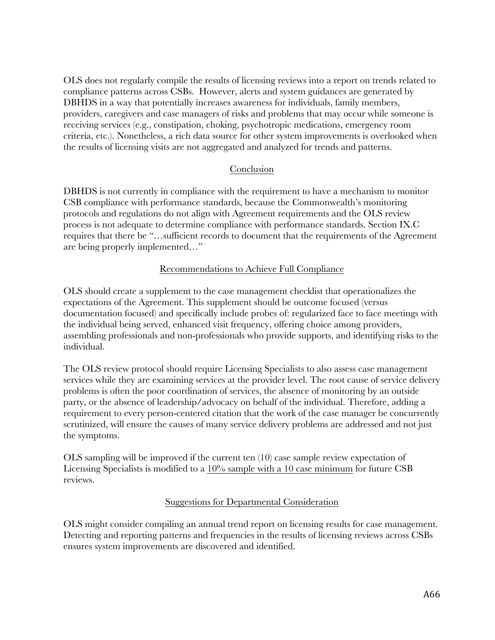OLS does not regularly compile the results of licensing reviews into a report on trends related to compliance patterns across CSBs. However, alerts and system guidances are generated by DBHDS in a way that potentially increases awareness for individuals, family members, providers, caregivers and case managers of risks and problems that may occur while someone is receiving services (e.g., constipation, choking, psychotropic medications, emergency room criteria, etc.). Nonetheless, a rich data source for other system improvements is overlooked when the results of licensing visits are not aggregated and analyzed for trends and patterns.

### Conclusion

DBHDS is not currently in compliance with the requirement to have a mechanism to monitor CSB compliance with performance standards, because the Commonwealth's monitoring protocols and regulations do not align with Agreement requirements and the OLS review process is not adequate to determine compliance with performance standards. Section IX.C requires that there be "…sufficient records to document that the requirements of the Agreement are being properly implemented…"

### Recommendations to Achieve Full Compliance

OLS should create a supplement to the case management checklist that operationalizes the expectations of the Agreement. This supplement should be outcome focused (versus documentation focused) and specifically include probes of: regularized face to face meetings with the individual being served, enhanced visit frequency, offering choice among providers, assembling professionals and non-professionals who provide supports, and identifying risks to the individual.

The OLS review protocol should require Licensing Specialists to also assess case management services while they are examining services at the provider level. The root cause of service delivery problems is often the poor coordination of services, the absence of monitoring by an outside party, or the absence of leadership/advocacy on behalf of the individual. Therefore, adding a requirement to every person-centered citation that the work of the case manager be concurrently scrutinized, will ensure the causes of many service delivery problems are addressed and not just the symptoms.

OLS sampling will be improved if the current ten (10) case sample review expectation of Licensing Specialists is modified to a 10% sample with a 10 case minimum for future CSB reviews.

### Suggestions for Departmental Consideration

OLS might consider compiling an annual trend report on licensing results for case management. Detecting and reporting patterns and frequencies in the results of licensing reviews across CSBs ensures system improvements are discovered and identified.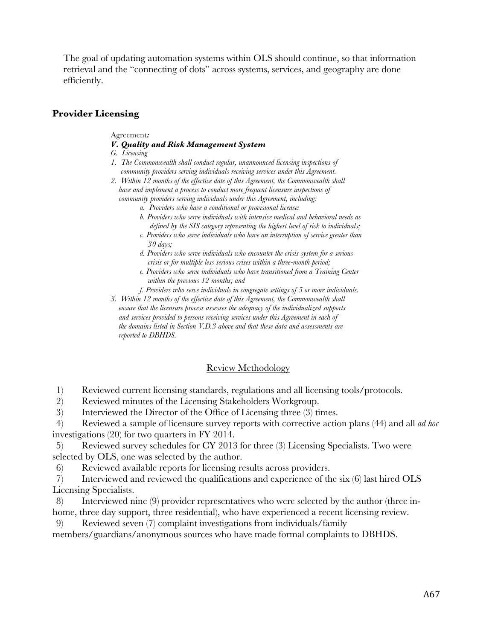The goal of updating automation systems within OLS should continue, so that information retrieval and the "connecting of dots" across systems, services, and geography are done efficiently.

### **Provider Licensing**

Agreement*:*

#### *V. Quality and Risk Management System*

 *G. Licensing*

- *1. The Commonwealth shall conduct regular, unannounced licensing inspections of community providers serving individuals receiving services under this Agreement.*
- *2. Within 12 months of the effective date of this Agreement, the Commonwealth shall have and implement a process to conduct more frequent licensure inspections of community providers serving individuals under this Agreement, including:*
	- *a. Providers who have a conditional or provisional license;*
	- *b. Providers who serve individuals with intensive medical and behavioral needs as defined by the SIS category representing the highest level of risk to individuals;*
	- *c. Providers who serve individuals who have an interruption of service greater than 30 days;*

 *d. Providers who serve individuals who encounter the crisis system for a serious crisis or for multiple less serious crises within a three-month period;*

- *e. Providers who serve individuals who have transitioned from a Training Center within the previous 12 months; and*
- *f. Providers who serve individuals in congregate settings of 5 or more individuals.*

 *3. Within 12 months of the effective date of this Agreement, the Commonwealth shall ensure that the licensure process assesses the adequacy of the individualized supports and services provided to persons receiving services under this Agreement in each of the domains listed in Section V.D.3 above and that these data and assessments are reported to DBHDS.*

### Review Methodology

1) Reviewed current licensing standards, regulations and all licensing tools/protocols.

2) Reviewed minutes of the Licensing Stakeholders Workgroup.

3) Interviewed the Director of the Office of Licensing three (3) times.

4) Reviewed a sample of licensure survey reports with corrective action plans (44) and all *ad hoc* investigations (20) for two quarters in FY 2014.

5) Reviewed survey schedules for CY 2013 for three (3) Licensing Specialists. Two were selected by OLS, one was selected by the author.

6) Reviewed available reports for licensing results across providers.

7) Interviewed and reviewed the qualifications and experience of the six (6) last hired OLS Licensing Specialists.

8) Interviewed nine (9) provider representatives who were selected by the author (three inhome, three day support, three residential), who have experienced a recent licensing review.

9) Reviewed seven (7) complaint investigations from individuals/family

members/guardians/anonymous sources who have made formal complaints to DBHDS.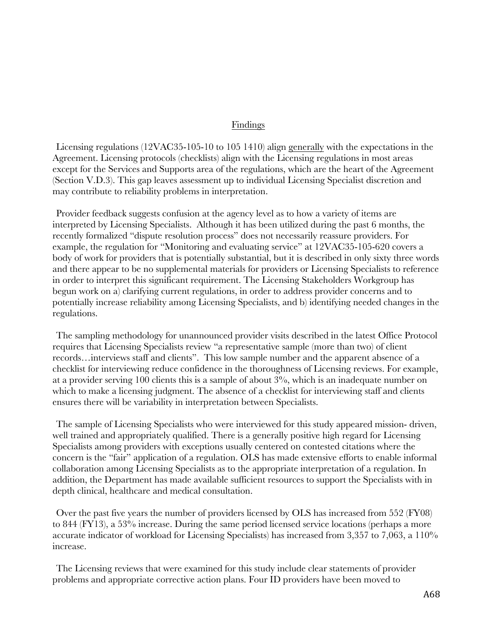#### Findings

Licensing regulations (12VAC35-105-10 to 105 1410) align generally with the expectations in the Agreement. Licensing protocols (checklists) align with the Licensing regulations in most areas except for the Services and Supports area of the regulations, which are the heart of the Agreement (Section V.D.3). This gap leaves assessment up to individual Licensing Specialist discretion and may contribute to reliability problems in interpretation.

Provider feedback suggests confusion at the agency level as to how a variety of items are interpreted by Licensing Specialists. Although it has been utilized during the past 6 months, the recently formalized "dispute resolution process" does not necessarily reassure providers. For example, the regulation for "Monitoring and evaluating service" at 12VAC35-105-620 covers a body of work for providers that is potentially substantial, but it is described in only sixty three words and there appear to be no supplemental materials for providers or Licensing Specialists to reference in order to interpret this significant requirement. The Licensing Stakeholders Workgroup has begun work on a) clarifying current regulations, in order to address provider concerns and to potentially increase reliability among Licensing Specialists, and b) identifying needed changes in the regulations.

The sampling methodology for unannounced provider visits described in the latest Office Protocol requires that Licensing Specialists review "a representative sample (more than two) of client records…interviews staff and clients". This low sample number and the apparent absence of a checklist for interviewing reduce confidence in the thoroughness of Licensing reviews. For example, at a provider serving 100 clients this is a sample of about 3%, which is an inadequate number on which to make a licensing judgment. The absence of a checklist for interviewing staff and clients ensures there will be variability in interpretation between Specialists.

The sample of Licensing Specialists who were interviewed for this study appeared mission- driven, well trained and appropriately qualified. There is a generally positive high regard for Licensing Specialists among providers with exceptions usually centered on contested citations where the concern is the "fair" application of a regulation. OLS has made extensive efforts to enable informal collaboration among Licensing Specialists as to the appropriate interpretation of a regulation. In addition, the Department has made available sufficient resources to support the Specialists with in depth clinical, healthcare and medical consultation.

Over the past five years the number of providers licensed by OLS has increased from 552 (FY08) to 844 (FY13), a 53% increase. During the same period licensed service locations (perhaps a more accurate indicator of workload for Licensing Specialists) has increased from 3,357 to 7,063, a 110% increase.

The Licensing reviews that were examined for this study include clear statements of provider problems and appropriate corrective action plans. Four ID providers have been moved to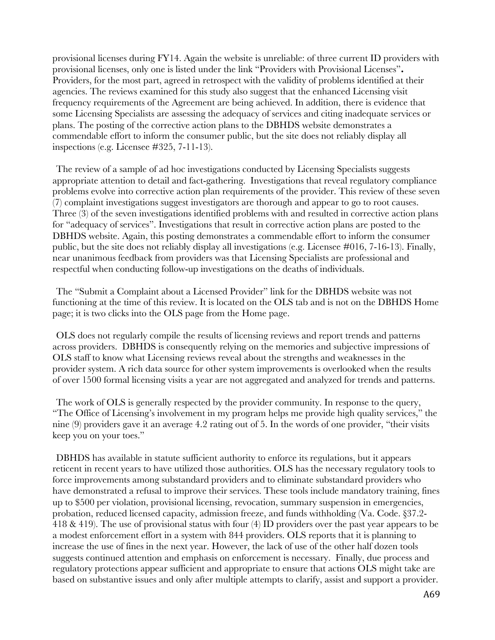provisional licenses during FY14. Again the website is unreliable: of three current ID providers with provisional licenses, only one is listed under the link "Providers with Provisional Licenses"**.** Providers, for the most part, agreed in retrospect with the validity of problems identified at their agencies. The reviews examined for this study also suggest that the enhanced Licensing visit frequency requirements of the Agreement are being achieved. In addition, there is evidence that some Licensing Specialists are assessing the adequacy of services and citing inadequate services or plans. The posting of the corrective action plans to the DBHDS website demonstrates a commendable effort to inform the consumer public, but the site does not reliably display all inspections (e.g. Licensee #325, 7-11-13).

The review of a sample of ad hoc investigations conducted by Licensing Specialists suggests appropriate attention to detail and fact-gathering. Investigations that reveal regulatory compliance problems evolve into corrective action plan requirements of the provider. This review of these seven (7) complaint investigations suggest investigators are thorough and appear to go to root causes. Three (3) of the seven investigations identified problems with and resulted in corrective action plans for "adequacy of services". Investigations that result in corrective action plans are posted to the DBHDS website. Again, this posting demonstrates a commendable effort to inform the consumer public, but the site does not reliably display all investigations (e.g. Licensee #016, 7-16-13). Finally, near unanimous feedback from providers was that Licensing Specialists are professional and respectful when conducting follow-up investigations on the deaths of individuals.

The "Submit a Complaint about a Licensed Provider" link for the DBHDS website was not functioning at the time of this review. It is located on the OLS tab and is not on the DBHDS Home page; it is two clicks into the OLS page from the Home page.

OLS does not regularly compile the results of licensing reviews and report trends and patterns across providers. DBHDS is consequently relying on the memories and subjective impressions of OLS staff to know what Licensing reviews reveal about the strengths and weaknesses in the provider system. A rich data source for other system improvements is overlooked when the results of over 1500 formal licensing visits a year are not aggregated and analyzed for trends and patterns.

The work of OLS is generally respected by the provider community. In response to the query, "The Office of Licensing's involvement in my program helps me provide high quality services," the nine (9) providers gave it an average 4.2 rating out of 5. In the words of one provider, "their visits keep you on your toes."

DBHDS has available in statute sufficient authority to enforce its regulations, but it appears reticent in recent years to have utilized those authorities. OLS has the necessary regulatory tools to force improvements among substandard providers and to eliminate substandard providers who have demonstrated a refusal to improve their services. These tools include mandatory training, fines up to \$500 per violation, provisional licensing, revocation, summary suspension in emergencies, probation, reduced licensed capacity, admission freeze, and funds withholding (Va. Code. §37.2- 418 & 419). The use of provisional status with four (4) ID providers over the past year appears to be a modest enforcement effort in a system with 844 providers. OLS reports that it is planning to increase the use of fines in the next year. However, the lack of use of the other half dozen tools suggests continued attention and emphasis on enforcement is necessary. Finally, due process and regulatory protections appear sufficient and appropriate to ensure that actions OLS might take are based on substantive issues and only after multiple attempts to clarify, assist and support a provider.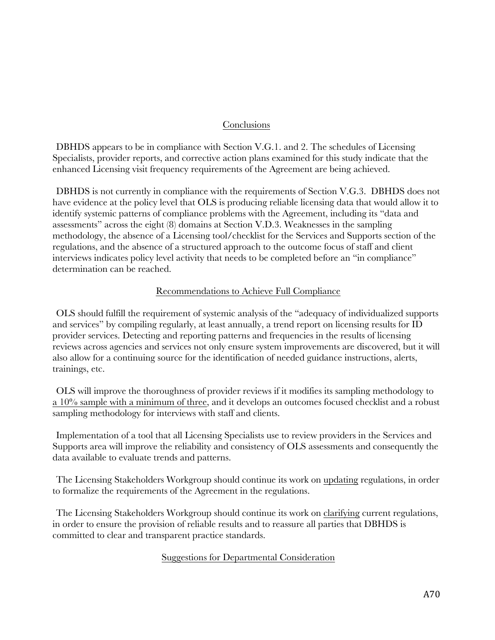## Conclusions

DBHDS appears to be in compliance with Section V.G.1. and 2. The schedules of Licensing Specialists, provider reports, and corrective action plans examined for this study indicate that the enhanced Licensing visit frequency requirements of the Agreement are being achieved.

DBHDS is not currently in compliance with the requirements of Section V.G.3. DBHDS does not have evidence at the policy level that OLS is producing reliable licensing data that would allow it to identify systemic patterns of compliance problems with the Agreement, including its "data and assessments" across the eight (8) domains at Section V.D.3. Weaknesses in the sampling methodology, the absence of a Licensing tool/checklist for the Services and Supports section of the regulations, and the absence of a structured approach to the outcome focus of staff and client interviews indicates policy level activity that needs to be completed before an "in compliance" determination can be reached.

## Recommendations to Achieve Full Compliance

OLS should fulfill the requirement of systemic analysis of the "adequacy of individualized supports and services" by compiling regularly, at least annually, a trend report on licensing results for ID provider services. Detecting and reporting patterns and frequencies in the results of licensing reviews across agencies and services not only ensure system improvements are discovered, but it will also allow for a continuing source for the identification of needed guidance instructions, alerts, trainings, etc.

OLS will improve the thoroughness of provider reviews if it modifies its sampling methodology to a 10% sample with a minimum of three, and it develops an outcomes focused checklist and a robust sampling methodology for interviews with staff and clients.

Implementation of a tool that all Licensing Specialists use to review providers in the Services and Supports area will improve the reliability and consistency of OLS assessments and consequently the data available to evaluate trends and patterns.

The Licensing Stakeholders Workgroup should continue its work on updating regulations, in order to formalize the requirements of the Agreement in the regulations.

The Licensing Stakeholders Workgroup should continue its work on clarifying current regulations, in order to ensure the provision of reliable results and to reassure all parties that DBHDS is committed to clear and transparent practice standards.

## Suggestions for Departmental Consideration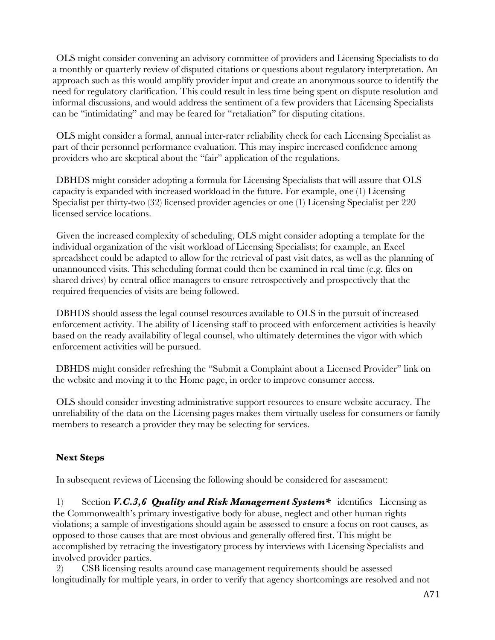OLS might consider convening an advisory committee of providers and Licensing Specialists to do a monthly or quarterly review of disputed citations or questions about regulatory interpretation. An approach such as this would amplify provider input and create an anonymous source to identify the need for regulatory clarification. This could result in less time being spent on dispute resolution and informal discussions, and would address the sentiment of a few providers that Licensing Specialists can be "intimidating" and may be feared for "retaliation" for disputing citations.

OLS might consider a formal, annual inter-rater reliability check for each Licensing Specialist as part of their personnel performance evaluation. This may inspire increased confidence among providers who are skeptical about the "fair" application of the regulations.

DBHDS might consider adopting a formula for Licensing Specialists that will assure that OLS capacity is expanded with increased workload in the future. For example, one (1) Licensing Specialist per thirty-two (32) licensed provider agencies or one (1) Licensing Specialist per 220 licensed service locations.

Given the increased complexity of scheduling, OLS might consider adopting a template for the individual organization of the visit workload of Licensing Specialists; for example, an Excel spreadsheet could be adapted to allow for the retrieval of past visit dates, as well as the planning of unannounced visits. This scheduling format could then be examined in real time (e.g. files on shared drives) by central office managers to ensure retrospectively and prospectively that the required frequencies of visits are being followed.

DBHDS should assess the legal counsel resources available to OLS in the pursuit of increased enforcement activity. The ability of Licensing staff to proceed with enforcement activities is heavily based on the ready availability of legal counsel, who ultimately determines the vigor with which enforcement activities will be pursued.

DBHDS might consider refreshing the "Submit a Complaint about a Licensed Provider" link on the website and moving it to the Home page, in order to improve consumer access.

OLS should consider investing administrative support resources to ensure website accuracy. The unreliability of the data on the Licensing pages makes them virtually useless for consumers or family members to research a provider they may be selecting for services.

## **Next Steps**

In subsequent reviews of Licensing the following should be considered for assessment:

1) Section *V.C.3,6 Quality and Risk Management System\** identifies Licensing as the Commonwealth's primary investigative body for abuse, neglect and other human rights violations; a sample of investigations should again be assessed to ensure a focus on root causes, as opposed to those causes that are most obvious and generally offered first. This might be accomplished by retracing the investigatory process by interviews with Licensing Specialists and involved provider parties.

2) CSB licensing results around case management requirements should be assessed longitudinally for multiple years, in order to verify that agency shortcomings are resolved and not